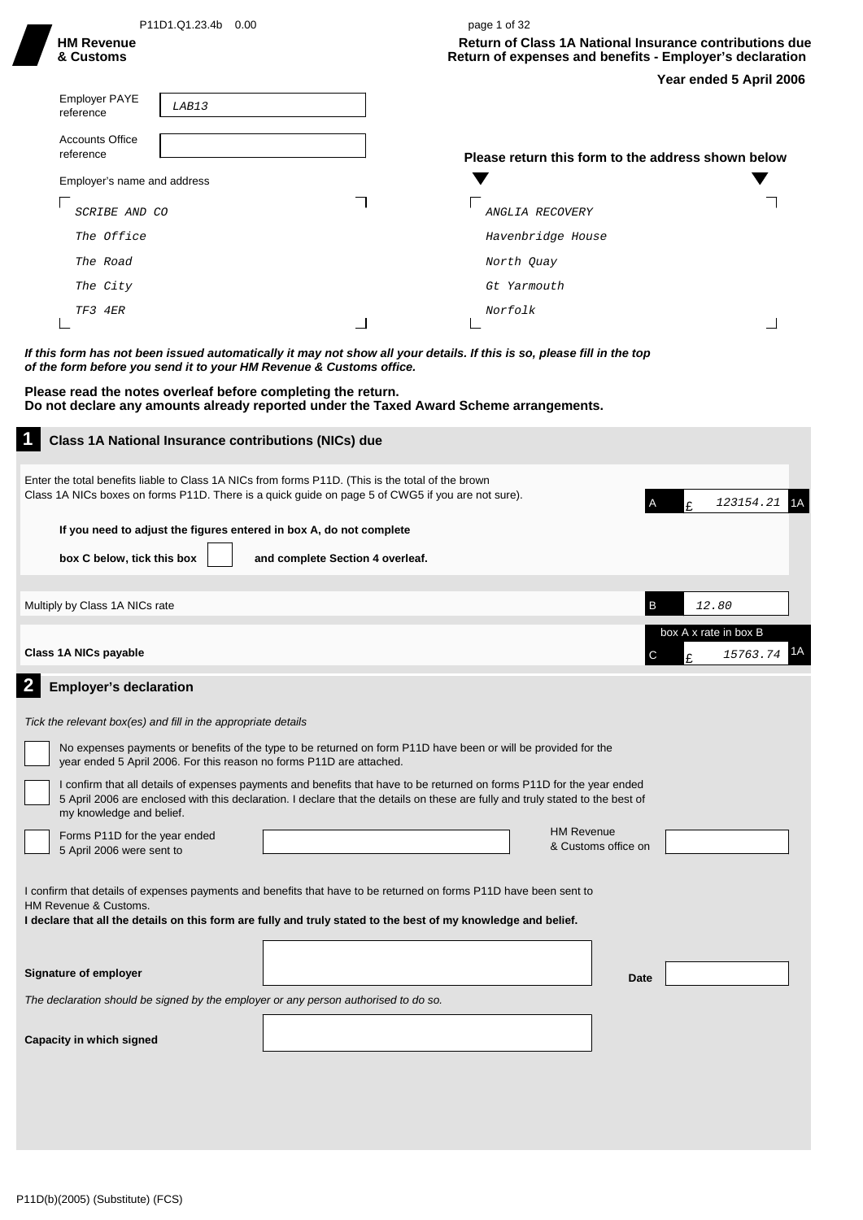| P11D1.Q1.23.4b 0.00<br><b>HM Revenue</b><br>& Customs                                                                               | page 1 of 32<br><b>Return of Class 1A National Insurance contributions due</b><br>Return of expenses and benefits - Employer's declaration<br>Year ended 5 April 2006                                                                                    |
|-------------------------------------------------------------------------------------------------------------------------------------|----------------------------------------------------------------------------------------------------------------------------------------------------------------------------------------------------------------------------------------------------------|
| <b>Employer PAYE</b><br>LAB13<br>reference                                                                                          |                                                                                                                                                                                                                                                          |
| <b>Accounts Office</b><br>reference                                                                                                 | Please return this form to the address shown below                                                                                                                                                                                                       |
| Employer's name and address                                                                                                         |                                                                                                                                                                                                                                                          |
| SCRIBE AND CO                                                                                                                       | ANGLIA RECOVERY                                                                                                                                                                                                                                          |
| The Office                                                                                                                          | Havenbridge House                                                                                                                                                                                                                                        |
| The Road                                                                                                                            | North Quay                                                                                                                                                                                                                                               |
| The City                                                                                                                            | Gt Yarmouth                                                                                                                                                                                                                                              |
| TF3 4ER                                                                                                                             | Norfolk                                                                                                                                                                                                                                                  |
|                                                                                                                                     |                                                                                                                                                                                                                                                          |
| of the form before you send it to your HM Revenue & Customs office.<br>Please read the notes overleaf before completing the return. | Do not declare any amounts already reported under the Taxed Award Scheme arrangements.                                                                                                                                                                   |
| Class 1A National Insurance contributions (NICs) due                                                                                |                                                                                                                                                                                                                                                          |
|                                                                                                                                     | Enter the total benefits liable to Class 1A NICs from forms P11D. (This is the total of the brown<br>Class 1A NICs boxes on forms P11D. There is a quick guide on page 5 of CWG5 if you are not sure).<br>£<br>123154.21 1A                              |
|                                                                                                                                     | If you need to adjust the figures entered in box A, do not complete                                                                                                                                                                                      |
| box C below, tick this box                                                                                                          | and complete Section 4 overleaf.                                                                                                                                                                                                                         |
|                                                                                                                                     |                                                                                                                                                                                                                                                          |
| Multiply by Class 1A NICs rate                                                                                                      | B<br>12.80                                                                                                                                                                                                                                               |
|                                                                                                                                     | box A x rate in box B                                                                                                                                                                                                                                    |
| Class 1A NICs payable                                                                                                               | 15763.74 <sup>1</sup> A<br>C<br>t                                                                                                                                                                                                                        |
| <b>Employer's declaration</b>                                                                                                       |                                                                                                                                                                                                                                                          |
| Tick the relevant box(es) and fill in the appropriate details                                                                       |                                                                                                                                                                                                                                                          |
| year ended 5 April 2006. For this reason no forms P11D are attached.                                                                | No expenses payments or benefits of the type to be returned on form P11D have been or will be provided for the                                                                                                                                           |
| my knowledge and belief.                                                                                                            | I confirm that all details of expenses payments and benefits that have to be returned on forms P11D for the year ended<br>5 April 2006 are enclosed with this declaration. I declare that the details on these are fully and truly stated to the best of |
| Forms P11D for the year ended<br>5 April 2006 were sent to                                                                          | <b>HM Revenue</b><br>& Customs office on                                                                                                                                                                                                                 |
| HM Revenue & Customs.                                                                                                               | I confirm that details of expenses payments and benefits that have to be returned on forms P11D have been sent to<br>I declare that all the details on this form are fully and truly stated to the best of my knowledge and belief.                      |
|                                                                                                                                     |                                                                                                                                                                                                                                                          |
| Signature of employer                                                                                                               | Date                                                                                                                                                                                                                                                     |
|                                                                                                                                     | The declaration should be signed by the employer or any person authorised to do so.                                                                                                                                                                      |
| Capacity in which signed                                                                                                            |                                                                                                                                                                                                                                                          |
|                                                                                                                                     |                                                                                                                                                                                                                                                          |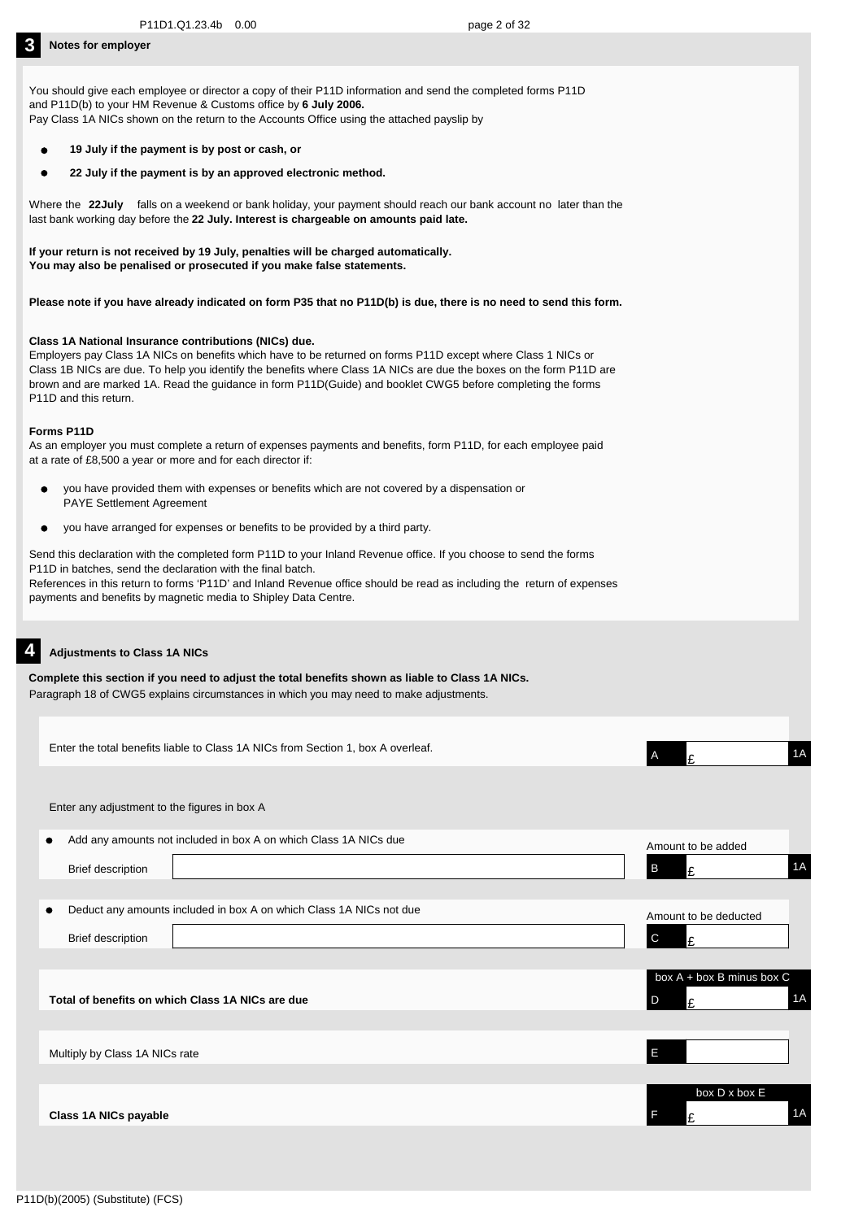You should give each employee or director a copy of their P11D information and send the completed forms P11D and P11D(b) to your HM Revenue & Customs office by **6 July 2006.** Pay Class 1A NICs shown on the return to the Accounts Office using the attached payslip by

- **19 July if the payment is by post or cash, or**
- **22 July if the payment is by an approved electronic method.**

Where the 22July falls on a weekend or bank holiday, your payment should reach our bank account no later than the last bank working day before the **22 July. Interest is chargeable on amounts paid late.**

**If your return is not received by 19 July, penalties will be charged automatically. You may also be penalised or prosecuted if you make false statements.**

**Please note if you have already indicated on form P35 that no P11D(b) is due, there is no need to send this form.**

### **Class 1A National Insurance contributions (NICs) due.**

Employers pay Class 1A NICs on benefits which have to be returned on forms P11D except where Class 1 NICs or Class 1B NICs are due. To help you identify the benefits where Class 1A NICs are due the boxes on the form P11D are brown and are marked 1A. Read the guidance in form P11D(Guide) and booklet CWG5 before completing the forms P11D and this return.

### **Forms P11D**

As an employer you must complete a return of expenses payments and benefits, form P11D, for each employee paid at a rate of £8,500 a year or more and for each director if:

- you have provided them with expenses or benefits which are not covered by a dispensation or  $\bullet$ PAYE Settlement Agreement
- $\bullet$ you have arranged for expenses or benefits to be provided by a third party.

Send this declaration with the completed form P11D to your Inland Revenue office. If you choose to send the forms P11D in batches, send the declaration with the final batch. References in this return to forms 'P11D' and Inland Revenue office should be read as including the return of expenses payments and benefits by magnetic media to Shipley Data Centre.

### **4 Adjustments to Class 1A NICs**

| Complete this section if you need to adjust the total benefits shown as liable to Class 1A NICs. |
|--------------------------------------------------------------------------------------------------|
| Paragraph 18 of CWG5 explains circumstances in which you may need to make adjustments.           |

| Enter the total benefits liable to Class 1A NICs from Section 1, box A overleaf.                             | 1A<br>A<br>£                               |
|--------------------------------------------------------------------------------------------------------------|--------------------------------------------|
| Enter any adjustment to the figures in box A                                                                 |                                            |
| Add any amounts not included in box A on which Class 1A NICs due<br>$\bullet$<br>Brief description           | Amount to be added<br>1A<br>B<br>£         |
| Deduct any amounts included in box A on which Class 1A NICs not due<br>$\bullet$<br><b>Brief description</b> | Amount to be deducted<br>$\mathsf{C}$<br>£ |
| Total of benefits on which Class 1A NICs are due                                                             | box A + box B minus box C<br>1A<br>D<br>£  |
| Multiply by Class 1A NICs rate                                                                               | E                                          |
| Class 1A NICs payable                                                                                        | box D x box E<br>1A                        |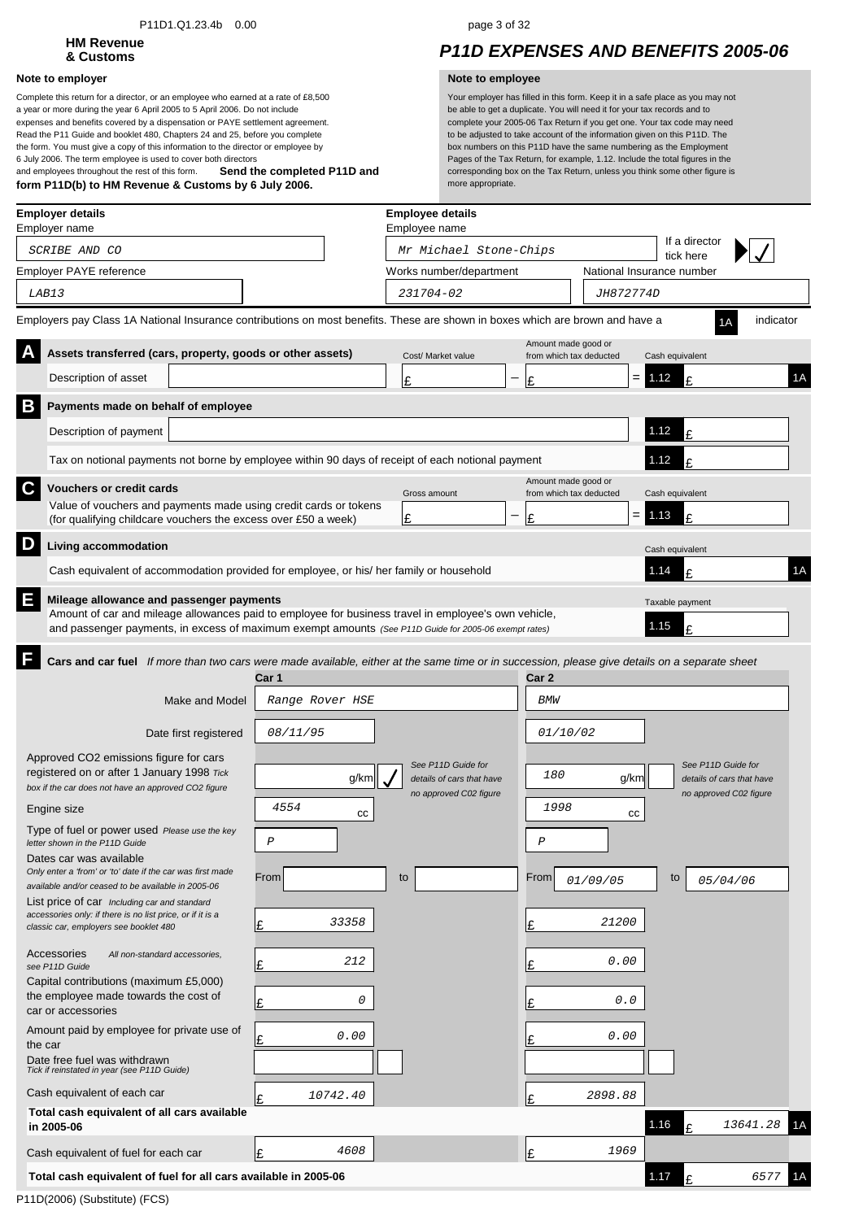### P11D1.Q1.23.4b 0.00 page 3 of 32

# **HM Revenue**

### **Note to employer Note to employee**

**Send the completed P11D and form P11D(b) to HM Revenue & Customs by 6 July 2006.** Complete this return for a director, or an employee who earned at a rate of £8,500 a year or more during the year 6 April 2005 to 5 April 2006. Do not include expenses and benefits covered by a dispensation or PAYE settlement agreement. Read the P11 Guide and booklet 480, Chapters 24 and 25, before you complete the form. You must give a copy of this information to the director or employee by 6 July 2006. The term employee is used to cover both directors and employees throughout the rest of this form.

## **& Customs** *P11D EXPENSES AND BENEFITS 2005-06*

| <b>Employer details</b><br>Employer name                                                                                                                                                                                                                       |                 | <b>Employee details</b><br>Employee name |                                                |                                        |    |
|----------------------------------------------------------------------------------------------------------------------------------------------------------------------------------------------------------------------------------------------------------------|-----------------|------------------------------------------|------------------------------------------------|----------------------------------------|----|
| SCRIBE AND CO                                                                                                                                                                                                                                                  |                 | Mr Michael Stone-Chips                   |                                                | If a director                          |    |
| Employer PAYE reference                                                                                                                                                                                                                                        |                 | Works number/department                  |                                                | tick here<br>National Insurance number |    |
| LAB13                                                                                                                                                                                                                                                          |                 | 231704-02                                | <i>JH872774D</i>                               |                                        |    |
| Employers pay Class 1A National Insurance contributions on most benefits. These are shown in boxes which are brown and have a                                                                                                                                  |                 |                                          |                                                | indicator                              |    |
| Assets transferred (cars, property, goods or other assets)                                                                                                                                                                                                     |                 | Cost/ Market value                       | Amount made good or<br>from which tax deducted | Cash equivalent                        |    |
| Description of asset                                                                                                                                                                                                                                           |                 | £                                        | $=$<br>Ι£                                      | 1.12<br>£                              | 1A |
| B<br>Payments made on behalf of employee                                                                                                                                                                                                                       |                 |                                          |                                                |                                        |    |
| Description of payment                                                                                                                                                                                                                                         |                 |                                          |                                                | 1.12<br>£                              |    |
| Tax on notional payments not borne by employee within 90 days of receipt of each notional payment                                                                                                                                                              |                 |                                          |                                                | 1.12<br>£                              |    |
| C<br><b>Vouchers or credit cards</b>                                                                                                                                                                                                                           |                 |                                          | Amount made good or                            |                                        |    |
| Value of vouchers and payments made using credit cards or tokens                                                                                                                                                                                               |                 | Gross amount                             | from which tax deducted<br>$=$                 | Cash equivalent<br>1.13                |    |
| (for qualifying childcare vouchers the excess over £50 a week)                                                                                                                                                                                                 |                 | £                                        | £                                              | £                                      |    |
| D<br>Living accommodation                                                                                                                                                                                                                                      |                 |                                          |                                                | Cash equivalent                        |    |
| Cash equivalent of accommodation provided for employee, or his/ her family or household                                                                                                                                                                        |                 |                                          |                                                | 1.14<br>F                              | 1A |
| E<br>Mileage allowance and passenger payments<br>Amount of car and mileage allowances paid to employee for business travel in employee's own vehicle,<br>and passenger payments, in excess of maximum exempt amounts (See P11D Guide for 2005-06 exempt rates) |                 |                                          |                                                | Taxable payment<br>1.15<br>£           |    |
| F<br>Cars and car fuel If more than two cars were made available, either at the same time or in succession, please give details on a separate sheet                                                                                                            | Car 1           |                                          | Car 2                                          |                                        |    |
| Make and Model                                                                                                                                                                                                                                                 | Range Rover HSE |                                          | <b>BMW</b>                                     |                                        |    |
| Date first registered                                                                                                                                                                                                                                          | 08/11/95        |                                          | 01/10/02                                       |                                        |    |
| Approved CO2 emissions figure for cars                                                                                                                                                                                                                         |                 | See P11D Guide for                       |                                                | See P11D Guide for                     |    |
| registered on or after 1 January 1998 Tick<br>box if the car does not have an approved CO2 figure                                                                                                                                                              | g/km            | details of cars that have                | 180<br>g/km                                    | details of cars that have              |    |
| Engine size                                                                                                                                                                                                                                                    | 4554<br>СC      | no approved C02 figure                   | 1998<br>cc                                     | no approved C02 figure                 |    |
| Type of fuel or power used Please use the key<br>letter shown in the P11D Guide                                                                                                                                                                                | $\cal P$        |                                          | $\cal P$                                       |                                        |    |
| Dates car was available                                                                                                                                                                                                                                        |                 |                                          |                                                |                                        |    |
| Only enter a 'from' or 'to' date if the car was first made<br>available and/or ceased to be available in 2005-06                                                                                                                                               | From            | to                                       | From<br>01/09/05                               | to<br>05/04/06                         |    |
| List price of car Including car and standard<br>accessories only: if there is no list price, or if it is a                                                                                                                                                     |                 |                                          |                                                |                                        |    |
| classic car, employers see booklet 480                                                                                                                                                                                                                         | 33358<br>Ι£     |                                          | 21200<br>Ι£                                    |                                        |    |
| Accessories<br>All non-standard accessories.<br>see P11D Guide                                                                                                                                                                                                 | 212<br>Ŀ        |                                          | 0.00<br>£                                      |                                        |    |
| Capital contributions (maximum £5,000)                                                                                                                                                                                                                         |                 |                                          |                                                |                                        |    |
| the employee made towards the cost of<br>car or accessories                                                                                                                                                                                                    | 0<br>Ŀ          |                                          | 0.0<br>£                                       |                                        |    |
| Amount paid by employee for private use of<br>the car                                                                                                                                                                                                          | 0.00<br>£       |                                          | 0.00<br>£                                      |                                        |    |
| Date free fuel was withdrawn<br>Tick if reinstated in year (see P11D Guide)                                                                                                                                                                                    |                 |                                          |                                                |                                        |    |
| Cash equivalent of each car                                                                                                                                                                                                                                    | 10742.40<br>l£  |                                          | 2898.88<br>l£                                  |                                        |    |
| Total cash equivalent of all cars available<br>in 2005-06                                                                                                                                                                                                      |                 |                                          |                                                | 1.16<br>13641.28                       | 1Α |
| Cash equivalent of fuel for each car                                                                                                                                                                                                                           | 4608<br>Ι£      |                                          | 1969<br>Ι£                                     |                                        |    |
| Total cash equivalent of fuel for all cars available in 2005-06                                                                                                                                                                                                |                 |                                          |                                                | 1.17<br>6577<br>£                      | 1Α |
|                                                                                                                                                                                                                                                                |                 |                                          |                                                |                                        |    |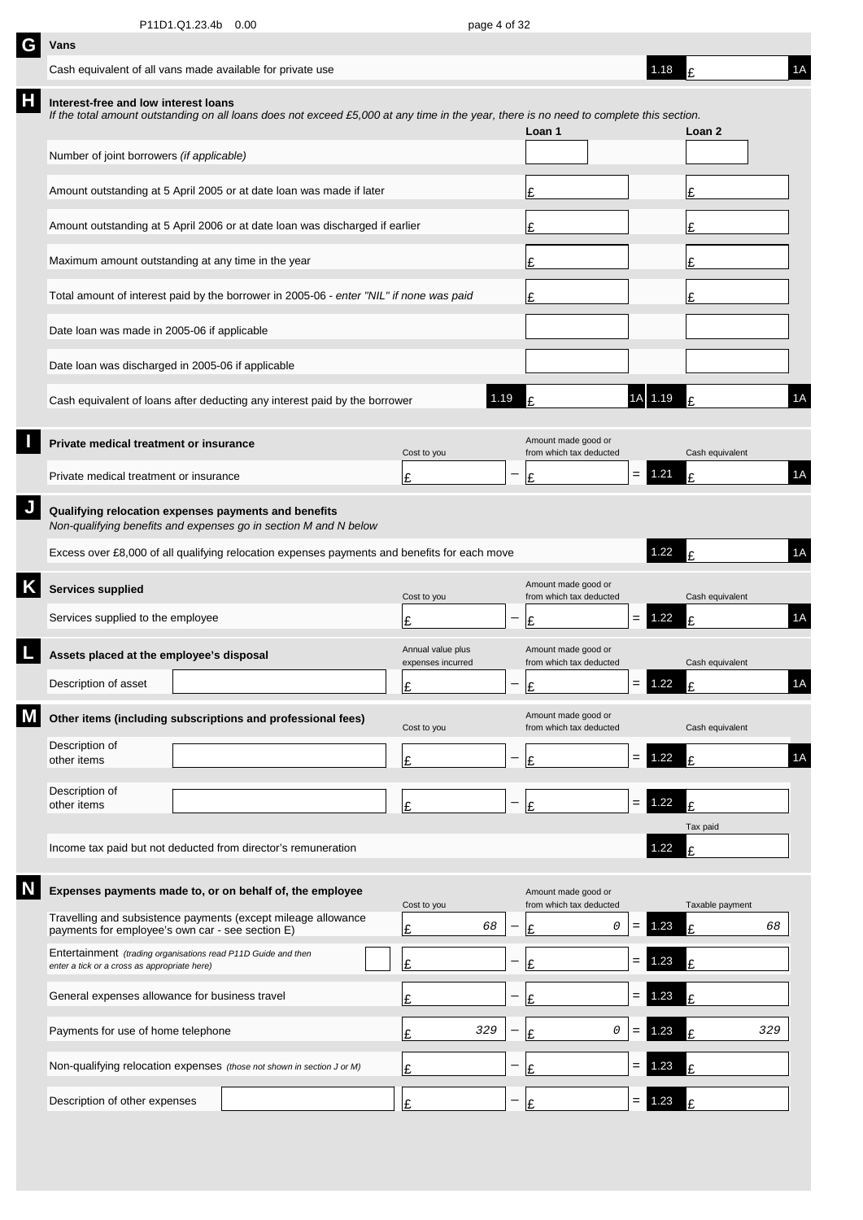| G | Vans                                                                                                                     |                                                |                                                                                                                                         |  |                                        |   |                                                |     |          |                 |     |    |
|---|--------------------------------------------------------------------------------------------------------------------------|------------------------------------------------|-----------------------------------------------------------------------------------------------------------------------------------------|--|----------------------------------------|---|------------------------------------------------|-----|----------|-----------------|-----|----|
|   | Cash equivalent of all vans made available for private use                                                               |                                                |                                                                                                                                         |  |                                        |   |                                                |     | 1.18     | £               |     | 1A |
| Н | Interest-free and low interest loans                                                                                     |                                                | If the total amount outstanding on all loans does not exceed £5,000 at any time in the year, there is no need to complete this section. |  |                                        |   | Loan 1                                         |     |          | Loan 2          |     |    |
|   | Number of joint borrowers (if applicable)                                                                                |                                                |                                                                                                                                         |  |                                        |   |                                                |     |          |                 |     |    |
|   | Amount outstanding at 5 April 2005 or at date loan was made if later                                                     |                                                | £                                                                                                                                       |  |                                        | £ |                                                |     |          |                 |     |    |
|   | Amount outstanding at 5 April 2006 or at date loan was discharged if earlier                                             |                                                | Ι£                                                                                                                                      |  |                                        | £ |                                                |     |          |                 |     |    |
|   | Maximum amount outstanding at any time in the year                                                                       |                                                |                                                                                                                                         |  |                                        |   | Ι£                                             |     |          | £               |     |    |
|   |                                                                                                                          |                                                | Total amount of interest paid by the borrower in 2005-06 - enter "NIL" if none was paid                                                 |  |                                        |   | Ι£                                             |     |          | £               |     |    |
|   | Date loan was made in 2005-06 if applicable                                                                              |                                                |                                                                                                                                         |  |                                        |   |                                                |     |          |                 |     |    |
|   | Date loan was discharged in 2005-06 if applicable                                                                        |                                                |                                                                                                                                         |  |                                        |   |                                                |     |          |                 |     |    |
|   |                                                                                                                          |                                                | Cash equivalent of loans after deducting any interest paid by the borrower                                                              |  | 1.19                                   |   | £                                              | 1AI | 1.19     | £               |     | 1A |
|   | Private medical treatment or insurance                                                                                   |                                                |                                                                                                                                         |  | Cost to you                            |   | Amount made good or<br>from which tax deducted |     |          | Cash equivalent |     |    |
|   | Private medical treatment or insurance                                                                                   |                                                |                                                                                                                                         |  | £                                      |   | £                                              | $=$ | 1.21     | £               |     | 1A |
|   | Qualifying relocation expenses payments and benefits<br>Non-qualifying benefits and expenses go in section M and N below |                                                |                                                                                                                                         |  |                                        |   |                                                |     |          |                 |     |    |
|   |                                                                                                                          |                                                | Excess over £8,000 of all qualifying relocation expenses payments and benefits for each move                                            |  |                                        |   |                                                |     | 1.22     | t               |     | 1A |
|   | <b>Services supplied</b>                                                                                                 |                                                |                                                                                                                                         |  | Cost to you                            |   | Amount made good or<br>from which tax deducted |     |          | Cash equivalent |     |    |
|   | Services supplied to the employee                                                                                        |                                                |                                                                                                                                         |  | £                                      |   | £                                              | $=$ | 1.22     | £               |     | 1A |
|   | Assets placed at the employee's disposal                                                                                 |                                                |                                                                                                                                         |  | Annual value plus<br>expenses incurred |   | Amount made good or<br>from which tax deducted |     |          | Cash equivalent |     |    |
|   | Description of asset                                                                                                     |                                                |                                                                                                                                         |  | ¢                                      |   | Ι٥                                             |     | $= 1.22$ | t               |     | 1A |
|   |                                                                                                                          |                                                | Other items (including subscriptions and professional fees)                                                                             |  | Cost to you                            |   | Amount made good or<br>from which tax deducted |     |          | Cash equivalent |     |    |
|   | Description of<br>other items                                                                                            |                                                |                                                                                                                                         |  | £                                      |   | £                                              | $=$ | 1.22     | £               |     | 1A |
|   | Description of<br>other items                                                                                            |                                                |                                                                                                                                         |  | £                                      |   | Ι£                                             | $=$ | 1.22     | £               |     |    |
|   |                                                                                                                          |                                                |                                                                                                                                         |  |                                        |   |                                                |     |          | Tax paid        |     |    |
|   |                                                                                                                          |                                                | Income tax paid but not deducted from director's remuneration                                                                           |  |                                        |   |                                                |     | 1.22     | £               |     |    |
|   |                                                                                                                          |                                                | Expenses payments made to, or on behalf of, the employee                                                                                |  | Cost to you                            |   | Amount made good or<br>from which tax deducted |     |          | Taxable payment |     |    |
|   | payments for employee's own car - see section E)                                                                         |                                                | Travelling and subsistence payments (except mileage allowance                                                                           |  | 68<br>£                                |   | 0<br>£                                         | $=$ | 1.23     | £               | 68  |    |
|   | Entertainment (trading organisations read P11D Guide and then<br>enter a tick or a cross as appropriate here)            |                                                |                                                                                                                                         |  | £                                      |   | £                                              | $=$ | 1.23     | £               |     |    |
|   |                                                                                                                          | General expenses allowance for business travel |                                                                                                                                         |  |                                        |   | £                                              | $=$ | .23      | £               |     |    |
|   | Payments for use of home telephone                                                                                       |                                                |                                                                                                                                         |  | 329<br>£                               |   | 0<br>£                                         | $=$ | 1.23     | £               | 329 |    |
|   |                                                                                                                          |                                                | Non-qualifying relocation expenses (those not shown in section J or M)                                                                  |  | £                                      |   | £                                              | =   | 23       | £               |     |    |
|   | Description of other expenses                                                                                            |                                                |                                                                                                                                         |  | £                                      |   | t                                              | =   | .23      |                 |     |    |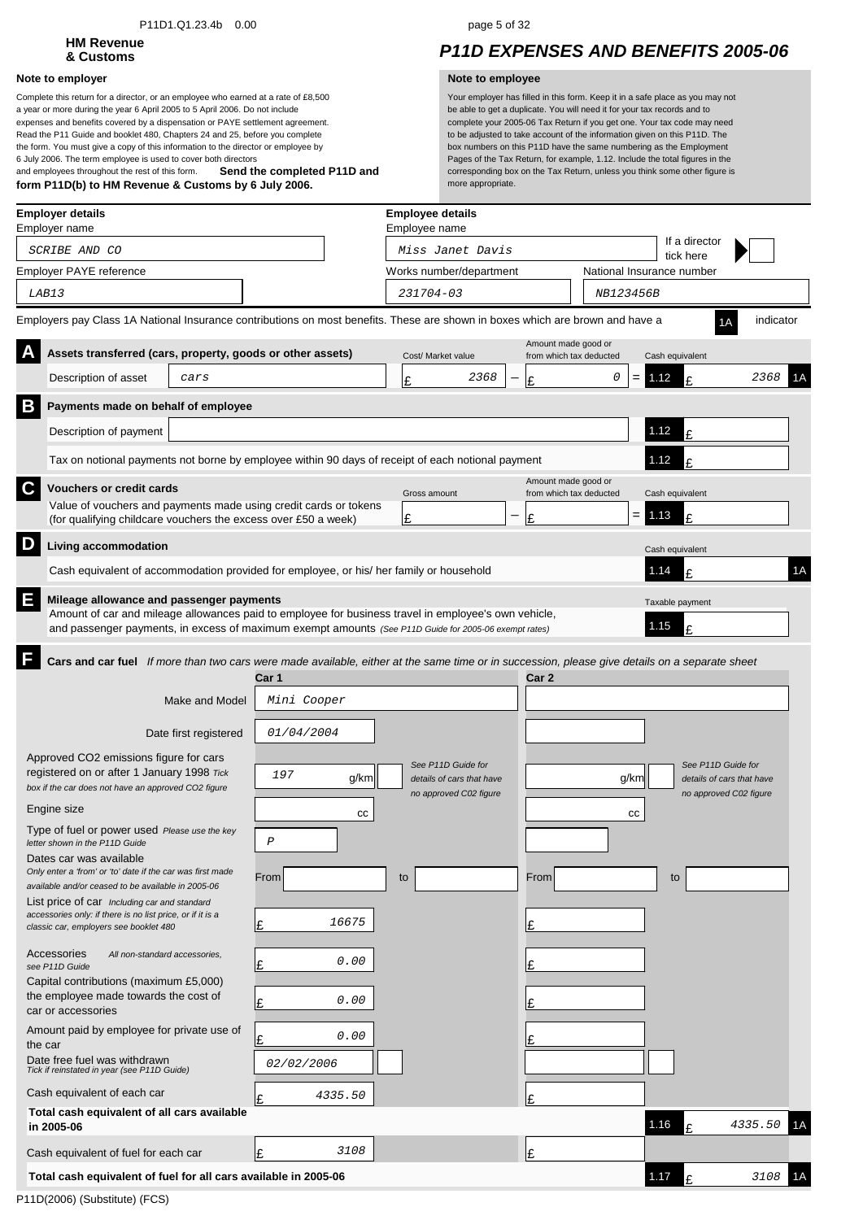### P11D1.Q1.23.4b 0.00 page 5 of 32

# **HM Revenue**

### **Note to employer Note to employee**

**Send the completed P11D and form P11D(b) to HM Revenue & Customs by 6 July 2006.** Complete this return for a director, or an employee who earned at a rate of £8,500 a year or more during the year 6 April 2005 to 5 April 2006. Do not include expenses and benefits covered by a dispensation or PAYE settlement agreement. Read the P11 Guide and booklet 480, Chapters 24 and 25, before you complete the form. You must give a copy of this information to the director or employee by 6 July 2006. The term employee is used to cover both directors and employees throughout the rest of this form.

## **& Customs** *P11D EXPENSES AND BENEFITS 2005-06*

|   | <b>Employer details</b><br>Employer name                                                                                                             |                       |                                                                                                                                                                                                               | <b>Employee details</b><br>Employee name |                                                 |                     |                                               |                              |                           |
|---|------------------------------------------------------------------------------------------------------------------------------------------------------|-----------------------|---------------------------------------------------------------------------------------------------------------------------------------------------------------------------------------------------------------|------------------------------------------|-------------------------------------------------|---------------------|-----------------------------------------------|------------------------------|---------------------------|
|   | SCRIBE AND CO                                                                                                                                        |                       |                                                                                                                                                                                                               |                                          | Miss Janet Davis                                |                     |                                               | If a director<br>tick here   |                           |
|   | Employer PAYE reference                                                                                                                              |                       |                                                                                                                                                                                                               |                                          | Works number/department                         |                     |                                               | National Insurance number    |                           |
|   | LAB13                                                                                                                                                |                       |                                                                                                                                                                                                               | 231704-03                                |                                                 |                     | NB123456B                                     |                              |                           |
|   | Employers pay Class 1A National Insurance contributions on most benefits. These are shown in boxes which are brown and have a                        |                       |                                                                                                                                                                                                               |                                          |                                                 |                     |                                               |                              | indicator                 |
|   | Assets transferred (cars, property, goods or other assets)                                                                                           |                       |                                                                                                                                                                                                               | Cost/ Market value                       |                                                 | Amount made good or | from which tax deducted                       | Cash equivalent              |                           |
|   | Description of asset                                                                                                                                 | cars                  |                                                                                                                                                                                                               | £                                        | 2368                                            | £                   | 0                                             | 1.12<br>¢                    | 2368                      |
| B | Payments made on behalf of employee                                                                                                                  |                       |                                                                                                                                                                                                               |                                          |                                                 |                     |                                               |                              |                           |
|   | Description of payment                                                                                                                               |                       |                                                                                                                                                                                                               |                                          |                                                 |                     |                                               | 1.12<br>£                    |                           |
|   |                                                                                                                                                      |                       | Tax on notional payments not borne by employee within 90 days of receipt of each notional payment                                                                                                             |                                          |                                                 |                     |                                               | 1.12<br>t                    |                           |
| C | <b>Vouchers or credit cards</b>                                                                                                                      |                       |                                                                                                                                                                                                               |                                          |                                                 | Amount made good or |                                               |                              |                           |
|   |                                                                                                                                                      |                       | Value of vouchers and payments made using credit cards or tokens                                                                                                                                              | Gross amount                             |                                                 |                     | from which tax deducted<br>$=$ $\overline{ }$ | Cash equivalent<br>1.13      |                           |
|   | (for qualifying childcare vouchers the excess over £50 a week)                                                                                       |                       |                                                                                                                                                                                                               | Ι£                                       |                                                 | £                   |                                               | £                            |                           |
| D | Living accommodation                                                                                                                                 |                       |                                                                                                                                                                                                               |                                          |                                                 |                     |                                               | Cash equivalent              |                           |
|   |                                                                                                                                                      |                       | Cash equivalent of accommodation provided for employee, or his/ her family or household                                                                                                                       |                                          |                                                 |                     |                                               | 1.14<br>£                    | 1A                        |
| Ε | Mileage allowance and passenger payments                                                                                                             |                       | Amount of car and mileage allowances paid to employee for business travel in employee's own vehicle,<br>and passenger payments, in excess of maximum exempt amounts (See P11D Guide for 2005-06 exempt rates) |                                          |                                                 |                     |                                               | Taxable payment<br>1.15<br>t |                           |
| F |                                                                                                                                                      | <b>Make and Model</b> | Cars and car fuel If more than two cars were made available, either at the same time or in succession, please give details on a separate sheet<br>Car 1<br>Mini Cooper                                        |                                          |                                                 | Car 2               |                                               |                              |                           |
|   |                                                                                                                                                      | Date first registered | 01/04/2004                                                                                                                                                                                                    |                                          |                                                 |                     |                                               |                              |                           |
|   | Approved CO2 emissions figure for cars<br>registered on or after 1 January 1998 Tick<br>box if the car does not have an approved CO2 figure          |                       | 197<br>g/km                                                                                                                                                                                                   |                                          | See P11D Guide for<br>details of cars that have |                     | g/km                                          | See P11D Guide for           | details of cars that have |
|   | Engine size                                                                                                                                          |                       | СC                                                                                                                                                                                                            |                                          | no approved C02 figure                          |                     | СC                                            |                              | no approved C02 figure    |
|   | Type of fuel or power used Please use the key<br>letter shown in the P11D Guide                                                                      |                       | $\cal P$                                                                                                                                                                                                      |                                          |                                                 |                     |                                               |                              |                           |
|   | Dates car was available<br>Only enter a 'from' or 'to' date if the car was first made                                                                |                       |                                                                                                                                                                                                               |                                          |                                                 |                     |                                               |                              |                           |
|   | available and/or ceased to be available in 2005-06                                                                                                   |                       | From                                                                                                                                                                                                          | to                                       |                                                 | From                |                                               | to                           |                           |
|   | List price of car Including car and standard<br>accessories only: if there is no list price, or if it is a<br>classic car, employers see booklet 480 |                       | 16675<br>£                                                                                                                                                                                                    |                                          |                                                 | £                   |                                               |                              |                           |
|   | Accessories<br>All non-standard accessories,<br>see P11D Guide                                                                                       |                       | 0.00<br>£                                                                                                                                                                                                     |                                          |                                                 | Ŀ                   |                                               |                              |                           |
|   | Capital contributions (maximum £5,000)<br>the employee made towards the cost of<br>car or accessories                                                |                       | 0.00<br>£                                                                                                                                                                                                     |                                          |                                                 |                     |                                               |                              |                           |
|   | Amount paid by employee for private use of<br>the car                                                                                                |                       | 0.00<br>£                                                                                                                                                                                                     |                                          |                                                 |                     |                                               |                              |                           |
|   | Date free fuel was withdrawn<br>Tick if reinstated in year (see P11D Guide)                                                                          |                       | 02/02/2006                                                                                                                                                                                                    |                                          |                                                 |                     |                                               |                              |                           |
|   | Cash equivalent of each car                                                                                                                          |                       | 4335.50<br>£                                                                                                                                                                                                  |                                          |                                                 | £                   |                                               |                              |                           |
|   | Total cash equivalent of all cars available<br>in 2005-06                                                                                            |                       |                                                                                                                                                                                                               |                                          |                                                 |                     |                                               | 1.16<br>£                    | 4335.50<br>1Α             |
|   | Cash equivalent of fuel for each car                                                                                                                 |                       | 3108<br>Ι£                                                                                                                                                                                                    |                                          |                                                 | £                   |                                               |                              |                           |
|   | Total cash equivalent of fuel for all cars available in 2005-06                                                                                      |                       |                                                                                                                                                                                                               |                                          |                                                 |                     |                                               | 1.17<br>£                    | 1A<br>3108                |
|   |                                                                                                                                                      |                       |                                                                                                                                                                                                               |                                          |                                                 |                     |                                               |                              |                           |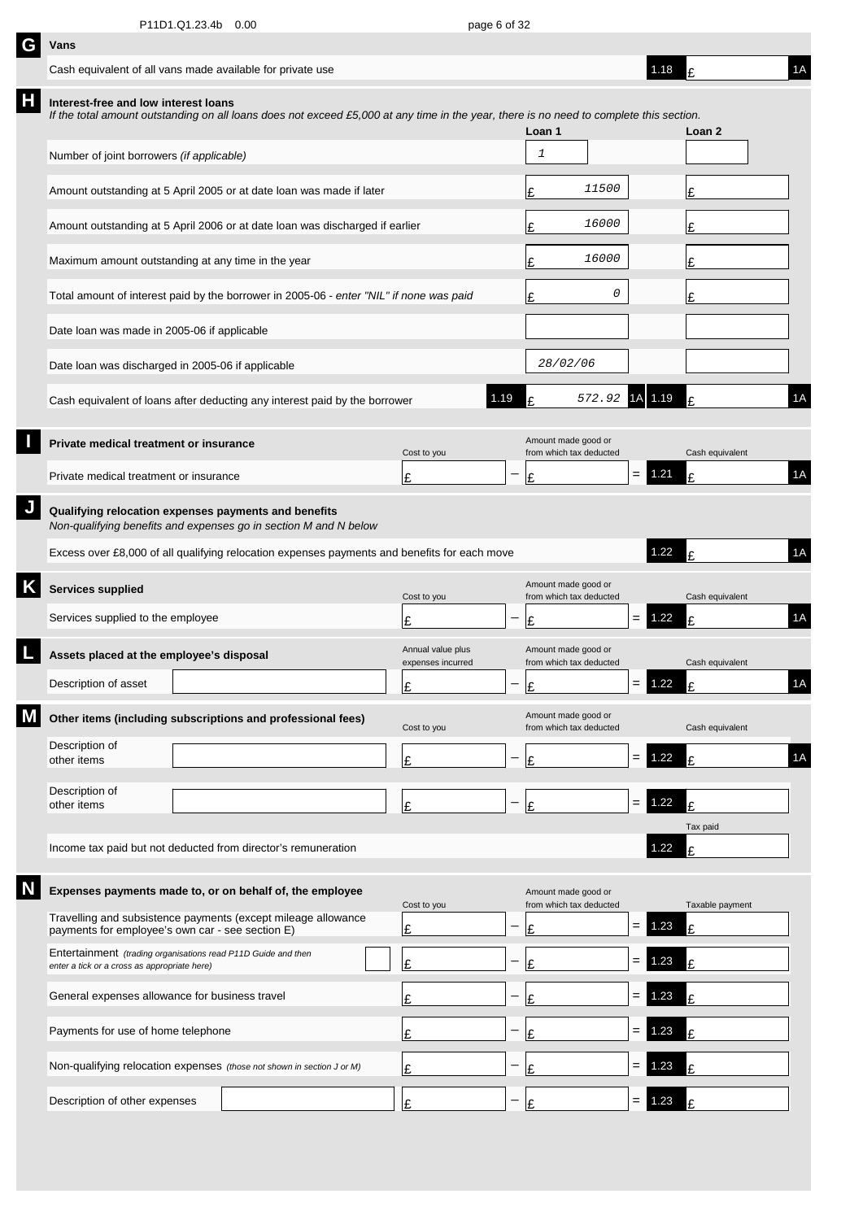| G | Vans                                                                                                                     |                                                                                                                                         |                                        |                   |                                                |     |      |                 |    |
|---|--------------------------------------------------------------------------------------------------------------------------|-----------------------------------------------------------------------------------------------------------------------------------------|----------------------------------------|-------------------|------------------------------------------------|-----|------|-----------------|----|
|   | Cash equivalent of all vans made available for private use                                                               |                                                                                                                                         |                                        |                   |                                                |     | 1.18 |                 | 1A |
| Н | Interest-free and low interest loans                                                                                     | If the total amount outstanding on all loans does not exceed £5,000 at any time in the year, there is no need to complete this section. |                                        |                   | Loan 1                                         |     |      | Loan 2          |    |
|   | Number of joint borrowers (if applicable)                                                                                |                                                                                                                                         |                                        |                   | $\mathbf{1}$                                   |     |      |                 |    |
|   | Amount outstanding at 5 April 2005 or at date loan was made if later                                                     |                                                                                                                                         |                                        |                   | 11500<br>£                                     |     |      | Ι£              |    |
|   |                                                                                                                          | Amount outstanding at 5 April 2006 or at date loan was discharged if earlier                                                            |                                        |                   | 16000<br>£                                     |     |      | £               |    |
|   | Maximum amount outstanding at any time in the year                                                                       |                                                                                                                                         |                                        |                   | 16000<br>£                                     |     |      | £               |    |
|   |                                                                                                                          | Total amount of interest paid by the borrower in 2005-06 - enter "NIL" if none was paid                                                 |                                        |                   | 0<br>£                                         |     |      | £               |    |
|   | Date loan was made in 2005-06 if applicable                                                                              |                                                                                                                                         |                                        |                   |                                                |     |      |                 |    |
|   | Date loan was discharged in 2005-06 if applicable                                                                        |                                                                                                                                         |                                        |                   | 28/02/06                                       |     |      |                 |    |
|   |                                                                                                                          | Cash equivalent of loans after deducting any interest paid by the borrower                                                              | 1.19                                   |                   | 572.92                                         | 1A  | 1.19 | f               | 1A |
|   | Private medical treatment or insurance                                                                                   |                                                                                                                                         | Cost to you                            |                   | Amount made good or<br>from which tax deducted |     |      | Cash equivalent |    |
|   | Private medical treatment or insurance                                                                                   |                                                                                                                                         | £                                      |                   | £                                              | $=$ | 1.21 | £               | 1A |
| J | Qualifying relocation expenses payments and benefits<br>Non-qualifying benefits and expenses go in section M and N below |                                                                                                                                         |                                        |                   |                                                |     |      |                 |    |
|   |                                                                                                                          | Excess over £8,000 of all qualifying relocation expenses payments and benefits for each move                                            |                                        |                   |                                                |     | 1.22 | F               | 1A |
| Κ | Services supplied                                                                                                        |                                                                                                                                         | Cost to you                            |                   | Amount made good or<br>from which tax deducted |     |      | Cash equivalent |    |
|   | Services supplied to the employee                                                                                        |                                                                                                                                         | £                                      |                   | £                                              | $=$ | 1.22 | £               | 1A |
|   | Assets placed at the employee's disposal                                                                                 |                                                                                                                                         | Annual value plus<br>expenses incurred |                   | Amount made good or<br>from which tax deducted |     |      | Cash equivalent |    |
|   | Description of asset                                                                                                     |                                                                                                                                         | Ŀ                                      | $\qquad \qquad -$ | £                                              | $=$ | 1.22 | c               | 1A |
| М | Other items (including subscriptions and professional fees)                                                              |                                                                                                                                         | Cost to you                            |                   | Amount made good or<br>from which tax deducted |     |      | Cash equivalent |    |
|   | Description of<br>other items                                                                                            |                                                                                                                                         | £                                      |                   | £                                              | $=$ | 1.22 | £               | 1A |
|   | Description of<br>other items                                                                                            |                                                                                                                                         | £                                      | —                 | £                                              | $=$ | 1.22 | £               |    |
|   |                                                                                                                          |                                                                                                                                         |                                        |                   |                                                |     |      | Tax paid        |    |
|   | Income tax paid but not deducted from director's remuneration                                                            |                                                                                                                                         |                                        |                   |                                                |     | 1.22 | £               |    |
|   | Expenses payments made to, or on behalf of, the employee                                                                 |                                                                                                                                         | Cost to you                            |                   | Amount made good or<br>from which tax deducted |     |      | Taxable payment |    |
|   | Travelling and subsistence payments (except mileage allowance<br>payments for employee's own car - see section E)        |                                                                                                                                         | £                                      |                   | £                                              | $=$ | 1.23 | £               |    |
|   | Entertainment (trading organisations read P11D Guide and then<br>enter a tick or a cross as appropriate here)            |                                                                                                                                         | £                                      |                   | £                                              | $=$ | .23  | £               |    |
|   | General expenses allowance for business travel                                                                           |                                                                                                                                         | £                                      |                   | £                                              | $=$ | .23  | £               |    |
|   | Payments for use of home telephone                                                                                       |                                                                                                                                         | £                                      |                   | £                                              | $=$ | .23  | £               |    |
|   | Non-qualifying relocation expenses (those not shown in section J or M)                                                   |                                                                                                                                         | £                                      |                   | £                                              | =   | 23   |                 |    |
|   | Description of other expenses                                                                                            |                                                                                                                                         | £                                      |                   | £                                              | $=$ | 1.23 | £               |    |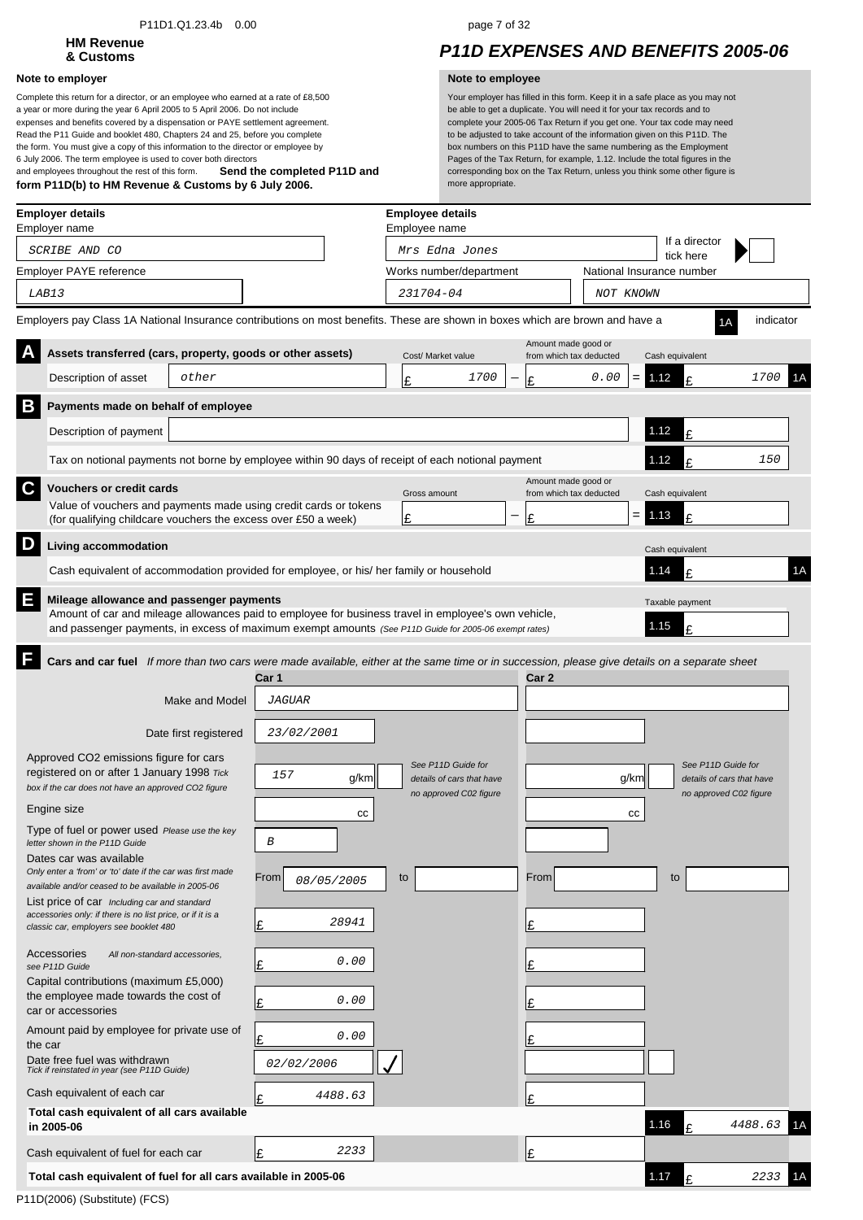### P11D1.Q1.23.4b 0.00 page 7 of 32

# **HM Revenue**

### **Note to employer Note to employee**

**Send the completed P11D and form P11D(b) to HM Revenue & Customs by 6 July 2006.** Complete this return for a director, or an employee who earned at a rate of £8,500 a year or more during the year 6 April 2005 to 5 April 2006. Do not include expenses and benefits covered by a dispensation or PAYE settlement agreement. Read the P11 Guide and booklet 480, Chapters 24 and 25, before you complete the form. You must give a copy of this information to the director or employee by 6 July 2006. The term employee is used to cover both directors and employees throughout the rest of this form.

## **& Customs** *P11D EXPENSES AND BENEFITS 2005-06*

|   | <b>Employer details</b><br>Employer name                                                                                                                                                                                                                  |                       |                    | <b>Employee details</b><br>Employee name            |      |                                                |           |                              |                                                     |    |
|---|-----------------------------------------------------------------------------------------------------------------------------------------------------------------------------------------------------------------------------------------------------------|-----------------------|--------------------|-----------------------------------------------------|------|------------------------------------------------|-----------|------------------------------|-----------------------------------------------------|----|
|   | SCRIBE AND CO                                                                                                                                                                                                                                             |                       |                    | Mrs Edna Jones                                      |      |                                                |           | If a director<br>tick here   |                                                     |    |
|   | Employer PAYE reference                                                                                                                                                                                                                                   |                       |                    | Works number/department                             |      |                                                |           | National Insurance number    |                                                     |    |
|   | LAB13                                                                                                                                                                                                                                                     |                       |                    | 231704-04                                           |      |                                                | NOT KNOWN |                              |                                                     |    |
|   | Employers pay Class 1A National Insurance contributions on most benefits. These are shown in boxes which are brown and have a                                                                                                                             |                       |                    |                                                     |      |                                                |           |                              | indicator                                           |    |
|   | Assets transferred (cars, property, goods or other assets)                                                                                                                                                                                                |                       |                    | Cost/ Market value                                  |      | Amount made good or<br>from which tax deducted |           | Cash equivalent              |                                                     |    |
|   | Description of asset                                                                                                                                                                                                                                      | other                 |                    | £                                                   | 1700 | 0.00<br>Ι£                                     | $=$       | 1.12<br>£                    | <i>1700</i>                                         | 1Α |
| B | Payments made on behalf of employee                                                                                                                                                                                                                       |                       |                    |                                                     |      |                                                |           |                              |                                                     |    |
|   | Description of payment                                                                                                                                                                                                                                    |                       |                    |                                                     |      |                                                |           | 1.12<br>£                    |                                                     |    |
|   | Tax on notional payments not borne by employee within 90 days of receipt of each notional payment                                                                                                                                                         |                       |                    |                                                     |      |                                                |           | 1.12<br>£                    | 150                                                 |    |
| C | <b>Vouchers or credit cards</b>                                                                                                                                                                                                                           |                       |                    | Gross amount                                        |      | Amount made good or<br>from which tax deducted |           | Cash equivalent              |                                                     |    |
|   | Value of vouchers and payments made using credit cards or tokens<br>(for qualifying childcare vouchers the excess over £50 a week)                                                                                                                        |                       |                    | £                                                   |      | £                                              | $= 1.13$  | £                            |                                                     |    |
| D | Living accommodation                                                                                                                                                                                                                                      |                       |                    |                                                     |      |                                                |           |                              |                                                     |    |
|   | Cash equivalent of accommodation provided for employee, or his/ her family or household                                                                                                                                                                   |                       |                    |                                                     |      |                                                |           | Cash equivalent<br>1.14<br>f |                                                     | 1A |
|   |                                                                                                                                                                                                                                                           |                       |                    |                                                     |      |                                                |           |                              |                                                     |    |
| E | Mileage allowance and passenger payments<br>Amount of car and mileage allowances paid to employee for business travel in employee's own vehicle,<br>and passenger payments, in excess of maximum exempt amounts (See P11D Guide for 2005-06 exempt rates) |                       |                    |                                                     |      |                                                |           | Taxable payment<br>1.15<br>£ |                                                     |    |
|   | Cars and car fuel If more than two cars were made available, either at the same time or in succession, please give details on a separate sheet                                                                                                            |                       |                    |                                                     |      |                                                |           |                              |                                                     |    |
|   |                                                                                                                                                                                                                                                           |                       | Car 1              |                                                     |      | Car 2                                          |           |                              |                                                     |    |
|   |                                                                                                                                                                                                                                                           | Make and Model        | <b>JAGUAR</b>      |                                                     |      |                                                |           |                              |                                                     |    |
|   |                                                                                                                                                                                                                                                           | Date first registered | 23/02/2001         |                                                     |      |                                                |           |                              |                                                     |    |
|   | Approved CO2 emissions figure for cars                                                                                                                                                                                                                    |                       |                    | See P11D Guide for                                  |      |                                                |           | See P11D Guide for           |                                                     |    |
|   | registered on or after 1 January 1998 Tick<br>box if the car does not have an approved CO2 figure                                                                                                                                                         |                       | 157<br>g/km        | details of cars that have<br>no approved C02 figure |      |                                                | g/km      |                              | details of cars that have<br>no approved C02 figure |    |
|   | Engine size                                                                                                                                                                                                                                               |                       | cc                 |                                                     |      |                                                | cc        |                              |                                                     |    |
|   | Type of fuel or power used Please use the key<br>letter shown in the P11D Guide                                                                                                                                                                           |                       | $\boldsymbol{B}$   |                                                     |      |                                                |           |                              |                                                     |    |
|   | Dates car was available                                                                                                                                                                                                                                   |                       |                    |                                                     |      |                                                |           |                              |                                                     |    |
|   | Only enter a 'from' or 'to' date if the car was first made<br>available and/or ceased to be available in 2005-06                                                                                                                                          |                       | From<br>08/05/2005 | to                                                  |      | From                                           |           | to                           |                                                     |    |
|   | List price of car Including car and standard<br>accessories only: if there is no list price, or if it is a<br>classic car, employers see booklet 480                                                                                                      |                       | 28941<br>Ι£        |                                                     |      | Ι£                                             |           |                              |                                                     |    |
|   | Accessories<br>All non-standard accessories,<br>see P11D Guide                                                                                                                                                                                            |                       | 0.00<br>Ι£         |                                                     |      | l£                                             |           |                              |                                                     |    |
|   | Capital contributions (maximum £5,000)<br>the employee made towards the cost of<br>car or accessories                                                                                                                                                     |                       | 0.00<br>Ŀ          |                                                     |      | l£                                             |           |                              |                                                     |    |
|   | Amount paid by employee for private use of<br>the car                                                                                                                                                                                                     |                       | 0.00<br>Ι£         |                                                     |      | £                                              |           |                              |                                                     |    |
|   | Date free fuel was withdrawn<br>Tick if reinstated in year (see P11D Guide)                                                                                                                                                                               |                       | 02/02/2006         |                                                     |      |                                                |           |                              |                                                     |    |
|   | Cash equivalent of each car                                                                                                                                                                                                                               |                       | 4488.63            |                                                     |      | £                                              |           |                              |                                                     |    |
|   | Total cash equivalent of all cars available<br>in 2005-06                                                                                                                                                                                                 |                       |                    |                                                     |      |                                                |           | 1.16<br>£                    | 4488.63                                             | 1Α |
|   | Cash equivalent of fuel for each car                                                                                                                                                                                                                      |                       | 2233<br>Ι£         |                                                     |      | Ι£                                             |           |                              |                                                     |    |
|   | Total cash equivalent of fuel for all cars available in 2005-06                                                                                                                                                                                           |                       |                    |                                                     |      |                                                |           | 1.17<br>£                    | 2233                                                | 1Α |
|   |                                                                                                                                                                                                                                                           |                       |                    |                                                     |      |                                                |           |                              |                                                     |    |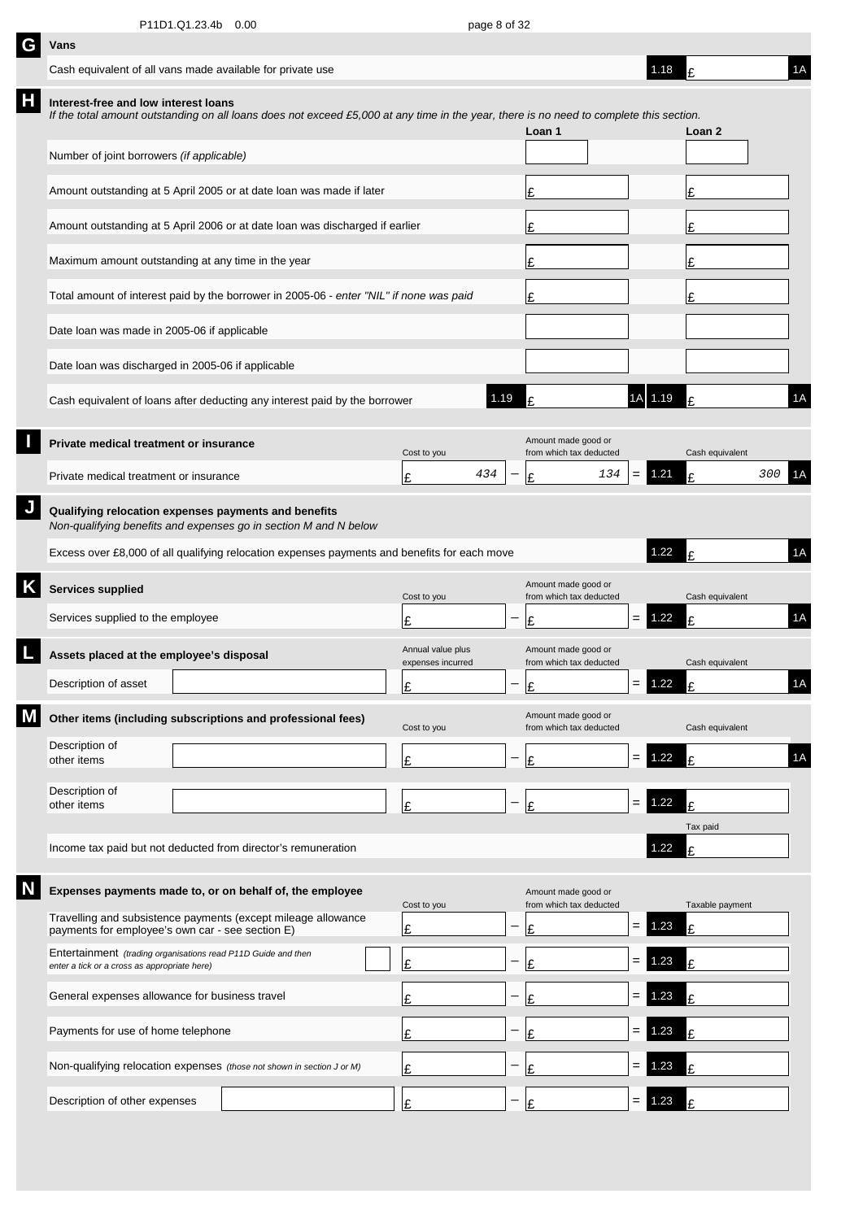| G | Vans                                                                                                                     |  |                                                                                                                                         |                                        |      |                                                |                   |          |                 |    |  |  |
|---|--------------------------------------------------------------------------------------------------------------------------|--|-----------------------------------------------------------------------------------------------------------------------------------------|----------------------------------------|------|------------------------------------------------|-------------------|----------|-----------------|----|--|--|
|   | Cash equivalent of all vans made available for private use                                                               |  |                                                                                                                                         |                                        |      |                                                |                   | 1.18     |                 | 1A |  |  |
| Н | Interest-free and low interest loans                                                                                     |  | If the total amount outstanding on all loans does not exceed £5,000 at any time in the year, there is no need to complete this section. |                                        |      | Loan 1                                         |                   |          | Loan 2          |    |  |  |
|   | Number of joint borrowers (if applicable)                                                                                |  |                                                                                                                                         |                                        |      |                                                |                   |          |                 |    |  |  |
|   |                                                                                                                          |  | Amount outstanding at 5 April 2005 or at date loan was made if later                                                                    |                                        |      | £                                              |                   |          | £               |    |  |  |
|   |                                                                                                                          |  | Amount outstanding at 5 April 2006 or at date loan was discharged if earlier                                                            |                                        | £    |                                                |                   | £        |                 |    |  |  |
|   | Maximum amount outstanding at any time in the year                                                                       |  |                                                                                                                                         |                                        | £    |                                                |                   | £        |                 |    |  |  |
|   |                                                                                                                          |  | Total amount of interest paid by the borrower in 2005-06 - enter "NIL" if none was paid                                                 |                                        | £    |                                                |                   | £        |                 |    |  |  |
|   | Date loan was made in 2005-06 if applicable                                                                              |  |                                                                                                                                         |                                        |      |                                                |                   |          |                 |    |  |  |
|   | Date loan was discharged in 2005-06 if applicable                                                                        |  |                                                                                                                                         |                                        |      |                                                |                   |          |                 |    |  |  |
|   |                                                                                                                          |  | Cash equivalent of loans after deducting any interest paid by the borrower                                                              |                                        | 1.19 | t                                              | 1A                | 1.19     |                 | 1A |  |  |
|   | Private medical treatment or insurance                                                                                   |  |                                                                                                                                         | Cost to you                            |      | Amount made good or<br>from which tax deducted |                   |          | Cash equivalent |    |  |  |
|   | Private medical treatment or insurance                                                                                   |  |                                                                                                                                         | 434<br>£                               |      | 134<br>£                                       | $=$               | 1.21     | 300<br>£        | 1Α |  |  |
|   | Qualifying relocation expenses payments and benefits<br>Non-qualifying benefits and expenses go in section M and N below |  |                                                                                                                                         |                                        |      |                                                |                   |          |                 |    |  |  |
|   |                                                                                                                          |  | Excess over £8,000 of all qualifying relocation expenses payments and benefits for each move                                            |                                        |      |                                                |                   | 1.22     |                 | 1A |  |  |
|   | <b>Services supplied</b>                                                                                                 |  |                                                                                                                                         | Cost to you                            |      | Amount made good or<br>from which tax deducted |                   |          | Cash equivalent |    |  |  |
|   | Services supplied to the employee                                                                                        |  |                                                                                                                                         | £                                      |      | £                                              | $=$               | 1.22     | $\mathbf{f}$    | 1A |  |  |
|   | Assets placed at the employee's disposal                                                                                 |  |                                                                                                                                         | Annual value plus<br>expenses incurred |      | Amount made good or<br>from which tax deducted |                   |          | Cash equivalent |    |  |  |
|   | Description of asset                                                                                                     |  |                                                                                                                                         | c<br>뜨                                 |      | ءا                                             |                   | $= 1.22$ | t               | 1A |  |  |
|   |                                                                                                                          |  | Other items (including subscriptions and professional fees)                                                                             | Cost to you                            |      | Amount made good or<br>from which tax deducted |                   |          | Cash equivalent |    |  |  |
|   | Description of<br>other items                                                                                            |  |                                                                                                                                         | £                                      |      | £                                              | $\quad =$         | 1.22     | £               | 1A |  |  |
|   | Description of                                                                                                           |  |                                                                                                                                         |                                        |      |                                                |                   | 1.22     |                 |    |  |  |
|   | other items                                                                                                              |  |                                                                                                                                         | £                                      |      | £                                              | $\qquad \qquad =$ |          | £<br>Tax paid   |    |  |  |
|   |                                                                                                                          |  | Income tax paid but not deducted from director's remuneration                                                                           |                                        |      |                                                |                   | 1.22     | £               |    |  |  |
|   |                                                                                                                          |  | Expenses payments made to, or on behalf of, the employee                                                                                | Cost to you                            |      | Amount made good or<br>from which tax deducted |                   |          | Taxable payment |    |  |  |
|   | payments for employee's own car - see section E)                                                                         |  | Travelling and subsistence payments (except mileage allowance                                                                           | £                                      |      | £                                              | $\qquad \qquad =$ | 1.23     | £               |    |  |  |
|   | Entertainment (trading organisations read P11D Guide and then<br>enter a tick or a cross as appropriate here)            |  |                                                                                                                                         | £                                      |      | £                                              | $=$               | 1.23     | £               |    |  |  |
|   | General expenses allowance for business travel                                                                           |  |                                                                                                                                         | £                                      |      | £                                              | $=$               | .23      | £               |    |  |  |
|   | Payments for use of home telephone                                                                                       |  |                                                                                                                                         | £                                      |      | £                                              | $=$               | .23      | £               |    |  |  |
|   |                                                                                                                          |  | Non-qualifying relocation expenses (those not shown in section J or M)                                                                  | £                                      |      | £                                              | $=$               | .23      | £               |    |  |  |
|   | Description of other expenses                                                                                            |  |                                                                                                                                         | £                                      |      | £                                              | $=$               | 1.23     |                 |    |  |  |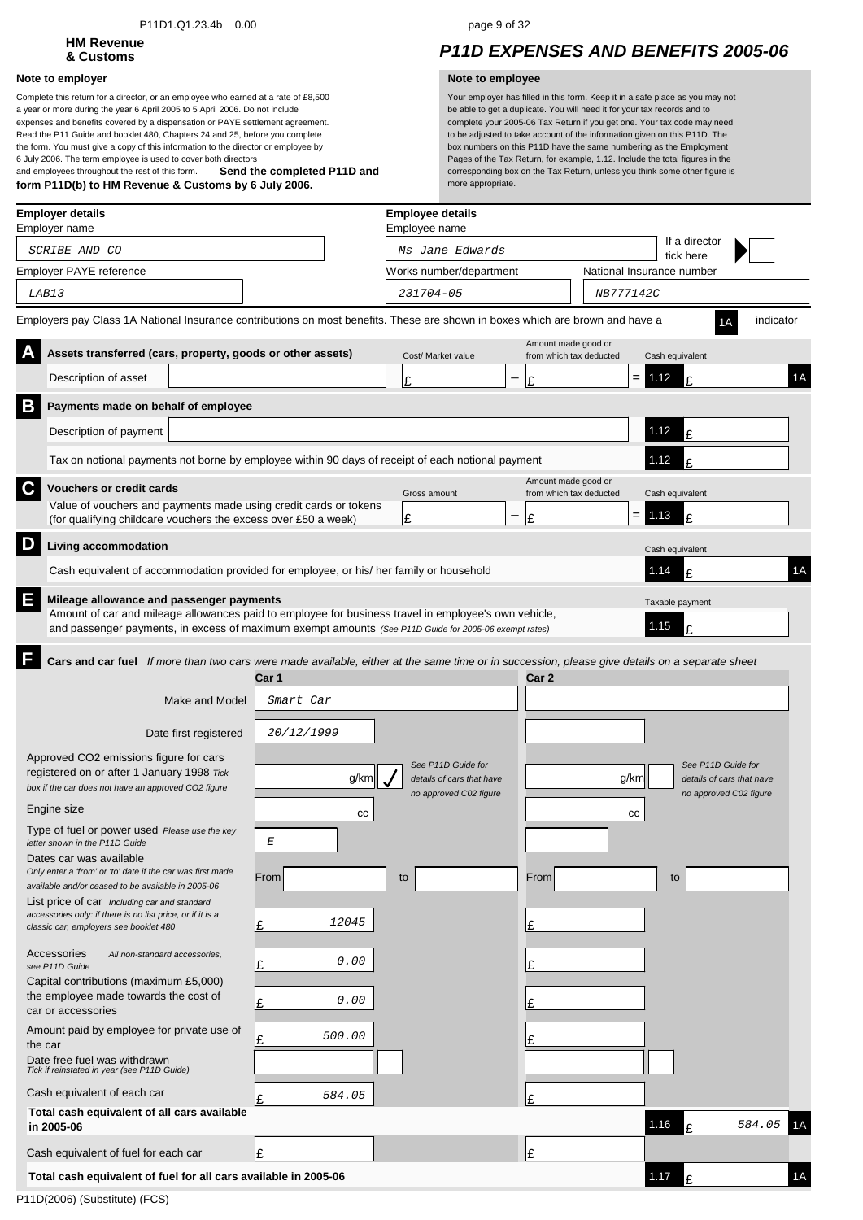### P11D1.Q1.23.4b 0.00 page 9 of 32

# **HM Revenue**

### **Note to employer Note to employee**

**Send the completed P11D and form P11D(b) to HM Revenue & Customs by 6 July 2006.** Complete this return for a director, or an employee who earned at a rate of £8,500 a year or more during the year 6 April 2005 to 5 April 2006. Do not include expenses and benefits covered by a dispensation or PAYE settlement agreement. Read the P11 Guide and booklet 480, Chapters 24 and 25, before you complete the form. You must give a copy of this information to the director or employee by 6 July 2006. The term employee is used to cover both directors and employees throughout the rest of this form.

## **& Customs** *P11D EXPENSES AND BENEFITS 2005-06*

|   | <b>Employer details</b><br>Employer name                                                                                                                                                                      |                  | <b>Employee details</b><br>Employee name            |                                                |                           |                                                     |           |    |
|---|---------------------------------------------------------------------------------------------------------------------------------------------------------------------------------------------------------------|------------------|-----------------------------------------------------|------------------------------------------------|---------------------------|-----------------------------------------------------|-----------|----|
|   | SCRIBE AND CO                                                                                                                                                                                                 |                  | Ms Jane Edwards                                     |                                                |                           | If a director<br>tick here                          |           |    |
|   | Employer PAYE reference                                                                                                                                                                                       |                  | Works number/department                             |                                                | National Insurance number |                                                     |           |    |
|   | LAB13                                                                                                                                                                                                         |                  | 231704-05                                           | NB777142C                                      |                           |                                                     |           |    |
|   | Employers pay Class 1A National Insurance contributions on most benefits. These are shown in boxes which are brown and have a                                                                                 |                  |                                                     |                                                |                           |                                                     | indicator |    |
|   | Assets transferred (cars, property, goods or other assets)                                                                                                                                                    |                  | Cost/ Market value                                  | Amount made good or<br>from which tax deducted |                           | Cash equivalent                                     |           |    |
|   | Description of asset                                                                                                                                                                                          |                  | Ŀ                                                   | Ι£                                             | $= 1.12$                  | £                                                   |           | 1A |
| B | Payments made on behalf of employee                                                                                                                                                                           |                  |                                                     |                                                |                           |                                                     |           |    |
|   | Description of payment                                                                                                                                                                                        |                  |                                                     |                                                |                           | 1.12<br>£                                           |           |    |
|   | Tax on notional payments not borne by employee within 90 days of receipt of each notional payment                                                                                                             |                  |                                                     |                                                |                           | 1.12<br>£                                           |           |    |
| C | <b>Vouchers or credit cards</b>                                                                                                                                                                               |                  | Gross amount                                        | Amount made good or<br>from which tax deducted |                           | Cash equivalent                                     |           |    |
|   | Value of vouchers and payments made using credit cards or tokens<br>(for qualifying childcare vouchers the excess over £50 a week)                                                                            |                  | £                                                   | Ι£                                             | $= 1.13$                  | £                                                   |           |    |
| D | Living accommodation                                                                                                                                                                                          |                  |                                                     |                                                |                           | Cash equivalent                                     |           |    |
|   | Cash equivalent of accommodation provided for employee, or his/ her family or household                                                                                                                       |                  |                                                     |                                                |                           | 1.14<br>£                                           |           | 1A |
| E | Mileage allowance and passenger payments                                                                                                                                                                      |                  |                                                     |                                                |                           |                                                     |           |    |
|   | Amount of car and mileage allowances paid to employee for business travel in employee's own vehicle,<br>and passenger payments, in excess of maximum exempt amounts (See P11D Guide for 2005-06 exempt rates) |                  |                                                     |                                                |                           | Taxable payment<br>1.15<br>£                        |           |    |
|   | Cars and car fuel If more than two cars were made available, either at the same time or in succession, please give details on a separate sheet                                                                |                  |                                                     |                                                |                           |                                                     |           |    |
|   |                                                                                                                                                                                                               | Car 1            |                                                     | Car 2                                          |                           |                                                     |           |    |
|   | Make and Model                                                                                                                                                                                                | Smart Car        |                                                     |                                                |                           |                                                     |           |    |
|   | Date first registered                                                                                                                                                                                         | 20/12/1999       |                                                     |                                                |                           |                                                     |           |    |
|   | Approved CO2 emissions figure for cars                                                                                                                                                                        |                  | See P11D Guide for                                  |                                                |                           | See P11D Guide for                                  |           |    |
|   | registered on or after 1 January 1998 Tick<br>box if the car does not have an approved CO2 figure                                                                                                             | g/km             | details of cars that have<br>no approved C02 figure |                                                | g/km                      | details of cars that have<br>no approved C02 figure |           |    |
|   | Engine size                                                                                                                                                                                                   | cc               |                                                     |                                                | СC                        |                                                     |           |    |
|   | Type of fuel or power used Please use the key<br>letter shown in the P11D Guide                                                                                                                               | $\boldsymbol{E}$ |                                                     |                                                |                           |                                                     |           |    |
|   | Dates car was available<br>Only enter a 'from' or 'to' date if the car was first made<br>available and/or ceased to be available in 2005-06                                                                   | From             | to                                                  | From                                           |                           | to                                                  |           |    |
|   | List price of car Including car and standard<br>accessories only: if there is no list price, or if it is a<br>classic car, employers see booklet 480                                                          | 12045<br>Ι£      |                                                     | Ŀ                                              |                           |                                                     |           |    |
|   | Accessories<br>All non-standard accessories,<br>see P11D Guide                                                                                                                                                | 0.00<br>Ι£       |                                                     | Ι£                                             |                           |                                                     |           |    |
|   | Capital contributions (maximum £5,000)<br>the employee made towards the cost of<br>car or accessories                                                                                                         | 0.00<br>Ι£       |                                                     | Ι£                                             |                           |                                                     |           |    |
|   | Amount paid by employee for private use of<br>the car                                                                                                                                                         | 500.00           |                                                     |                                                |                           |                                                     |           |    |
|   | Date free fuel was withdrawn<br>Tick if reinstated in year (see P11D Guide)                                                                                                                                   |                  |                                                     |                                                |                           |                                                     |           |    |
|   | Cash equivalent of each car                                                                                                                                                                                   | 584.05<br>l£     |                                                     | Ι£                                             |                           |                                                     |           |    |
|   | Total cash equivalent of all cars available<br>in 2005-06                                                                                                                                                     |                  |                                                     |                                                |                           | 1.16<br>£                                           | 584.05    |    |
|   | Cash equivalent of fuel for each car                                                                                                                                                                          | Ι£               |                                                     | Ι£                                             |                           |                                                     |           |    |
|   | Total cash equivalent of fuel for all cars available in 2005-06                                                                                                                                               |                  |                                                     |                                                |                           | 1.17<br>£                                           |           | 1A |
|   | $DAA$ DOOOO $DABABAB$ $DABCDCD$                                                                                                                                                                               |                  |                                                     |                                                |                           |                                                     |           |    |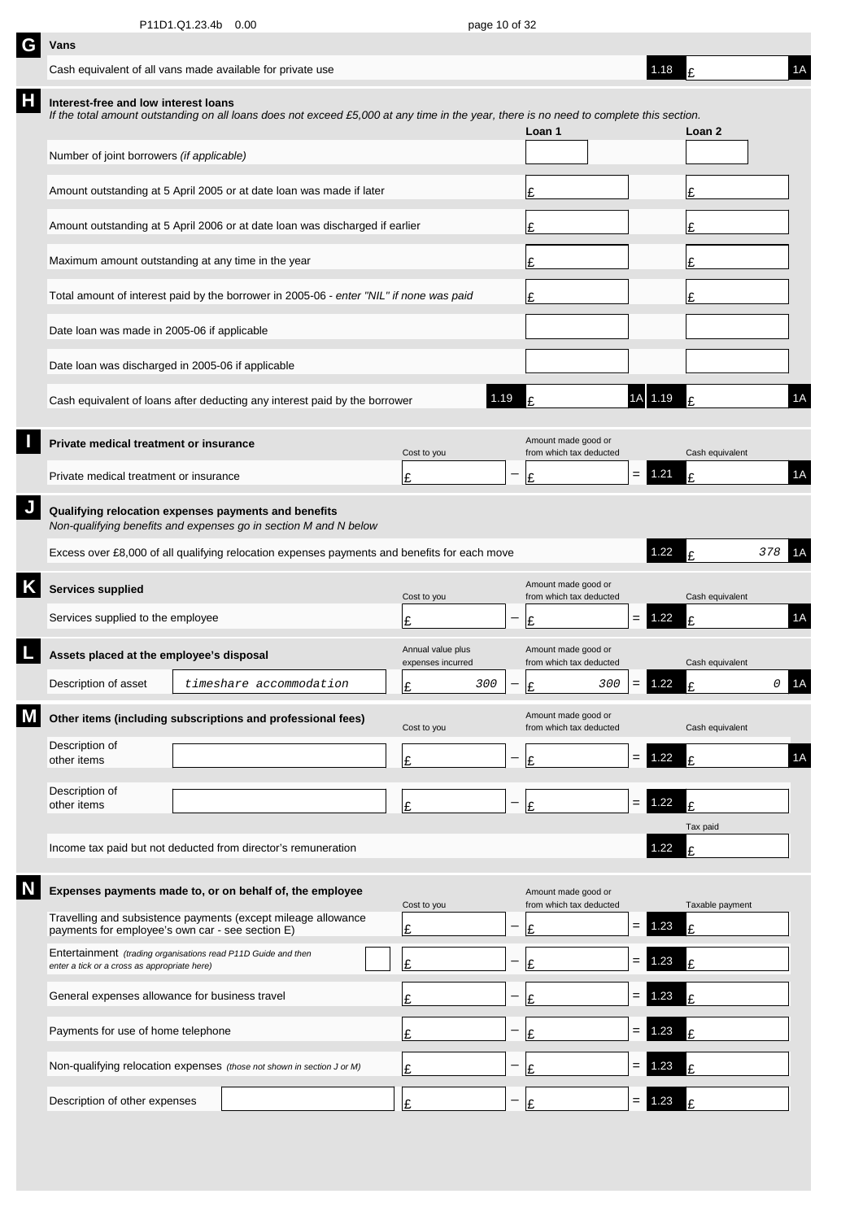| G | Vans                                                                                                                     |                                    |                                                                                                                                         |    |                                        |                          |                                                |     |          |                 |                |    |
|---|--------------------------------------------------------------------------------------------------------------------------|------------------------------------|-----------------------------------------------------------------------------------------------------------------------------------------|----|----------------------------------------|--------------------------|------------------------------------------------|-----|----------|-----------------|----------------|----|
|   | Cash equivalent of all vans made available for private use                                                               |                                    |                                                                                                                                         |    |                                        |                          |                                                |     | 1.18     | £               |                | 1A |
| Н | Interest-free and low interest loans                                                                                     |                                    | If the total amount outstanding on all loans does not exceed £5,000 at any time in the year, there is no need to complete this section. |    |                                        |                          | Loan 1                                         |     |          | Loan 2          |                |    |
|   | Number of joint borrowers (if applicable)                                                                                |                                    |                                                                                                                                         |    |                                        |                          |                                                |     |          |                 |                |    |
|   |                                                                                                                          |                                    | Amount outstanding at 5 April 2005 or at date loan was made if later                                                                    |    |                                        |                          | £                                              |     |          | £               |                |    |
|   | Amount outstanding at 5 April 2006 or at date loan was discharged if earlier                                             |                                    |                                                                                                                                         | Ι£ |                                        |                          | £                                              |     |          |                 |                |    |
|   | Maximum amount outstanding at any time in the year                                                                       |                                    |                                                                                                                                         |    |                                        |                          | Ι£                                             |     |          | £               |                |    |
|   | Total amount of interest paid by the borrower in 2005-06 - enter "NIL" if none was paid                                  |                                    |                                                                                                                                         | Ι£ |                                        |                          | £                                              |     |          |                 |                |    |
|   | Date loan was made in 2005-06 if applicable                                                                              |                                    |                                                                                                                                         |    |                                        |                          |                                                |     |          |                 |                |    |
|   | Date loan was discharged in 2005-06 if applicable                                                                        |                                    |                                                                                                                                         |    |                                        |                          |                                                |     |          |                 |                |    |
|   |                                                                                                                          |                                    | Cash equivalent of loans after deducting any interest paid by the borrower                                                              |    | 1.19                                   |                          | £                                              | 1AI | 1.19     | £               |                | 1A |
|   | Private medical treatment or insurance                                                                                   |                                    |                                                                                                                                         |    | Cost to you                            |                          | Amount made good or<br>from which tax deducted |     |          | Cash equivalent |                |    |
|   | Private medical treatment or insurance                                                                                   |                                    |                                                                                                                                         |    | £                                      |                          | Ι£                                             | $=$ | 1.21     | £               |                | 1A |
|   | Qualifying relocation expenses payments and benefits<br>Non-qualifying benefits and expenses go in section M and N below |                                    |                                                                                                                                         |    |                                        |                          |                                                |     |          |                 |                |    |
|   |                                                                                                                          |                                    | Excess over £8,000 of all qualifying relocation expenses payments and benefits for each move                                            |    |                                        |                          |                                                |     | 1.22     | t               | 378            | 1A |
|   | <b>Services supplied</b>                                                                                                 |                                    |                                                                                                                                         |    | Cost to you                            |                          | Amount made good or<br>from which tax deducted |     |          | Cash equivalent |                |    |
|   | Services supplied to the employee                                                                                        |                                    |                                                                                                                                         |    | £                                      |                          | £                                              | $=$ | 1.22     | £               |                | 1A |
|   | Assets placed at the employee's disposal                                                                                 |                                    |                                                                                                                                         |    | Annual value plus<br>expenses incurred |                          | Amount made good or<br>from which tax deducted |     |          | Cash equivalent |                |    |
|   | Description of asset                                                                                                     |                                    | timeshare accommodation                                                                                                                 |    | 300<br>Ŀ                               | $\overline{\phantom{a}}$ | 300<br>١¢                                      |     | $= 1.22$ | t               | $\overline{O}$ | 1A |
|   |                                                                                                                          |                                    | Other items (including subscriptions and professional fees)                                                                             |    | Cost to you                            |                          | Amount made good or<br>from which tax deducted |     |          | Cash equivalent |                |    |
|   | Description of<br>other items                                                                                            |                                    |                                                                                                                                         |    | £                                      |                          | Ι£                                             | $=$ | 1.22     | £               |                | 1A |
|   | Description of<br>other items                                                                                            |                                    |                                                                                                                                         |    | £                                      |                          | Ι£                                             | $=$ | 1.22     | £               |                |    |
|   |                                                                                                                          |                                    |                                                                                                                                         |    |                                        |                          |                                                |     |          | Tax paid        |                |    |
|   |                                                                                                                          |                                    | Income tax paid but not deducted from director's remuneration                                                                           |    |                                        |                          |                                                |     | 1.22     | £               |                |    |
|   |                                                                                                                          |                                    | Expenses payments made to, or on behalf of, the employee                                                                                |    | Cost to you                            |                          | Amount made good or<br>from which tax deducted |     |          | Taxable payment |                |    |
|   | payments for employee's own car - see section E)                                                                         |                                    | Travelling and subsistence payments (except mileage allowance                                                                           |    | £                                      |                          | t                                              | $=$ | 1.23     | £               |                |    |
|   | Entertainment (trading organisations read P11D Guide and then<br>enter a tick or a cross as appropriate here)            |                                    |                                                                                                                                         |    | £                                      |                          | £                                              | $=$ | 1.23     | £               |                |    |
|   | General expenses allowance for business travel                                                                           |                                    |                                                                                                                                         |    | Ι£                                     |                          | £                                              | $=$ | 23       | £               |                |    |
|   |                                                                                                                          | Payments for use of home telephone |                                                                                                                                         |    |                                        |                          | £                                              | $=$ | .23      | £               |                |    |
|   |                                                                                                                          |                                    | Non-qualifying relocation expenses (those not shown in section J or M)                                                                  |    | £                                      |                          | £                                              | =   | 23       | £               |                |    |
|   | Description of other expenses                                                                                            |                                    |                                                                                                                                         |    | £                                      |                          | t                                              | =   | .23      |                 |                |    |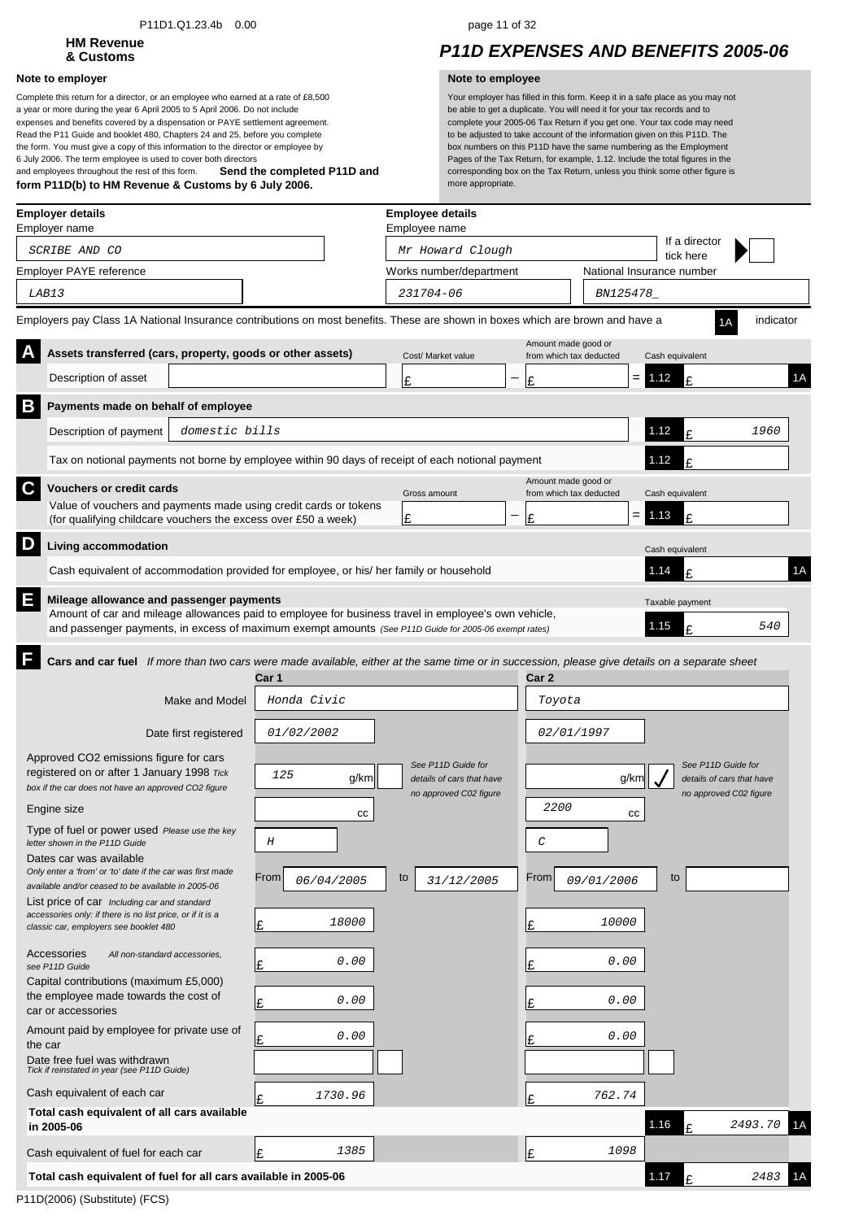### P11D1.Q1.23.4b 0.00 page 11 of 32

# **HM Revenue**

### **Note to employer Note to employee**

**Send the completed P11D and form P11D(b) to HM Revenue & Customs by 6 July 2006.** Complete this return for a director, or an employee who earned at a rate of £8,500 a year or more during the year 6 April 2005 to 5 April 2006. Do not include expenses and benefits covered by a dispensation or PAYE settlement agreement. Read the P11 Guide and booklet 480, Chapters 24 and 25, before you complete the form. You must give a copy of this information to the director or employee by 6 July 2006. The term employee is used to cover both directors and employees throughout the rest of this form.

## **& Customs** *P11D EXPENSES AND BENEFITS 2005-06*

| <b>Employer details</b><br>Employer name                                                                                                              |                    | <b>Employee details</b><br>Employee name        |                                                |                           |                                                 |           |    |
|-------------------------------------------------------------------------------------------------------------------------------------------------------|--------------------|-------------------------------------------------|------------------------------------------------|---------------------------|-------------------------------------------------|-----------|----|
| SCRIBE AND CO                                                                                                                                         |                    | Mr Howard Clough                                |                                                |                           | If a director                                   |           |    |
| Employer PAYE reference                                                                                                                               |                    | Works number/department                         |                                                | National Insurance number | tick here                                       |           |    |
| LAB13                                                                                                                                                 |                    | 231704-06                                       |                                                | BN125478_                 |                                                 |           |    |
| Employers pay Class 1A National Insurance contributions on most benefits. These are shown in boxes which are brown and have a                         |                    |                                                 |                                                |                           |                                                 | indicator |    |
| Assets transferred (cars, property, goods or other assets)                                                                                            |                    | Cost/ Market value                              | Amount made good or<br>from which tax deducted |                           | Cash equivalent                                 |           |    |
| Description of asset                                                                                                                                  |                    | £                                               | —<br>Ι£                                        | $=$                       | 1.12<br>£                                       |           | 1A |
| Β<br>Payments made on behalf of employee                                                                                                              |                    |                                                 |                                                |                           |                                                 |           |    |
| Description of payment<br>domestic bills                                                                                                              |                    |                                                 |                                                |                           | 1.12<br>£                                       | 1960      |    |
| Tax on notional payments not borne by employee within 90 days of receipt of each notional payment                                                     |                    |                                                 |                                                |                           | 1.12<br>£                                       |           |    |
| C<br><b>Vouchers or credit cards</b>                                                                                                                  |                    | Gross amount                                    | Amount made good or<br>from which tax deducted |                           | Cash equivalent                                 |           |    |
| Value of vouchers and payments made using credit cards or tokens                                                                                      |                    | £                                               | Ι£                                             | $=$                       | 1.13<br>£                                       |           |    |
| (for qualifying childcare vouchers the excess over £50 a week)<br>D                                                                                   |                    |                                                 |                                                |                           |                                                 |           |    |
| Living accommodation                                                                                                                                  |                    |                                                 |                                                |                           | Cash equivalent                                 |           |    |
| Cash equivalent of accommodation provided for employee, or his/ her family or household                                                               |                    |                                                 |                                                |                           | 1.14<br>£                                       |           | 1A |
| E<br>Mileage allowance and passenger payments<br>Amount of car and mileage allowances paid to employee for business travel in employee's own vehicle, |                    |                                                 |                                                |                           | Taxable payment                                 |           |    |
| and passenger payments, in excess of maximum exempt amounts (See P11D Guide for 2005-06 exempt rates)                                                 |                    |                                                 |                                                |                           | 1.15<br>£                                       | 540       |    |
| F<br>Cars and car fuel If more than two cars were made available, either at the same time or in succession, please give details on a separate sheet   |                    |                                                 |                                                |                           |                                                 |           |    |
|                                                                                                                                                       | Car 1              |                                                 | Car 2                                          |                           |                                                 |           |    |
| Make and Model                                                                                                                                        | Honda Civic        |                                                 | Toyota                                         |                           |                                                 |           |    |
| Date first registered                                                                                                                                 | <i>01/02/2002</i>  |                                                 | <i>02/01/1997</i>                              |                           |                                                 |           |    |
| Approved CO2 emissions figure for cars                                                                                                                |                    |                                                 |                                                |                           |                                                 |           |    |
| registered on or after 1 January 1998 Tick<br>box if the car does not have an approved CO2 figure                                                     | 125<br>g/km        | See P11D Guide for<br>details of cars that have |                                                | g/km                      | See P11D Guide for<br>details of cars that have |           |    |
| Engine size                                                                                                                                           |                    | no approved C02 figure                          | 2200                                           |                           | no approved C02 figure                          |           |    |
| Type of fuel or power used Please use the key                                                                                                         | cc                 |                                                 |                                                | СC                        |                                                 |           |    |
| letter shown in the P11D Guide<br>Dates car was available                                                                                             | Н                  |                                                 | С                                              |                           |                                                 |           |    |
| Only enter a 'from' or 'to' date if the car was first made                                                                                            | From<br>06/04/2005 | to<br>31/12/2005                                | From                                           | 09/01/2006                | to                                              |           |    |
| available and/or ceased to be available in 2005-06<br>List price of car Including car and standard                                                    |                    |                                                 |                                                |                           |                                                 |           |    |
| accessories only: if there is no list price, or if it is a<br>classic car, employers see booklet 480                                                  | 18000<br>Ŀ         |                                                 | £                                              | 10000                     |                                                 |           |    |
| Accessories<br>All non-standard accessories,<br>see P11D Guide                                                                                        | 0.00<br>Ŀ          |                                                 | Ŀ                                              | 0.00                      |                                                 |           |    |
| Capital contributions (maximum £5,000)                                                                                                                |                    |                                                 |                                                |                           |                                                 |           |    |
| the employee made towards the cost of<br>car or accessories                                                                                           | 0.00<br>Ι£         |                                                 | Ι£                                             | 0.00                      |                                                 |           |    |
| Amount paid by employee for private use of<br>the car                                                                                                 | 0.00<br>Ŀ          |                                                 | Ι£                                             | 0.00                      |                                                 |           |    |
| Date free fuel was withdrawn<br>Tick if reinstated in year (see P11D Guide)                                                                           |                    |                                                 |                                                |                           |                                                 |           |    |
| Cash equivalent of each car                                                                                                                           | 1730.96<br>Ι£      |                                                 | Ι£                                             | 762.74                    |                                                 |           |    |
| Total cash equivalent of all cars available<br>in 2005-06                                                                                             |                    |                                                 |                                                |                           | 1.16<br>£                                       | 2493.70   | 1Α |
| Cash equivalent of fuel for each car                                                                                                                  | 1385<br>Ι£         |                                                 | Ι£                                             | 1098                      |                                                 |           |    |
| Total cash equivalent of fuel for all cars available in 2005-06                                                                                       |                    |                                                 |                                                |                           | 1.17<br>£                                       | 2483      |    |
|                                                                                                                                                       |                    |                                                 |                                                |                           |                                                 |           |    |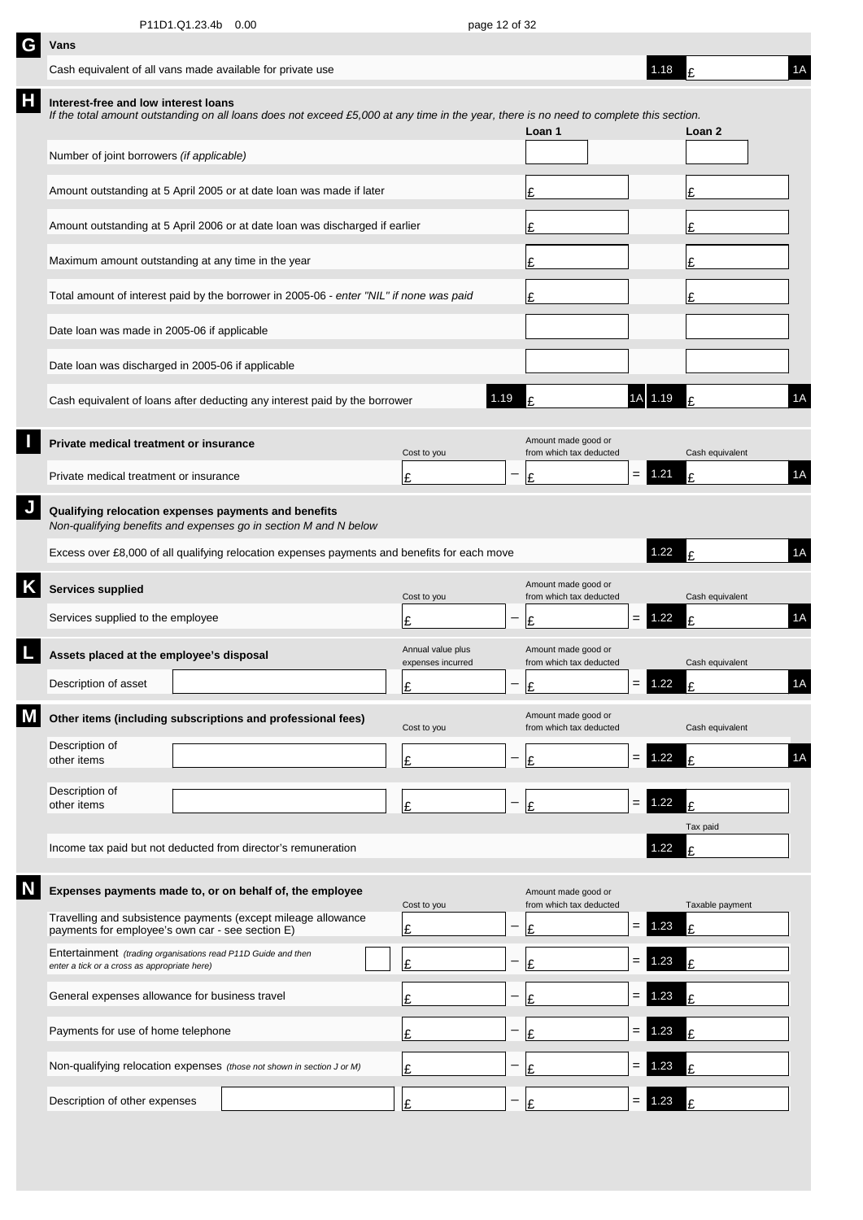| G | Vans                                                                                                          |                                                                                                                                         |                                        |      |                                                |                    |          |                 |    |
|---|---------------------------------------------------------------------------------------------------------------|-----------------------------------------------------------------------------------------------------------------------------------------|----------------------------------------|------|------------------------------------------------|--------------------|----------|-----------------|----|
|   | Cash equivalent of all vans made available for private use                                                    |                                                                                                                                         |                                        |      |                                                |                    | 1.18     |                 | 1A |
| Н | Interest-free and low interest loans                                                                          | If the total amount outstanding on all loans does not exceed £5,000 at any time in the year, there is no need to complete this section. |                                        |      | Loan 1                                         |                    |          | Loan 2          |    |
|   | Number of joint borrowers (if applicable)                                                                     |                                                                                                                                         |                                        |      |                                                |                    |          |                 |    |
|   |                                                                                                               | Amount outstanding at 5 April 2005 or at date loan was made if later                                                                    |                                        |      | £                                              |                    |          | £               |    |
|   |                                                                                                               | Amount outstanding at 5 April 2006 or at date loan was discharged if earlier                                                            |                                        |      | £                                              |                    |          | £               |    |
|   | Maximum amount outstanding at any time in the year                                                            |                                                                                                                                         |                                        |      | £                                              |                    |          | £               |    |
|   |                                                                                                               | Total amount of interest paid by the borrower in 2005-06 - enter "NIL" if none was paid                                                 |                                        |      | £                                              |                    |          | £               |    |
|   | Date loan was made in 2005-06 if applicable                                                                   |                                                                                                                                         |                                        |      |                                                |                    |          |                 |    |
|   | Date loan was discharged in 2005-06 if applicable                                                             |                                                                                                                                         |                                        |      |                                                |                    |          |                 |    |
|   |                                                                                                               | Cash equivalent of loans after deducting any interest paid by the borrower                                                              |                                        | 1.19 | t                                              | 1A                 | 1.19     |                 | 1A |
|   | Private medical treatment or insurance                                                                        |                                                                                                                                         | Cost to you                            |      | Amount made good or<br>from which tax deducted |                    |          | Cash equivalent |    |
|   | Private medical treatment or insurance                                                                        |                                                                                                                                         | £                                      |      | £                                              | $=$ $\overline{ }$ | 1.21     | £               | 1A |
|   | Qualifying relocation expenses payments and benefits                                                          | Non-qualifying benefits and expenses go in section M and N below                                                                        |                                        |      |                                                |                    |          |                 |    |
|   |                                                                                                               | Excess over £8,000 of all qualifying relocation expenses payments and benefits for each move                                            |                                        |      |                                                |                    | 1.22     |                 | 1A |
|   | <b>Services supplied</b>                                                                                      |                                                                                                                                         | Cost to you                            |      | Amount made good or<br>from which tax deducted |                    |          | Cash equivalent |    |
|   | Services supplied to the employee                                                                             |                                                                                                                                         | £                                      |      | £                                              | $=$                | 1.22     | $\mathbf{f}$    | 1A |
|   | Assets placed at the employee's disposal                                                                      |                                                                                                                                         | Annual value plus<br>expenses incurred |      | Amount made good or<br>from which tax deducted |                    |          | Cash equivalent |    |
|   | Description of asset                                                                                          |                                                                                                                                         | c<br>뜨                                 |      | ءا                                             |                    | $= 1.22$ | t               | 1A |
|   |                                                                                                               | Other items (including subscriptions and professional fees)                                                                             | Cost to you                            |      | Amount made good or<br>from which tax deducted |                    |          | Cash equivalent |    |
|   | Description of<br>other items                                                                                 |                                                                                                                                         | £                                      |      | £                                              | $\quad =$          | 1.22     | £               | 1A |
|   | Description of                                                                                                |                                                                                                                                         |                                        |      |                                                |                    | 1.22     |                 |    |
|   | other items                                                                                                   |                                                                                                                                         | £                                      |      | £                                              | $\qquad \qquad =$  |          | £<br>Tax paid   |    |
|   |                                                                                                               | Income tax paid but not deducted from director's remuneration                                                                           |                                        |      |                                                |                    | 1.22     | £               |    |
|   |                                                                                                               | Expenses payments made to, or on behalf of, the employee                                                                                | Cost to you                            |      | Amount made good or<br>from which tax deducted |                    |          | Taxable payment |    |
|   | payments for employee's own car - see section E)                                                              | Travelling and subsistence payments (except mileage allowance                                                                           | £                                      |      | £                                              | $\qquad \qquad =$  | 1.23     | £               |    |
|   | Entertainment (trading organisations read P11D Guide and then<br>enter a tick or a cross as appropriate here) |                                                                                                                                         | £                                      |      | £                                              | $=$                | 1.23     | £               |    |
|   | General expenses allowance for business travel                                                                |                                                                                                                                         | £                                      |      | £                                              | $=$                | .23      | £               |    |
|   | Payments for use of home telephone                                                                            |                                                                                                                                         | £                                      |      | £                                              | $=$                | .23      | £               |    |
|   |                                                                                                               | Non-qualifying relocation expenses (those not shown in section J or M)                                                                  | £                                      |      | £                                              | $=$                | .23      | £               |    |
|   | Description of other expenses                                                                                 |                                                                                                                                         | £                                      |      | £                                              | $=$                | 1.23     |                 |    |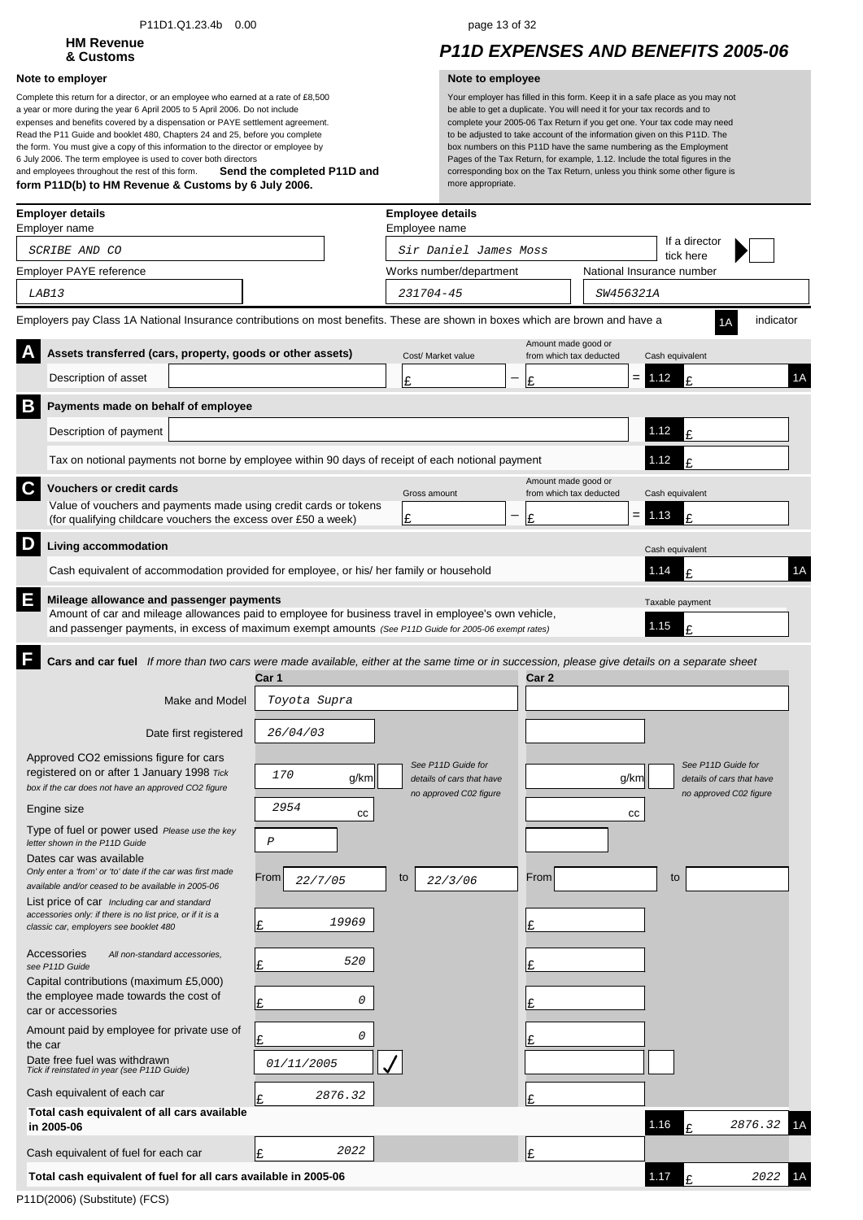### P11D1.Q1.23.4b 0.00 page 13 of 32

# **HM Revenue**

### **Note to employer Note to employee**

**Send the completed P11D and form P11D(b) to HM Revenue & Customs by 6 July 2006.** Complete this return for a director, or an employee who earned at a rate of £8,500 a year or more during the year 6 April 2005 to 5 April 2006. Do not include expenses and benefits covered by a dispensation or PAYE settlement agreement. Read the P11 Guide and booklet 480, Chapters 24 and 25, before you complete the form. You must give a copy of this information to the director or employee by 6 July 2006. The term employee is used to cover both directors and employees throughout the rest of this form.

## **& Customs** *P11D EXPENSES AND BENEFITS 2005-06*

| <b>Employer details</b><br>Employer name                                                                                                                                                                      |                 | <b>Employee details</b><br>Employee name            |                                                |                           |                                                     |               |
|---------------------------------------------------------------------------------------------------------------------------------------------------------------------------------------------------------------|-----------------|-----------------------------------------------------|------------------------------------------------|---------------------------|-----------------------------------------------------|---------------|
| SCRIBE AND CO                                                                                                                                                                                                 |                 | Sir Daniel James Moss                               |                                                |                           | If a director<br>tick here                          |               |
| Employer PAYE reference                                                                                                                                                                                       |                 | Works number/department                             |                                                | National Insurance number |                                                     |               |
| LAB13                                                                                                                                                                                                         |                 | 231704-45                                           |                                                | <i>SW456321A</i>          |                                                     |               |
| Employers pay Class 1A National Insurance contributions on most benefits. These are shown in boxes which are brown and have a                                                                                 |                 |                                                     |                                                |                           |                                                     | indicator     |
| Assets transferred (cars, property, goods or other assets)                                                                                                                                                    |                 | Cost/ Market value                                  | Amount made good or<br>from which tax deducted |                           | Cash equivalent                                     |               |
| Description of asset                                                                                                                                                                                          |                 | £                                                   | £                                              | $=$                       | 1.12<br>F                                           | 1A            |
| B<br>Payments made on behalf of employee                                                                                                                                                                      |                 |                                                     |                                                |                           |                                                     |               |
| Description of payment                                                                                                                                                                                        |                 |                                                     |                                                |                           | 1.12<br>£                                           |               |
| Tax on notional payments not borne by employee within 90 days of receipt of each notional payment                                                                                                             |                 |                                                     |                                                |                           | 1.12<br>£                                           |               |
| C<br><b>Vouchers or credit cards</b>                                                                                                                                                                          |                 | Gross amount                                        | Amount made good or<br>from which tax deducted |                           | Cash equivalent                                     |               |
| Value of vouchers and payments made using credit cards or tokens<br>(for qualifying childcare vouchers the excess over £50 a week)                                                                            |                 | Ι£                                                  | £                                              | $=$                       | 1.13<br>£                                           |               |
| D<br>Living accommodation                                                                                                                                                                                     |                 |                                                     |                                                |                           | Cash equivalent                                     |               |
| Cash equivalent of accommodation provided for employee, or his/ her family or household                                                                                                                       |                 |                                                     |                                                |                           | 1.14<br>£                                           | 1A            |
| E<br>Mileage allowance and passenger payments                                                                                                                                                                 |                 |                                                     |                                                |                           | Taxable payment                                     |               |
| Amount of car and mileage allowances paid to employee for business travel in employee's own vehicle,<br>and passenger payments, in excess of maximum exempt amounts (See P11D Guide for 2005-06 exempt rates) |                 |                                                     |                                                |                           | 1.15<br>£                                           |               |
| F                                                                                                                                                                                                             |                 |                                                     |                                                |                           |                                                     |               |
| Cars and car fuel If more than two cars were made available, either at the same time or in succession, please give details on a separate sheet                                                                | Car 1           |                                                     | Car 2                                          |                           |                                                     |               |
| Make and Model                                                                                                                                                                                                | Toyota Supra    |                                                     |                                                |                           |                                                     |               |
| Date first registered                                                                                                                                                                                         | 26/04/03        |                                                     |                                                |                           |                                                     |               |
| Approved CO2 emissions figure for cars                                                                                                                                                                        |                 | See P11D Guide for                                  |                                                |                           | See P11D Guide for                                  |               |
| registered on or after 1 January 1998 Tick<br>box if the car does not have an approved CO2 figure                                                                                                             | 170<br>g/km     | details of cars that have<br>no approved C02 figure |                                                | g/km                      | details of cars that have<br>no approved C02 figure |               |
| Engine size                                                                                                                                                                                                   | 2954<br>СC      |                                                     |                                                | cc                        |                                                     |               |
| Type of fuel or power used Please use the key<br>letter shown in the P11D Guide                                                                                                                               | $\cal P$        |                                                     |                                                |                           |                                                     |               |
| Dates car was available<br>Only enter a 'from' or 'to' date if the car was first made                                                                                                                         |                 |                                                     |                                                |                           |                                                     |               |
| available and/or ceased to be available in 2005-06                                                                                                                                                            | From<br>22/7/05 | to<br>22/3/06                                       | From                                           |                           | to                                                  |               |
| List price of car Including car and standard<br>accessories only: if there is no list price, or if it is a                                                                                                    | 19969<br>Ι£     |                                                     | Ι£                                             |                           |                                                     |               |
| classic car, employers see booklet 480<br>Accessories                                                                                                                                                         |                 |                                                     |                                                |                           |                                                     |               |
| All non-standard accessories,<br>see P11D Guide                                                                                                                                                               | 520<br>Ι£       |                                                     | Ι£                                             |                           |                                                     |               |
| Capital contributions (maximum £5,000)<br>the employee made towards the cost of                                                                                                                               | 0<br>Ι£         |                                                     |                                                |                           |                                                     |               |
| car or accessories<br>Amount paid by employee for private use of                                                                                                                                              |                 |                                                     |                                                |                           |                                                     |               |
| the car                                                                                                                                                                                                       | 0<br>Ŀ          |                                                     | Ι£                                             |                           |                                                     |               |
| Date free fuel was withdrawn<br>Tick if reinstated in year (see P11D Guide)                                                                                                                                   | 01/11/2005      |                                                     |                                                |                           |                                                     |               |
| Cash equivalent of each car                                                                                                                                                                                   | 2876.32         |                                                     | £                                              |                           |                                                     |               |
| Total cash equivalent of all cars available<br>in 2005-06                                                                                                                                                     |                 |                                                     |                                                |                           | 1.16<br>£                                           | 2876.32<br>1Α |
| Cash equivalent of fuel for each car                                                                                                                                                                          | 2022<br>Ι£      |                                                     | £                                              |                           |                                                     |               |
| Total cash equivalent of fuel for all cars available in 2005-06                                                                                                                                               |                 |                                                     |                                                |                           | 1.17<br>£                                           | 2022<br>1Α    |
|                                                                                                                                                                                                               |                 |                                                     |                                                |                           |                                                     |               |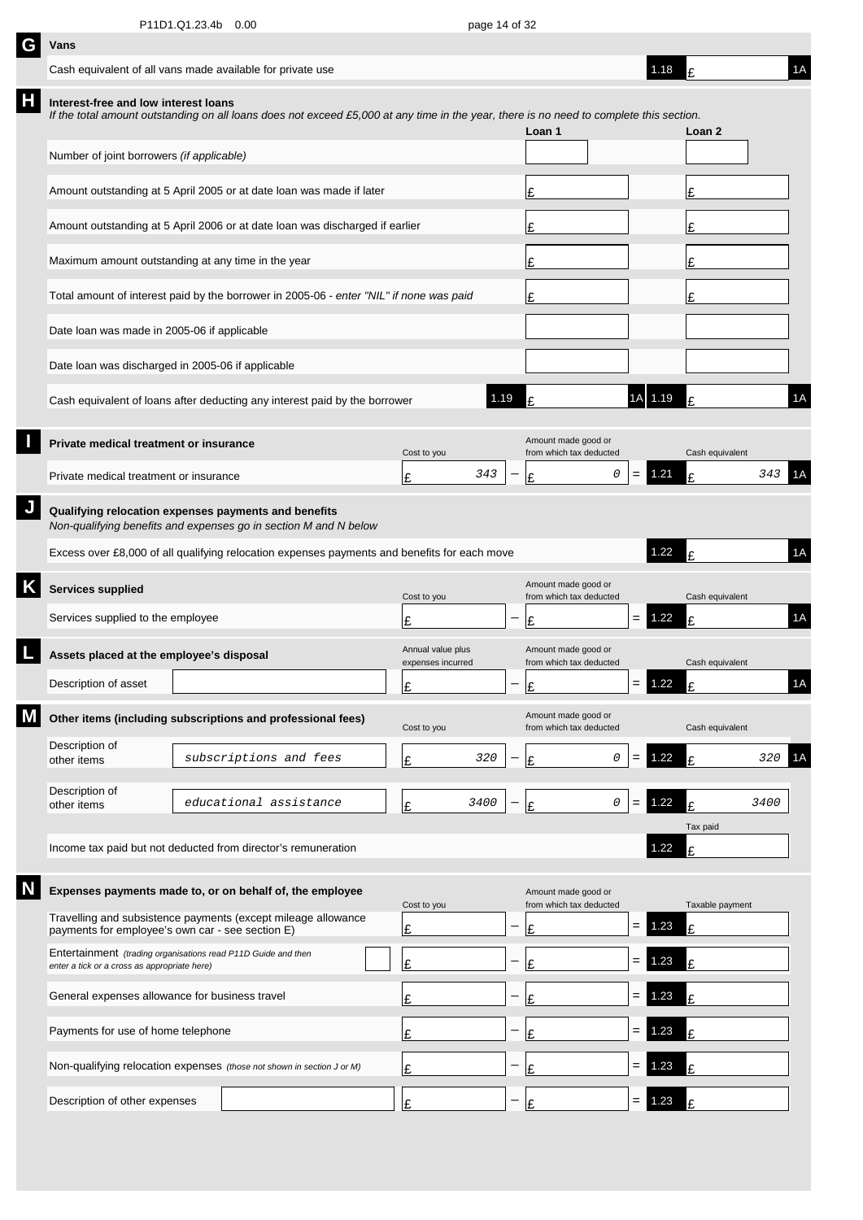| G | Vans                                                                                                          |                                                                                                                                         |                                        |      |                          |                                                |     |      |                 |      |    |
|---|---------------------------------------------------------------------------------------------------------------|-----------------------------------------------------------------------------------------------------------------------------------------|----------------------------------------|------|--------------------------|------------------------------------------------|-----|------|-----------------|------|----|
|   | Cash equivalent of all vans made available for private use                                                    |                                                                                                                                         |                                        |      |                          |                                                |     | 1.18 |                 |      | 1A |
| Н | Interest-free and low interest loans                                                                          | If the total amount outstanding on all loans does not exceed £5,000 at any time in the year, there is no need to complete this section. |                                        |      |                          | Loan 1                                         |     |      | Loan 2          |      |    |
|   | Number of joint borrowers (if applicable)                                                                     |                                                                                                                                         |                                        |      |                          |                                                |     |      |                 |      |    |
|   |                                                                                                               | Amount outstanding at 5 April 2005 or at date loan was made if later                                                                    |                                        |      |                          | £                                              |     |      | Ι£              |      |    |
|   |                                                                                                               | Amount outstanding at 5 April 2006 or at date loan was discharged if earlier                                                            |                                        |      |                          | Ι£                                             |     |      | Ι£              |      |    |
|   | Maximum amount outstanding at any time in the year                                                            |                                                                                                                                         |                                        |      |                          | Ι£                                             |     |      | Ι£              |      |    |
|   |                                                                                                               | Total amount of interest paid by the borrower in 2005-06 - enter "NIL" if none was paid                                                 |                                        |      |                          | Ι£                                             |     |      | £               |      |    |
|   | Date loan was made in 2005-06 if applicable                                                                   |                                                                                                                                         |                                        |      |                          |                                                |     |      |                 |      |    |
|   | Date loan was discharged in 2005-06 if applicable                                                             |                                                                                                                                         |                                        |      |                          |                                                |     |      |                 |      |    |
|   |                                                                                                               | Cash equivalent of loans after deducting any interest paid by the borrower                                                              |                                        | 1.19 |                          |                                                | 1A  | 1.19 |                 |      | 1A |
|   | Private medical treatment or insurance                                                                        |                                                                                                                                         | Cost to you                            |      |                          | Amount made good or<br>from which tax deducted |     |      | Cash equivalent |      |    |
|   | Private medical treatment or insurance                                                                        |                                                                                                                                         | £                                      | 343  |                          | 0<br>Ι£                                        | $=$ | 1.21 | £               | 343  | 1Α |
|   | Qualifying relocation expenses payments and benefits                                                          | Non-qualifying benefits and expenses go in section M and N below                                                                        |                                        |      |                          |                                                |     |      |                 |      |    |
|   |                                                                                                               | Excess over £8,000 of all qualifying relocation expenses payments and benefits for each move                                            |                                        |      |                          |                                                |     | 1.22 |                 |      | 1A |
|   | <b>Services supplied</b>                                                                                      |                                                                                                                                         | Cost to you                            |      |                          | Amount made good or<br>from which tax deducted |     |      | Cash equivalent |      |    |
|   | Services supplied to the employee                                                                             |                                                                                                                                         | Ι£                                     |      |                          | £                                              | $=$ | 1.22 | £               |      | 1A |
|   | Assets placed at the employee's disposal                                                                      |                                                                                                                                         | Annual value plus<br>expenses incurred |      |                          | Amount made good or<br>from which tax deducted |     |      | Cash equivalent |      |    |
|   | Description of asset                                                                                          |                                                                                                                                         | c<br>뜨                                 |      | $\overline{\phantom{0}}$ | $\mathbf{C}$                                   | = 1 | 1.22 | t               |      | 1A |
|   |                                                                                                               | Other items (including subscriptions and professional fees)                                                                             | Cost to you                            |      |                          | Amount made good or<br>from which tax deducted |     |      | Cash equivalent |      |    |
|   | Description of<br>other items                                                                                 | subscriptions and fees                                                                                                                  | £                                      | 320  |                          | 0<br>£                                         | $=$ | 1.22 | £               | 320  | 1A |
|   | Description of<br>other items                                                                                 | educational assistance                                                                                                                  | £                                      | 3400 |                          | 0<br>Ι£                                        | $=$ | 1.22 | £               | 3400 |    |
|   |                                                                                                               | Income tax paid but not deducted from director's remuneration                                                                           |                                        |      |                          |                                                |     | 1.22 | Tax paid<br>£   |      |    |
|   |                                                                                                               | Expenses payments made to, or on behalf of, the employee                                                                                | Cost to you                            |      |                          | Amount made good or<br>from which tax deducted |     |      | Taxable payment |      |    |
|   | payments for employee's own car - see section E)                                                              | Travelling and subsistence payments (except mileage allowance                                                                           | £                                      |      |                          | £                                              | $=$ | .23  | £               |      |    |
|   | Entertainment (trading organisations read P11D Guide and then<br>enter a tick or a cross as appropriate here) |                                                                                                                                         | Ι£                                     |      |                          | £                                              | $=$ | .23  | £               |      |    |
|   | General expenses allowance for business travel                                                                |                                                                                                                                         | Ŀ                                      |      |                          | £                                              | $=$ | .23  | £               |      |    |
|   | Payments for use of home telephone                                                                            |                                                                                                                                         | Ŀ                                      |      |                          | £                                              | $=$ | .23  | £               |      |    |
|   |                                                                                                               | Non-qualifying relocation expenses (those not shown in section J or M)                                                                  | £                                      |      |                          | £                                              | $=$ | .23  | £               |      |    |
|   | Description of other expenses                                                                                 |                                                                                                                                         | £                                      |      |                          | £                                              | =   | .23  |                 |      |    |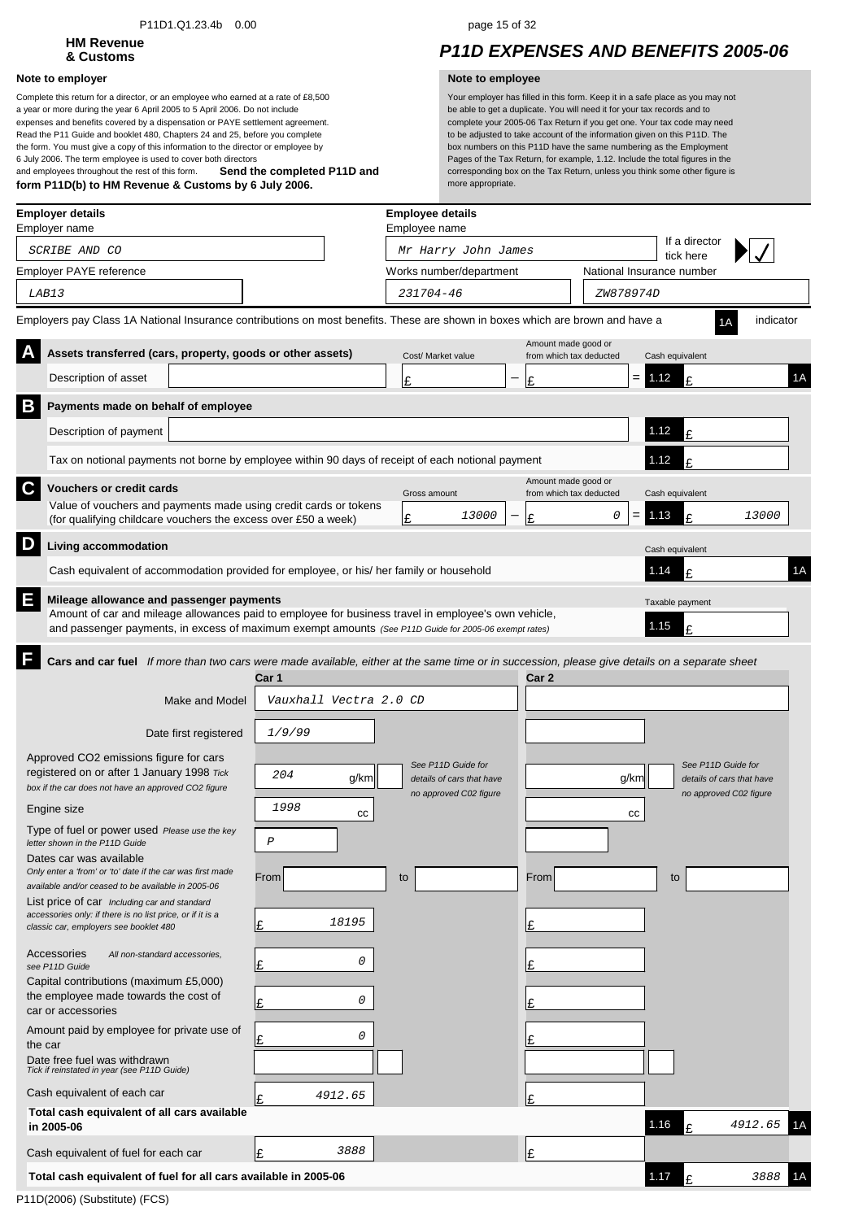### P11D1.Q1.23.4b 0.00 page 15 of 32

# **HM Revenue**

### **Note to employer Note to employee**

**Send the completed P11D and form P11D(b) to HM Revenue & Customs by 6 July 2006.** Complete this return for a director, or an employee who earned at a rate of £8,500 a year or more during the year 6 April 2005 to 5 April 2006. Do not include expenses and benefits covered by a dispensation or PAYE settlement agreement. Read the P11 Guide and booklet 480, Chapters 24 and 25, before you complete the form. You must give a copy of this information to the director or employee by 6 July 2006. The term employee is used to cover both directors and employees throughout the rest of this form.

## **& Customs** *P11D EXPENSES AND BENEFITS 2005-06*

| <b>Employer details</b><br>Employer name                                                                                                                                                                                                                       |                                           | <b>Employee details</b><br>Employee name                                  |                                                |           |                                                                           |           |
|----------------------------------------------------------------------------------------------------------------------------------------------------------------------------------------------------------------------------------------------------------------|-------------------------------------------|---------------------------------------------------------------------------|------------------------------------------------|-----------|---------------------------------------------------------------------------|-----------|
| SCRIBE AND CO                                                                                                                                                                                                                                                  |                                           | Mr Harry John James                                                       |                                                |           | If a director<br>tick here                                                |           |
| Employer PAYE reference                                                                                                                                                                                                                                        |                                           | Works number/department                                                   |                                                |           | National Insurance number                                                 |           |
| LAB13                                                                                                                                                                                                                                                          |                                           | 231704-46                                                                 |                                                | ZW878974D |                                                                           |           |
| Employers pay Class 1A National Insurance contributions on most benefits. These are shown in boxes which are brown and have a                                                                                                                                  |                                           |                                                                           |                                                |           |                                                                           | indicator |
| Assets transferred (cars, property, goods or other assets)                                                                                                                                                                                                     |                                           | Cost/ Market value                                                        | Amount made good or<br>from which tax deducted |           | Cash equivalent                                                           |           |
| Description of asset                                                                                                                                                                                                                                           |                                           | £                                                                         | Ι£                                             |           | $= 1.12$<br>£                                                             | 1A        |
| B<br>Payments made on behalf of employee                                                                                                                                                                                                                       |                                           |                                                                           |                                                |           |                                                                           |           |
| Description of payment                                                                                                                                                                                                                                         |                                           |                                                                           |                                                |           | 1.12<br>£                                                                 |           |
| Tax on notional payments not borne by employee within 90 days of receipt of each notional payment                                                                                                                                                              |                                           |                                                                           |                                                |           | 1.12                                                                      |           |
| C<br><b>Vouchers or credit cards</b>                                                                                                                                                                                                                           |                                           | Gross amount                                                              | Amount made good or<br>from which tax deducted |           | Cash equivalent                                                           |           |
| Value of vouchers and payments made using credit cards or tokens<br>(for qualifying childcare vouchers the excess over £50 a week)                                                                                                                             |                                           | 13000<br>Ι£                                                               | Ι£                                             | 0         | 1.13<br>£                                                                 | 13000     |
| D<br>Living accommodation                                                                                                                                                                                                                                      |                                           |                                                                           |                                                |           | Cash equivalent                                                           |           |
| Cash equivalent of accommodation provided for employee, or his/ her family or household                                                                                                                                                                        |                                           |                                                                           |                                                |           | 1.14<br>£                                                                 | 1A        |
| E<br>Mileage allowance and passenger payments<br>Amount of car and mileage allowances paid to employee for business travel in employee's own vehicle,<br>and passenger payments, in excess of maximum exempt amounts (See P11D Guide for 2005-06 exempt rates) |                                           |                                                                           |                                                |           | Taxable payment<br>1.15<br>¢                                              |           |
| Cars and car fuel If more than two cars were made available, either at the same time or in succession, please give details on a separate sheet<br>Make and Model<br>Date first registered                                                                      | Car 1<br>Vauxhall Vectra 2.0 CD<br>1/9/99 |                                                                           | Car 2                                          |           |                                                                           |           |
| Approved CO2 emissions figure for cars<br>registered on or after 1 January 1998 Tick<br>box if the car does not have an approved CO2 figure                                                                                                                    | 204<br>g/km                               | See P11D Guide for<br>details of cars that have<br>no approved C02 figure |                                                | g/km      | See P11D Guide for<br>details of cars that have<br>no approved C02 figure |           |
| Engine size                                                                                                                                                                                                                                                    | 1998<br>cс                                |                                                                           |                                                | cс        |                                                                           |           |
| Type of fuel or power used Please use the key<br>letter shown in the P11D Guide                                                                                                                                                                                | $\cal P$                                  |                                                                           |                                                |           |                                                                           |           |
| Dates car was available<br>Only enter a 'from' or 'to' date if the car was first made<br>available and/or ceased to be available in 2005-06                                                                                                                    | From                                      | to                                                                        | From                                           |           | to                                                                        |           |
| List price of car Including car and standard<br>accessories only: if there is no list price, or if it is a<br>classic car, employers see booklet 480                                                                                                           | 18195<br>Ŀ                                |                                                                           | Ŀ                                              |           |                                                                           |           |
| Accessories<br>All non-standard accessories,<br>see P11D Guide                                                                                                                                                                                                 | 0<br>£                                    |                                                                           | £                                              |           |                                                                           |           |
| Capital contributions (maximum £5,000)<br>the employee made towards the cost of<br>car or accessories                                                                                                                                                          | 0<br>Ŀ                                    |                                                                           | £                                              |           |                                                                           |           |
| Amount paid by employee for private use of<br>the car                                                                                                                                                                                                          | 0<br>Ι£                                   |                                                                           |                                                |           |                                                                           |           |
| Date free fuel was withdrawn<br>Tick if reinstated in year (see P11D Guide)                                                                                                                                                                                    |                                           |                                                                           |                                                |           |                                                                           |           |
| Cash equivalent of each car                                                                                                                                                                                                                                    | 4912.65<br>l£                             |                                                                           | £                                              |           |                                                                           |           |
| Total cash equivalent of all cars available<br>in 2005-06                                                                                                                                                                                                      |                                           |                                                                           |                                                |           | 1.16                                                                      | 4912.65   |
| Cash equivalent of fuel for each car                                                                                                                                                                                                                           | 3888<br>Ι£                                |                                                                           | Ι£                                             |           |                                                                           |           |
| Total cash equivalent of fuel for all cars available in 2005-06                                                                                                                                                                                                |                                           |                                                                           |                                                |           | 1.17                                                                      | 3888      |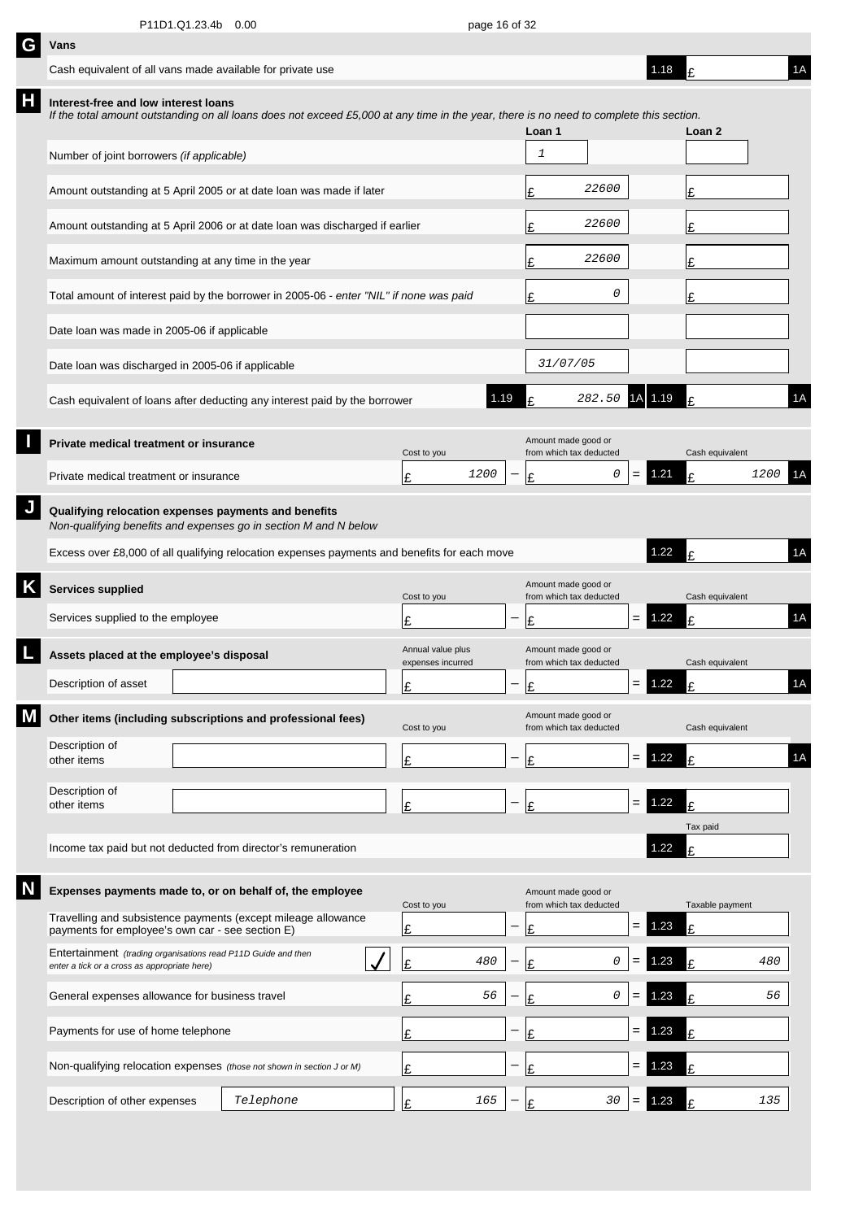| G | Vans                                                                                                                                                                            |           |                                        |                                                |     |          |                 |      |    |
|---|---------------------------------------------------------------------------------------------------------------------------------------------------------------------------------|-----------|----------------------------------------|------------------------------------------------|-----|----------|-----------------|------|----|
|   | Cash equivalent of all vans made available for private use                                                                                                                      |           |                                        |                                                |     | 1.18     |                 |      | 1A |
| Н | Interest-free and low interest loans<br>If the total amount outstanding on all loans does not exceed £5,000 at any time in the year, there is no need to complete this section. |           |                                        | Loan 1                                         |     |          | Loan 2          |      |    |
|   | Number of joint borrowers (if applicable)                                                                                                                                       |           |                                        | 1                                              |     |          |                 |      |    |
|   | Amount outstanding at 5 April 2005 or at date loan was made if later                                                                                                            |           |                                        | 22600<br>£                                     |     |          | £               |      |    |
|   | Amount outstanding at 5 April 2006 or at date loan was discharged if earlier                                                                                                    |           |                                        | 22600<br>£                                     |     |          | £               |      |    |
|   | Maximum amount outstanding at any time in the year                                                                                                                              |           |                                        | 22600<br>£                                     |     |          | £               |      |    |
|   | Total amount of interest paid by the borrower in 2005-06 - enter "NIL" if none was paid                                                                                         |           |                                        | 0<br>£                                         |     |          | £               |      |    |
|   | Date loan was made in 2005-06 if applicable                                                                                                                                     |           |                                        |                                                |     |          |                 |      |    |
|   | Date loan was discharged in 2005-06 if applicable                                                                                                                               |           |                                        | 31/07/05                                       |     |          |                 |      |    |
|   | Cash equivalent of loans after deducting any interest paid by the borrower                                                                                                      |           | 1.19                                   | 282.50                                         | 1A  | 1.19     | £               |      | 1A |
|   | Private medical treatment or insurance                                                                                                                                          |           | Cost to you                            | Amount made good or<br>from which tax deducted |     |          | Cash equivalent |      |    |
|   | Private medical treatment or insurance                                                                                                                                          |           | 1200<br>£                              | 0<br>£                                         | =   | 1.21     | £               | 1200 |    |
| J | Qualifying relocation expenses payments and benefits<br>Non-qualifying benefits and expenses go in section M and N below                                                        |           |                                        |                                                |     |          |                 |      |    |
|   | Excess over £8,000 of all qualifying relocation expenses payments and benefits for each move                                                                                    |           |                                        |                                                |     | 1.22     | £               |      | 1A |
| Κ | <b>Services supplied</b>                                                                                                                                                        |           | Cost to you                            | Amount made good or<br>from which tax deducted |     |          | Cash equivalent |      |    |
|   | Services supplied to the employee                                                                                                                                               |           | £                                      | £                                              | $=$ | 1.22     | £               |      | 1A |
|   | Assets placed at the employee's disposal                                                                                                                                        |           | Annual value plus<br>expenses incurred | Amount made good or<br>from which tax deducted |     |          | Cash equivalent |      |    |
|   | Description of asset                                                                                                                                                            |           | ¢                                      | $\mathbf{C}$                                   |     | $= 1.22$ | t               |      | 1A |
|   | Other items (including subscriptions and professional fees)                                                                                                                     |           | Cost to you                            | Amount made good or<br>from which tax deducted |     |          | Cash equivalent |      |    |
|   | Description of<br>other items                                                                                                                                                   |           | £                                      | £                                              | $=$ | 1.22     | £               |      | 1A |
|   | Description of<br>other items                                                                                                                                                   |           | £                                      | £                                              | $=$ | 1.22     | £               |      |    |
|   |                                                                                                                                                                                 |           |                                        |                                                |     |          | Tax paid        |      |    |
|   | Income tax paid but not deducted from director's remuneration                                                                                                                   |           |                                        |                                                |     | 1.22     | £               |      |    |
|   | Expenses payments made to, or on behalf of, the employee                                                                                                                        |           | Cost to you                            | Amount made good or<br>from which tax deducted |     |          | Taxable payment |      |    |
|   | Travelling and subsistence payments (except mileage allowance<br>payments for employee's own car - see section E)                                                               |           | £                                      | £                                              | $=$ | 1.23     | £               |      |    |
|   | Entertainment (trading organisations read P11D Guide and then<br>enter a tick or a cross as appropriate here)                                                                   |           | 480<br>Ŀ                               | 0<br>£                                         |     | 1.23     | £               | 480  |    |
|   | General expenses allowance for business travel                                                                                                                                  |           | 56<br>£                                | 0<br>£                                         |     | 1.23     | £               | 56   |    |
|   | Payments for use of home telephone                                                                                                                                              |           | £                                      | £                                              | $=$ | .23      | £               |      |    |
|   | Non-qualifying relocation expenses (those not shown in section J or M)                                                                                                          |           | £                                      | £                                              | $=$ | .23      | £               |      |    |
|   | Description of other expenses                                                                                                                                                   | Telephone | 165<br>£                               | 30<br>£                                        |     | 1.23     | F               | 135  |    |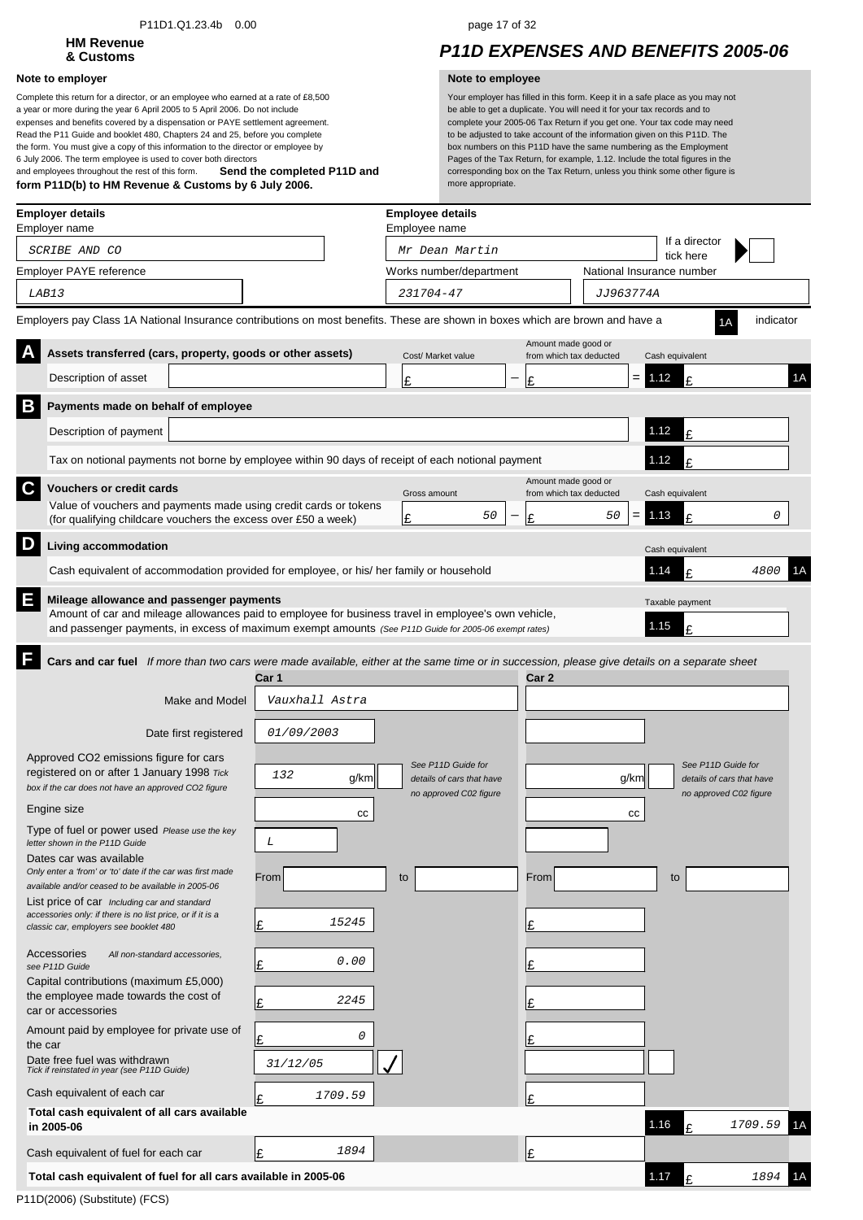### P11D1.Q1.23.4b 0.00 page 17 of 32

# **HM Revenue**

### **Note to employer Note to employee**

**Send the completed P11D and form P11D(b) to HM Revenue & Customs by 6 July 2006.** Complete this return for a director, or an employee who earned at a rate of £8,500 a year or more during the year 6 April 2005 to 5 April 2006. Do not include expenses and benefits covered by a dispensation or PAYE settlement agreement. Read the P11 Guide and booklet 480, Chapters 24 and 25, before you complete the form. You must give a copy of this information to the director or employee by 6 July 2006. The term employee is used to cover both directors and employees throughout the rest of this form.

## **& Customs** *P11D EXPENSES AND BENEFITS 2005-06*

|   | <b>Employer details</b><br>Employer name                                                                                                                                                                                                                  |                                       | <b>Employee details</b><br>Employee name                                  |                                                |           |                                                                           |           |    |
|---|-----------------------------------------------------------------------------------------------------------------------------------------------------------------------------------------------------------------------------------------------------------|---------------------------------------|---------------------------------------------------------------------------|------------------------------------------------|-----------|---------------------------------------------------------------------------|-----------|----|
|   | SCRIBE AND CO                                                                                                                                                                                                                                             |                                       | Mr Dean Martin                                                            |                                                |           | If a director<br>tick here                                                |           |    |
|   | Employer PAYE reference                                                                                                                                                                                                                                   |                                       | Works number/department                                                   |                                                |           | National Insurance number                                                 |           |    |
|   | LAB13                                                                                                                                                                                                                                                     |                                       | 231704-47                                                                 |                                                | JJ963774A |                                                                           |           |    |
|   | Employers pay Class 1A National Insurance contributions on most benefits. These are shown in boxes which are brown and have a                                                                                                                             |                                       |                                                                           |                                                |           |                                                                           | indicator |    |
|   | Assets transferred (cars, property, goods or other assets)                                                                                                                                                                                                |                                       | Cost/ Market value                                                        | Amount made good or<br>from which tax deducted |           | Cash equivalent                                                           |           |    |
|   | Description of asset                                                                                                                                                                                                                                      |                                       | £                                                                         | £                                              |           | $= 1.12$<br>£                                                             |           | 1A |
| B | Payments made on behalf of employee                                                                                                                                                                                                                       |                                       |                                                                           |                                                |           |                                                                           |           |    |
|   | Description of payment                                                                                                                                                                                                                                    |                                       |                                                                           |                                                |           | 1.12<br>£                                                                 |           |    |
|   | Tax on notional payments not borne by employee within 90 days of receipt of each notional payment                                                                                                                                                         |                                       |                                                                           |                                                |           | 1.12                                                                      |           |    |
| C | <b>Vouchers or credit cards</b>                                                                                                                                                                                                                           |                                       | Gross amount                                                              | Amount made good or<br>from which tax deducted |           | Cash equivalent                                                           |           |    |
|   | Value of vouchers and payments made using credit cards or tokens                                                                                                                                                                                          |                                       | 50                                                                        |                                                | 50<br>=   | 1.13<br>£                                                                 | 0         |    |
|   | (for qualifying childcare vouchers the excess over £50 a week)                                                                                                                                                                                            |                                       | Ι£                                                                        | Ι£                                             |           |                                                                           |           |    |
| D | Living accommodation                                                                                                                                                                                                                                      |                                       |                                                                           |                                                |           | Cash equivalent                                                           |           |    |
|   | Cash equivalent of accommodation provided for employee, or his/ her family or household                                                                                                                                                                   |                                       |                                                                           |                                                |           | 1.14<br>£                                                                 | 4800      | 1Α |
| E | Mileage allowance and passenger payments<br>Amount of car and mileage allowances paid to employee for business travel in employee's own vehicle,<br>and passenger payments, in excess of maximum exempt amounts (See P11D Guide for 2005-06 exempt rates) |                                       |                                                                           |                                                |           | Taxable payment<br>1.15<br>£                                              |           |    |
|   | Make and Model<br>Date first registered<br>Approved CO2 emissions figure for cars                                                                                                                                                                         | Car 1<br>Vauxhall Astra<br>01/09/2003 |                                                                           | Car 2                                          |           |                                                                           |           |    |
|   | registered on or after 1 January 1998 Tick<br>box if the car does not have an approved CO2 figure                                                                                                                                                         | 132<br>g/km                           | See P11D Guide for<br>details of cars that have<br>no approved C02 figure |                                                | g/km      | See P11D Guide for<br>details of cars that have<br>no approved C02 figure |           |    |
|   | Engine size                                                                                                                                                                                                                                               | cc                                    |                                                                           |                                                | cc        |                                                                           |           |    |
|   | Type of fuel or power used Please use the key<br>letter shown in the P11D Guide                                                                                                                                                                           | L                                     |                                                                           |                                                |           |                                                                           |           |    |
|   | Dates car was available<br>Only enter a 'from' or 'to' date if the car was first made<br>available and/or ceased to be available in 2005-06                                                                                                               | From                                  | to                                                                        | From                                           |           | to                                                                        |           |    |
|   | List price of car Including car and standard<br>accessories only: if there is no list price, or if it is a<br>classic car, employers see booklet 480                                                                                                      | 15245<br>£                            |                                                                           | Ŀ                                              |           |                                                                           |           |    |
|   | Accessories<br>All non-standard accessories,<br>see P11D Guide                                                                                                                                                                                            | 0.00<br>Ι£                            |                                                                           | Ι£                                             |           |                                                                           |           |    |
|   | Capital contributions (maximum £5,000)<br>the employee made towards the cost of<br>car or accessories                                                                                                                                                     | 2245<br>Ι£                            |                                                                           | Ι£                                             |           |                                                                           |           |    |
|   | Amount paid by employee for private use of<br>the car                                                                                                                                                                                                     | 0<br>Ι£                               |                                                                           |                                                |           |                                                                           |           |    |
|   | Date free fuel was withdrawn<br>Tick if reinstated in year (see P11D Guide)                                                                                                                                                                               | 31/12/05                              |                                                                           |                                                |           |                                                                           |           |    |
|   | Cash equivalent of each car                                                                                                                                                                                                                               | 1709.59<br>١£                         |                                                                           | £                                              |           |                                                                           |           |    |
|   | Total cash equivalent of all cars available<br>in 2005-06                                                                                                                                                                                                 |                                       |                                                                           |                                                |           | 1.16                                                                      | 1709.59   | 1A |
|   | Cash equivalent of fuel for each car                                                                                                                                                                                                                      | 1894<br>Ι£                            |                                                                           | Ι£                                             |           |                                                                           |           |    |
|   | Total cash equivalent of fuel for all cars available in 2005-06                                                                                                                                                                                           |                                       |                                                                           |                                                |           | 1.17<br>£                                                                 | 1894      | 1А |
|   |                                                                                                                                                                                                                                                           |                                       |                                                                           |                                                |           |                                                                           |           |    |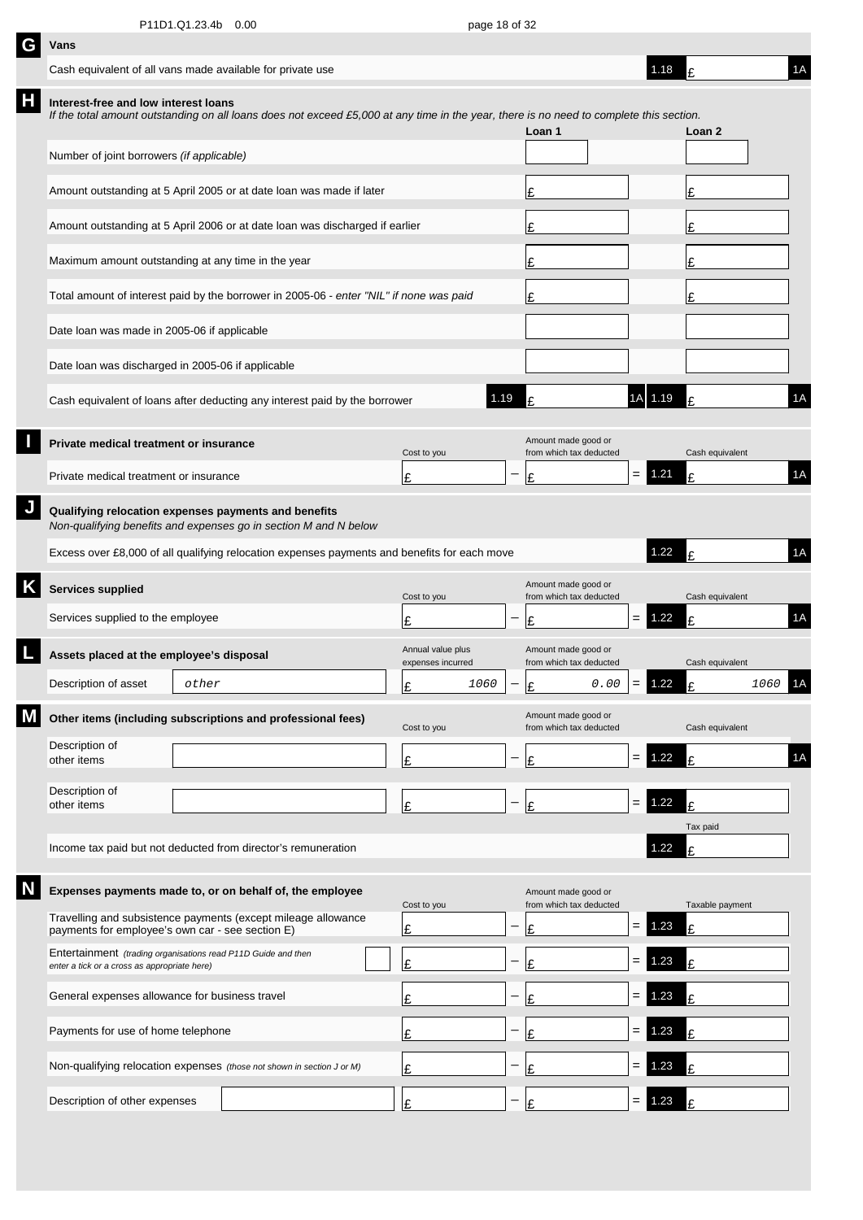| G | Vans                                                                                                                                                                            |       |  |                                        |      |                          |                                                |     |          |                 |         |    |
|---|---------------------------------------------------------------------------------------------------------------------------------------------------------------------------------|-------|--|----------------------------------------|------|--------------------------|------------------------------------------------|-----|----------|-----------------|---------|----|
|   | Cash equivalent of all vans made available for private use                                                                                                                      |       |  |                                        |      |                          |                                                |     | 1.18     | ١£              |         | 1A |
| Н | Interest-free and low interest loans<br>If the total amount outstanding on all loans does not exceed £5,000 at any time in the year, there is no need to complete this section. |       |  |                                        |      |                          | Loan 1                                         |     |          | Loan 2          |         |    |
|   | Number of joint borrowers (if applicable)                                                                                                                                       |       |  |                                        |      |                          |                                                |     |          |                 |         |    |
|   | Amount outstanding at 5 April 2005 or at date loan was made if later                                                                                                            |       |  |                                        |      |                          | £                                              |     |          | Ι£              |         |    |
|   | Amount outstanding at 5 April 2006 or at date loan was discharged if earlier                                                                                                    |       |  |                                        |      |                          | £                                              |     |          | Ι£              |         |    |
|   | Maximum amount outstanding at any time in the year                                                                                                                              |       |  |                                        |      |                          | £                                              |     |          | Ι£              |         |    |
|   | Total amount of interest paid by the borrower in 2005-06 - enter "NIL" if none was paid                                                                                         |       |  |                                        |      |                          | £                                              |     |          | £               |         |    |
|   | Date loan was made in 2005-06 if applicable                                                                                                                                     |       |  |                                        |      |                          |                                                |     |          |                 |         |    |
|   | Date loan was discharged in 2005-06 if applicable                                                                                                                               |       |  |                                        |      |                          |                                                |     |          |                 |         |    |
|   | Cash equivalent of loans after deducting any interest paid by the borrower                                                                                                      |       |  |                                        | 1.19 |                          |                                                |     | 1A 1.19  | £               |         | 1A |
|   | Private medical treatment or insurance                                                                                                                                          |       |  | Cost to you                            |      |                          | Amount made good or<br>from which tax deducted |     |          | Cash equivalent |         |    |
|   | Private medical treatment or insurance                                                                                                                                          |       |  | £                                      |      |                          | £                                              | $=$ | 1.21     | £               |         | 1A |
|   | Qualifying relocation expenses payments and benefits<br>Non-qualifying benefits and expenses go in section M and N below                                                        |       |  |                                        |      |                          |                                                |     |          |                 |         |    |
|   | Excess over £8,000 of all qualifying relocation expenses payments and benefits for each move                                                                                    |       |  |                                        |      |                          |                                                |     | 1.22     | £               |         | 1A |
| Κ | <b>Services supplied</b>                                                                                                                                                        |       |  | Cost to you                            |      |                          | Amount made good or<br>from which tax deducted |     |          | Cash equivalent |         |    |
|   | Services supplied to the employee                                                                                                                                               |       |  | £                                      |      |                          | £                                              | =   | 1.22     | £               |         | 1A |
|   | Assets placed at the employee's disposal                                                                                                                                        |       |  | Annual value plus<br>expenses incurred |      |                          | Amount made good or<br>from which tax deducted |     |          | Cash equivalent |         |    |
|   | Description of asset                                                                                                                                                            | other |  | Ŀ                                      | 1060 | $\overline{\phantom{m}}$ | 0.00<br>ءا                                     |     | $= 1.22$ | t.              | 1060 1A |    |
|   | Other items (including subscriptions and professional fees)                                                                                                                     |       |  | Cost to you                            |      |                          | Amount made good or<br>from which tax deducted |     |          | Cash equivalent |         |    |
|   | Description of<br>other items                                                                                                                                                   |       |  | £                                      |      | -                        | £                                              | $=$ | 1.22     | £               |         | 1A |
|   | Description of<br>other items                                                                                                                                                   |       |  | £                                      |      |                          | £                                              | $=$ | 1.22     | £               |         |    |
|   | Income tax paid but not deducted from director's remuneration                                                                                                                   |       |  |                                        |      |                          |                                                |     | 1.22     | Tax paid<br>Ŀ   |         |    |
|   |                                                                                                                                                                                 |       |  |                                        |      |                          |                                                |     |          |                 |         |    |
|   | Expenses payments made to, or on behalf of, the employee<br>Travelling and subsistence payments (except mileage allowance                                                       |       |  | Cost to you                            |      |                          | Amount made good or<br>from which tax deducted |     |          | Taxable payment |         |    |
|   | payments for employee's own car - see section E)<br>Entertainment (trading organisations read P11D Guide and then                                                               |       |  | £                                      |      |                          | £                                              | $=$ | 1.23     | £               |         |    |
|   | enter a tick or a cross as appropriate here)                                                                                                                                    |       |  | £                                      |      |                          | f                                              | =   | 1.23     | £               |         |    |
|   | General expenses allowance for business travel                                                                                                                                  |       |  | £                                      |      |                          |                                                |     | .23      | £               |         |    |
|   | Payments for use of home telephone                                                                                                                                              |       |  | £                                      |      |                          |                                                | =   | .23      | £               |         |    |
|   | Non-qualifying relocation expenses (those not shown in section J or M)                                                                                                          |       |  | £                                      |      |                          |                                                |     | .23      | £               |         |    |
|   | Description of other expenses                                                                                                                                                   |       |  | £                                      |      |                          | £                                              | $=$ | 1.23     | £               |         |    |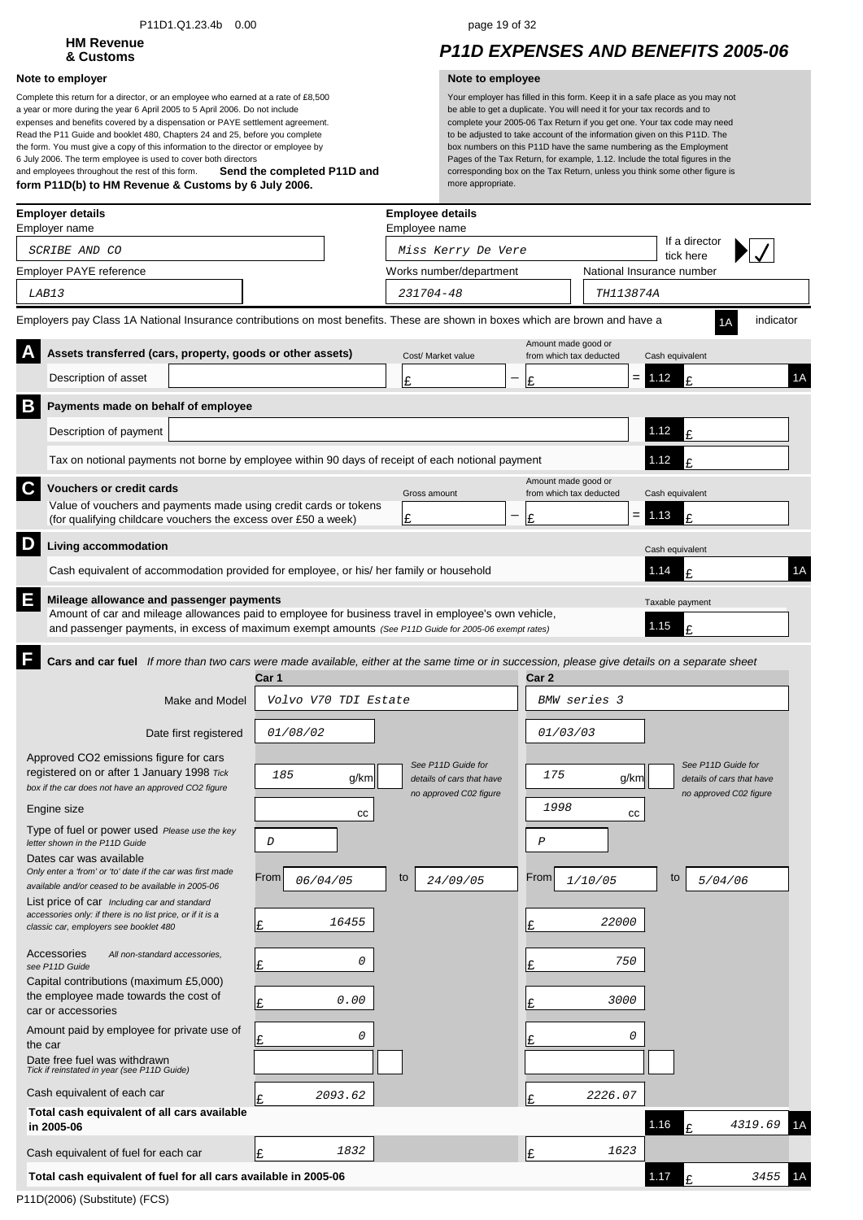### P11D1.Q1.23.4b 0.00 page 19 of 32

# **HM Revenue**

### **Note to employer Note to employee**

**Send the completed P11D and form P11D(b) to HM Revenue & Customs by 6 July 2006.** Complete this return for a director, or an employee who earned at a rate of £8,500 a year or more during the year 6 April 2005 to 5 April 2006. Do not include expenses and benefits covered by a dispensation or PAYE settlement agreement. Read the P11 Guide and booklet 480, Chapters 24 and 25, before you complete the form. You must give a copy of this information to the director or employee by 6 July 2006. The term employee is used to cover both directors and employees throughout the rest of this form.

## **& Customs** *P11D EXPENSES AND BENEFITS 2005-06*

| <b>Employer details</b><br>Employer name                                                                                                                                                                                                                       |                      | <b>Employee details</b><br>Employee name        |                  |                                                |                           |                                                 |           |  |
|----------------------------------------------------------------------------------------------------------------------------------------------------------------------------------------------------------------------------------------------------------------|----------------------|-------------------------------------------------|------------------|------------------------------------------------|---------------------------|-------------------------------------------------|-----------|--|
| SCRIBE AND CO                                                                                                                                                                                                                                                  |                      | Miss Kerry De Vere                              |                  |                                                | tick here                 | If a director                                   |           |  |
| Employer PAYE reference                                                                                                                                                                                                                                        |                      | Works number/department                         |                  |                                                | National Insurance number |                                                 |           |  |
| LAB13                                                                                                                                                                                                                                                          |                      | 231704-48                                       |                  | TH113874A                                      |                           |                                                 |           |  |
| Employers pay Class 1A National Insurance contributions on most benefits. These are shown in boxes which are brown and have a                                                                                                                                  |                      |                                                 |                  |                                                |                           |                                                 | indicator |  |
| Assets transferred (cars, property, goods or other assets)                                                                                                                                                                                                     |                      | Cost/ Market value                              |                  | Amount made good or<br>from which tax deducted | Cash equivalent           |                                                 |           |  |
| Description of asset                                                                                                                                                                                                                                           |                      | Ŀ                                               | Ι£               |                                                | $= 1.12$                  | $\mathbf{f}$                                    | 1A        |  |
| B<br>Payments made on behalf of employee                                                                                                                                                                                                                       |                      |                                                 |                  |                                                |                           |                                                 |           |  |
| Description of payment                                                                                                                                                                                                                                         |                      |                                                 |                  |                                                | 1.12                      | £                                               |           |  |
| Tax on notional payments not borne by employee within 90 days of receipt of each notional payment                                                                                                                                                              |                      |                                                 |                  |                                                | 1.12                      | £                                               |           |  |
| C<br><b>Vouchers or credit cards</b>                                                                                                                                                                                                                           |                      | Gross amount                                    |                  | Amount made good or<br>from which tax deducted | Cash equivalent           |                                                 |           |  |
| Value of vouchers and payments made using credit cards or tokens<br>(for qualifying childcare vouchers the excess over £50 a week)                                                                                                                             |                      | £                                               | Ι£               |                                                | $= 1.13$                  | £                                               |           |  |
| D<br>Living accommodation                                                                                                                                                                                                                                      |                      |                                                 |                  |                                                | Cash equivalent           |                                                 |           |  |
| Cash equivalent of accommodation provided for employee, or his/ her family or household                                                                                                                                                                        |                      |                                                 |                  |                                                | 1.14                      | £                                               | 1A        |  |
| E<br>Mileage allowance and passenger payments<br>Amount of car and mileage allowances paid to employee for business travel in employee's own vehicle,<br>and passenger payments, in excess of maximum exempt amounts (See P11D Guide for 2005-06 exempt rates) |                      |                                                 |                  |                                                | Taxable payment<br>1.15   | £                                               |           |  |
| F<br>Cars and car fuel If more than two cars were made available, either at the same time or in succession, please give details on a separate sheet<br>Car 1                                                                                                   |                      |                                                 | Car <sub>2</sub> |                                                |                           |                                                 |           |  |
| Make and Model                                                                                                                                                                                                                                                 | Volvo V70 TDI Estate |                                                 |                  | BMW series 3                                   |                           |                                                 |           |  |
| Date first registered<br><i>01/08/02</i>                                                                                                                                                                                                                       |                      |                                                 |                  | 01/03/03                                       |                           |                                                 |           |  |
| Approved CO2 emissions figure for cars<br>registered on or after 1 January 1998 Tick<br>185                                                                                                                                                                    | g/km                 | See P11D Guide for<br>details of cars that have |                  | 175                                            | g/km                      | See P11D Guide for<br>details of cars that have |           |  |
| box if the car does not have an approved CO2 figure                                                                                                                                                                                                            |                      | no approved C02 figure                          |                  | 1998                                           |                           | no approved C02 figure                          |           |  |
| Engine size<br>Type of fuel or power used Please use the key                                                                                                                                                                                                   | cc                   |                                                 |                  |                                                | СC                        |                                                 |           |  |
| D<br>letter shown in the P11D Guide                                                                                                                                                                                                                            |                      |                                                 | $\cal P$         |                                                |                           |                                                 |           |  |
| Dates car was available<br>Only enter a 'from' or 'to' date if the car was first made<br>From<br>available and/or ceased to be available in 2005-06                                                                                                            | 06/04/05             | to<br>24/09/05                                  | From             | 1/10/05                                        | to                        | 5/04/06                                         |           |  |
| List price of car Including car and standard<br>accessories only: if there is no list price, or if it is a<br>Ŀ<br>classic car, employers see booklet 480                                                                                                      | 16455                |                                                 | Ι£               | 22000                                          |                           |                                                 |           |  |
| Accessories<br>All non-standard accessories,                                                                                                                                                                                                                   | 0                    |                                                 |                  | 750                                            |                           |                                                 |           |  |
| Ι£<br>see P11D Guide<br>Capital contributions (maximum £5,000)                                                                                                                                                                                                 |                      |                                                 | Ι£               |                                                |                           |                                                 |           |  |
| the employee made towards the cost of<br>Ι£<br>car or accessories                                                                                                                                                                                              | 0.00                 |                                                 | Ι£               | 3000                                           |                           |                                                 |           |  |
| Amount paid by employee for private use of<br>Ι£<br>the car                                                                                                                                                                                                    | 0                    |                                                 |                  |                                                | 0                         |                                                 |           |  |
| Date free fuel was withdrawn<br>Tick if reinstated in year (see P11D Guide)                                                                                                                                                                                    |                      |                                                 |                  |                                                |                           |                                                 |           |  |
| Cash equivalent of each car<br>Ι£                                                                                                                                                                                                                              | 2093.62              |                                                 | Ι£               | 2226.07                                        |                           |                                                 |           |  |
| Total cash equivalent of all cars available<br>in 2005-06                                                                                                                                                                                                      |                      |                                                 |                  |                                                | 1.16                      | £                                               | 4319.69   |  |
| Cash equivalent of fuel for each car<br>Ι£                                                                                                                                                                                                                     | 1832                 |                                                 | l£               | 1623                                           |                           |                                                 |           |  |
| Total cash equivalent of fuel for all cars available in 2005-06                                                                                                                                                                                                |                      |                                                 |                  |                                                | 1.17                      | £                                               | 3455      |  |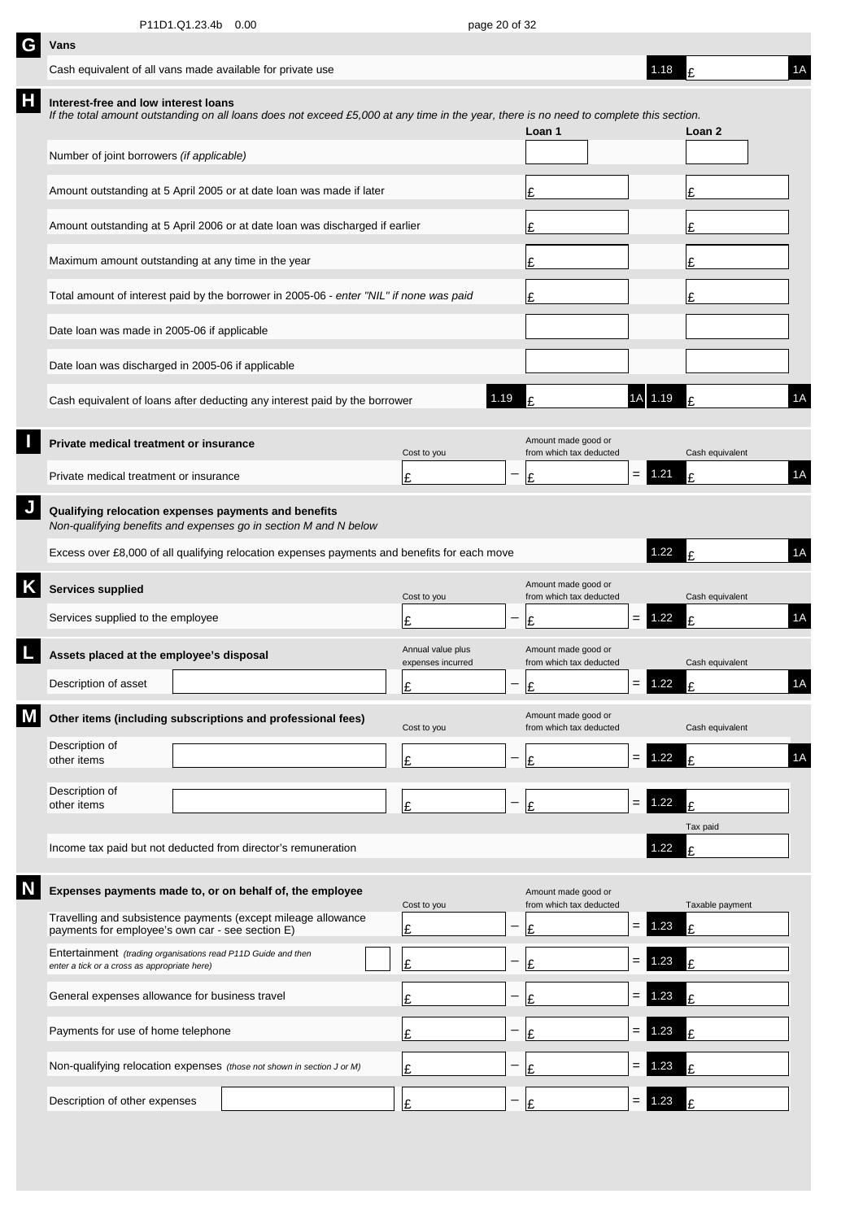| G | Vans                                                                                                              |                                                                                                                                         |                                        |                          |                                                |                   |          |                 |    |
|---|-------------------------------------------------------------------------------------------------------------------|-----------------------------------------------------------------------------------------------------------------------------------------|----------------------------------------|--------------------------|------------------------------------------------|-------------------|----------|-----------------|----|
|   | Cash equivalent of all vans made available for private use                                                        |                                                                                                                                         |                                        |                          |                                                |                   | 1.18     | ١F              | 1A |
| Н | Interest-free and low interest loans                                                                              | If the total amount outstanding on all loans does not exceed £5,000 at any time in the year, there is no need to complete this section. |                                        |                          | Loan 1                                         |                   |          | Loan 2          |    |
|   | Number of joint borrowers (if applicable)                                                                         |                                                                                                                                         |                                        |                          |                                                |                   |          |                 |    |
|   |                                                                                                                   | Amount outstanding at 5 April 2005 or at date loan was made if later                                                                    |                                        |                          | £                                              |                   |          | £               |    |
|   |                                                                                                                   | Amount outstanding at 5 April 2006 or at date loan was discharged if earlier                                                            |                                        |                          | £                                              |                   |          | £               |    |
|   | Maximum amount outstanding at any time in the year                                                                |                                                                                                                                         |                                        |                          | £                                              |                   |          | £               |    |
|   |                                                                                                                   | Total amount of interest paid by the borrower in 2005-06 - enter "NIL" if none was paid                                                 |                                        |                          | £                                              |                   |          | £               |    |
|   | Date loan was made in 2005-06 if applicable                                                                       |                                                                                                                                         |                                        |                          |                                                |                   |          |                 |    |
|   | Date loan was discharged in 2005-06 if applicable                                                                 |                                                                                                                                         |                                        |                          |                                                |                   |          |                 |    |
|   |                                                                                                                   | Cash equivalent of loans after deducting any interest paid by the borrower                                                              |                                        | 1.19                     | £                                              |                   | 1A 1.19  |                 | 1A |
|   | Private medical treatment or insurance                                                                            |                                                                                                                                         | Cost to you                            |                          | Amount made good or<br>from which tax deducted |                   |          | Cash equivalent |    |
|   | Private medical treatment or insurance                                                                            |                                                                                                                                         | Ι£                                     |                          | £                                              | $=$               | 1.21     | £               | 1A |
|   | Qualifying relocation expenses payments and benefits                                                              | Non-qualifying benefits and expenses go in section M and N below                                                                        |                                        |                          |                                                |                   |          |                 |    |
|   |                                                                                                                   | Excess over £8,000 of all qualifying relocation expenses payments and benefits for each move                                            |                                        |                          |                                                |                   | 1.22     | £               | 1A |
| Κ | Services supplied                                                                                                 |                                                                                                                                         | Cost to you                            |                          | Amount made good or<br>from which tax deducted |                   |          | Cash equivalent |    |
|   | Services supplied to the employee                                                                                 |                                                                                                                                         | £                                      |                          | £                                              | $=$               | 1.22     | t               | 1A |
|   | Assets placed at the employee's disposal                                                                          |                                                                                                                                         | Annual value plus<br>expenses incurred |                          | Amount made good or<br>from which tax deducted |                   |          | Cash equivalent |    |
|   | Description of asset                                                                                              |                                                                                                                                         | Ŀ                                      | $\overline{\phantom{0}}$ | ١c                                             |                   | $= 1.22$ | t.              | 1A |
|   |                                                                                                                   | Other items (including subscriptions and professional fees)                                                                             | Cost to you                            |                          | Amount made good or<br>from which tax deducted |                   |          | Cash equivalent |    |
|   | Description of<br>other items                                                                                     |                                                                                                                                         | £                                      |                          | £                                              | $=$               | 1.22     | £               | 1A |
|   | Description of<br>other items                                                                                     |                                                                                                                                         | £                                      | —                        | £                                              | $\qquad \qquad =$ | 1.22     | £               |    |
|   |                                                                                                                   | Income tax paid but not deducted from director's remuneration                                                                           |                                        |                          |                                                |                   | 1.22     | Tax paid<br>£   |    |
|   |                                                                                                                   |                                                                                                                                         |                                        |                          |                                                |                   |          |                 |    |
|   |                                                                                                                   | Expenses payments made to, or on behalf of, the employee<br>Travelling and subsistence payments (except mileage allowance               | Cost to you                            |                          | Amount made good or<br>from which tax deducted |                   |          | Taxable payment |    |
|   | payments for employee's own car - see section E)<br>Entertainment (trading organisations read P11D Guide and then |                                                                                                                                         | Ŀ                                      |                          | £                                              | $=$               | 1.23     | £               |    |
|   | enter a tick or a cross as appropriate here)                                                                      |                                                                                                                                         | Ι£                                     |                          | £                                              | $=$               | 1.23     | £               |    |
|   | General expenses allowance for business travel                                                                    |                                                                                                                                         | £                                      |                          | £                                              | $=$               | 1.23     | £               |    |
|   | Payments for use of home telephone                                                                                |                                                                                                                                         | £                                      |                          | £                                              | $=$               | 1.23     | £               |    |
|   |                                                                                                                   | Non-qualifying relocation expenses (those not shown in section J or M)                                                                  | £                                      |                          | £                                              | $=$               | 1.23     | t               |    |
|   | Description of other expenses                                                                                     |                                                                                                                                         | Ι£                                     |                          | £                                              | $=$               | 1.23     | F               |    |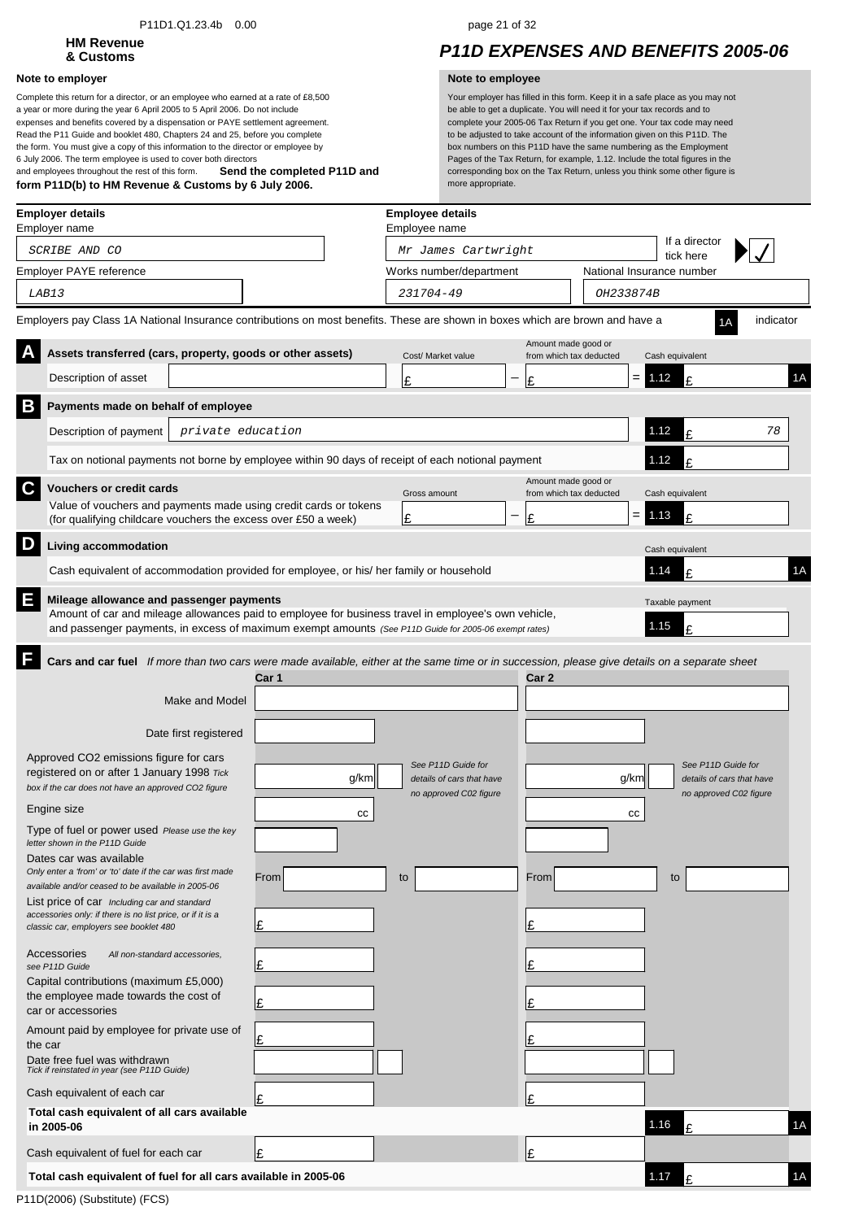### P11D1.Q1.23.4b 0.00 page 21 of 32

# **HM Revenue**

### **Note to employer Note to employee**

**Send the completed P11D and form P11D(b) to HM Revenue & Customs by 6 July 2006.** Complete this return for a director, or an employee who earned at a rate of £8,500 a year or more during the year 6 April 2005 to 5 April 2006. Do not include expenses and benefits covered by a dispensation or PAYE settlement agreement. Read the P11 Guide and booklet 480, Chapters 24 and 25, before you complete the form. You must give a copy of this information to the director or employee by 6 July 2006. The term employee is used to cover both directors and employees throughout the rest of this form.

## **& Customs** *P11D EXPENSES AND BENEFITS 2005-06*

| If a director<br>Mr James Cartwright<br>SCRIBE AND CO<br>tick here<br>National Insurance number<br>Works number/department<br>231704-49<br>LAB13<br>OH233874B<br>indicator<br>Amount made good or<br>Assets transferred (cars, property, goods or other assets)<br>Cost/ Market value<br>from which tax deducted<br>Cash equivalent<br>Description of asset<br>$= 1.12$<br>£<br>£<br>Ι£<br>B<br>Payments made on behalf of employee<br>1.12<br>Description of payment<br>private education<br>£<br>78<br>1.12<br>Tax on notional payments not borne by employee within 90 days of receipt of each notional payment<br>¢<br>Amount made good or<br>C.<br><b>Vouchers or credit cards</b><br>from which tax deducted<br>Gross amount<br>Cash equivalent<br>Value of vouchers and payments made using credit cards or tokens<br>$= 1.13$<br>£<br>—<br>£<br>Ι£<br>(for qualifying childcare vouchers the excess over £50 a week)<br>D<br>Living accommodation<br>Cash equivalent<br>Cash equivalent of accommodation provided for employee, or his/ her family or household<br>1.14<br>£<br>E<br>Mileage allowance and passenger payments<br>Taxable payment<br>Amount of car and mileage allowances paid to employee for business travel in employee's own vehicle,<br>1.15<br>£<br>and passenger payments, in excess of maximum exempt amounts (See P11D Guide for 2005-06 exempt rates)<br>Cars and car fuel If more than two cars were made available, either at the same time or in succession, please give details on a separate sheet<br>Car 1<br>Car 2<br>Make and Model<br>Date first registered<br>Approved CO2 emissions figure for cars<br>See P11D Guide for<br>See P11D Guide for<br>registered on or after 1 January 1998 Tick<br>g/km<br>g/km<br>details of cars that have<br>details of cars that have<br>box if the car does not have an approved CO2 figure<br>no approved C02 figure<br>no approved C02 figure | 1A<br>1A |
|--------------------------------------------------------------------------------------------------------------------------------------------------------------------------------------------------------------------------------------------------------------------------------------------------------------------------------------------------------------------------------------------------------------------------------------------------------------------------------------------------------------------------------------------------------------------------------------------------------------------------------------------------------------------------------------------------------------------------------------------------------------------------------------------------------------------------------------------------------------------------------------------------------------------------------------------------------------------------------------------------------------------------------------------------------------------------------------------------------------------------------------------------------------------------------------------------------------------------------------------------------------------------------------------------------------------------------------------------------------------------------------------------------------------------------------------------------------------------------------------------------------------------------------------------------------------------------------------------------------------------------------------------------------------------------------------------------------------------------------------------------------------------------------------------------------------------------------------------------------------------------------------------------------------------------|----------|
| Employer PAYE reference<br>Employers pay Class 1A National Insurance contributions on most benefits. These are shown in boxes which are brown and have a                                                                                                                                                                                                                                                                                                                                                                                                                                                                                                                                                                                                                                                                                                                                                                                                                                                                                                                                                                                                                                                                                                                                                                                                                                                                                                                                                                                                                                                                                                                                                                                                                                                                                                                                                                       |          |
|                                                                                                                                                                                                                                                                                                                                                                                                                                                                                                                                                                                                                                                                                                                                                                                                                                                                                                                                                                                                                                                                                                                                                                                                                                                                                                                                                                                                                                                                                                                                                                                                                                                                                                                                                                                                                                                                                                                                |          |
|                                                                                                                                                                                                                                                                                                                                                                                                                                                                                                                                                                                                                                                                                                                                                                                                                                                                                                                                                                                                                                                                                                                                                                                                                                                                                                                                                                                                                                                                                                                                                                                                                                                                                                                                                                                                                                                                                                                                |          |
|                                                                                                                                                                                                                                                                                                                                                                                                                                                                                                                                                                                                                                                                                                                                                                                                                                                                                                                                                                                                                                                                                                                                                                                                                                                                                                                                                                                                                                                                                                                                                                                                                                                                                                                                                                                                                                                                                                                                |          |
|                                                                                                                                                                                                                                                                                                                                                                                                                                                                                                                                                                                                                                                                                                                                                                                                                                                                                                                                                                                                                                                                                                                                                                                                                                                                                                                                                                                                                                                                                                                                                                                                                                                                                                                                                                                                                                                                                                                                |          |
|                                                                                                                                                                                                                                                                                                                                                                                                                                                                                                                                                                                                                                                                                                                                                                                                                                                                                                                                                                                                                                                                                                                                                                                                                                                                                                                                                                                                                                                                                                                                                                                                                                                                                                                                                                                                                                                                                                                                |          |
|                                                                                                                                                                                                                                                                                                                                                                                                                                                                                                                                                                                                                                                                                                                                                                                                                                                                                                                                                                                                                                                                                                                                                                                                                                                                                                                                                                                                                                                                                                                                                                                                                                                                                                                                                                                                                                                                                                                                |          |
|                                                                                                                                                                                                                                                                                                                                                                                                                                                                                                                                                                                                                                                                                                                                                                                                                                                                                                                                                                                                                                                                                                                                                                                                                                                                                                                                                                                                                                                                                                                                                                                                                                                                                                                                                                                                                                                                                                                                |          |
|                                                                                                                                                                                                                                                                                                                                                                                                                                                                                                                                                                                                                                                                                                                                                                                                                                                                                                                                                                                                                                                                                                                                                                                                                                                                                                                                                                                                                                                                                                                                                                                                                                                                                                                                                                                                                                                                                                                                |          |
|                                                                                                                                                                                                                                                                                                                                                                                                                                                                                                                                                                                                                                                                                                                                                                                                                                                                                                                                                                                                                                                                                                                                                                                                                                                                                                                                                                                                                                                                                                                                                                                                                                                                                                                                                                                                                                                                                                                                |          |
|                                                                                                                                                                                                                                                                                                                                                                                                                                                                                                                                                                                                                                                                                                                                                                                                                                                                                                                                                                                                                                                                                                                                                                                                                                                                                                                                                                                                                                                                                                                                                                                                                                                                                                                                                                                                                                                                                                                                |          |
|                                                                                                                                                                                                                                                                                                                                                                                                                                                                                                                                                                                                                                                                                                                                                                                                                                                                                                                                                                                                                                                                                                                                                                                                                                                                                                                                                                                                                                                                                                                                                                                                                                                                                                                                                                                                                                                                                                                                |          |
|                                                                                                                                                                                                                                                                                                                                                                                                                                                                                                                                                                                                                                                                                                                                                                                                                                                                                                                                                                                                                                                                                                                                                                                                                                                                                                                                                                                                                                                                                                                                                                                                                                                                                                                                                                                                                                                                                                                                |          |
|                                                                                                                                                                                                                                                                                                                                                                                                                                                                                                                                                                                                                                                                                                                                                                                                                                                                                                                                                                                                                                                                                                                                                                                                                                                                                                                                                                                                                                                                                                                                                                                                                                                                                                                                                                                                                                                                                                                                |          |
| Engine size<br>cc<br>cс<br>Type of fuel or power used Please use the key<br>letter shown in the P11D Guide<br>Dates car was available<br>Only enter a 'from' or 'to' date if the car was first made<br>From<br>From<br>to<br>to<br>available and/or ceased to be available in 2005-06<br>List price of car Including car and standard<br>accessories only: if there is no list price, or if it is a<br>£<br>£<br>classic car, employers see booklet 480<br>Accessories<br>All non-standard accessories,<br>Ŀ<br>£<br>see P11D Guide<br>Capital contributions (maximum £5,000)<br>the employee made towards the cost of<br>Ŀ<br>Ŀ<br>car or accessories<br>Amount paid by employee for private use of<br>Ι£<br>the car<br>Date free fuel was withdrawn<br>Tick if reinstated in year (see P11D Guide)                                                                                                                                                                                                                                                                                                                                                                                                                                                                                                                                                                                                                                                                                                                                                                                                                                                                                                                                                                                                                                                                                                                           |          |
| Cash equivalent of each car<br>Ι£                                                                                                                                                                                                                                                                                                                                                                                                                                                                                                                                                                                                                                                                                                                                                                                                                                                                                                                                                                                                                                                                                                                                                                                                                                                                                                                                                                                                                                                                                                                                                                                                                                                                                                                                                                                                                                                                                              |          |
| Total cash equivalent of all cars available<br>1.16<br>in 2005-06                                                                                                                                                                                                                                                                                                                                                                                                                                                                                                                                                                                                                                                                                                                                                                                                                                                                                                                                                                                                                                                                                                                                                                                                                                                                                                                                                                                                                                                                                                                                                                                                                                                                                                                                                                                                                                                              | 1A       |
| Cash equivalent of fuel for each car<br>Ι£<br>Ι£                                                                                                                                                                                                                                                                                                                                                                                                                                                                                                                                                                                                                                                                                                                                                                                                                                                                                                                                                                                                                                                                                                                                                                                                                                                                                                                                                                                                                                                                                                                                                                                                                                                                                                                                                                                                                                                                               |          |
| 1.17<br>Total cash equivalent of fuel for all cars available in 2005-06<br>£                                                                                                                                                                                                                                                                                                                                                                                                                                                                                                                                                                                                                                                                                                                                                                                                                                                                                                                                                                                                                                                                                                                                                                                                                                                                                                                                                                                                                                                                                                                                                                                                                                                                                                                                                                                                                                                   | 1A       |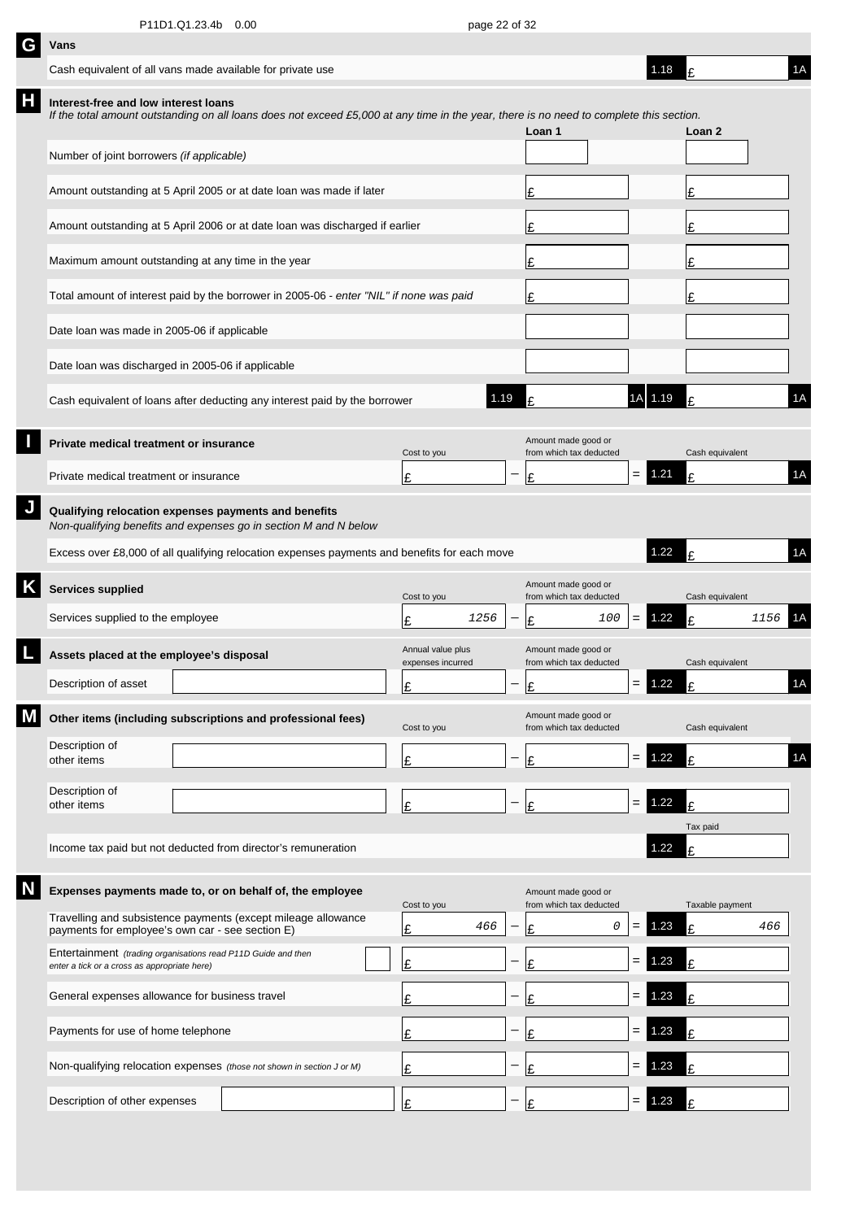| G | Vans                                                                                                          |                                                                                                                                         |                                        |                          |                                                |     |     |          |                 |      |    |
|---|---------------------------------------------------------------------------------------------------------------|-----------------------------------------------------------------------------------------------------------------------------------------|----------------------------------------|--------------------------|------------------------------------------------|-----|-----|----------|-----------------|------|----|
|   | Cash equivalent of all vans made available for private use                                                    |                                                                                                                                         |                                        |                          |                                                |     |     | 1.18     |                 |      | 1A |
| Н | Interest-free and low interest loans                                                                          | If the total amount outstanding on all loans does not exceed £5,000 at any time in the year, there is no need to complete this section. |                                        |                          | Loan 1                                         |     |     |          | Loan 2          |      |    |
|   | Number of joint borrowers (if applicable)                                                                     |                                                                                                                                         |                                        |                          |                                                |     |     |          |                 |      |    |
|   |                                                                                                               | Amount outstanding at 5 April 2005 or at date loan was made if later                                                                    |                                        |                          | £                                              |     |     |          | £               |      |    |
|   |                                                                                                               | Amount outstanding at 5 April 2006 or at date loan was discharged if earlier                                                            |                                        |                          | £                                              |     |     |          |                 |      |    |
|   | Maximum amount outstanding at any time in the year                                                            |                                                                                                                                         |                                        |                          | £                                              |     |     |          | £               |      |    |
|   |                                                                                                               | Total amount of interest paid by the borrower in 2005-06 - enter "NIL" if none was paid                                                 |                                        |                          | £                                              |     |     |          | £               |      |    |
|   | Date loan was made in 2005-06 if applicable                                                                   |                                                                                                                                         |                                        |                          |                                                |     |     |          |                 |      |    |
|   | Date loan was discharged in 2005-06 if applicable                                                             |                                                                                                                                         |                                        |                          |                                                |     |     |          |                 |      |    |
|   |                                                                                                               | Cash equivalent of loans after deducting any interest paid by the borrower                                                              |                                        | 1.19                     |                                                |     |     | 1.19     |                 |      | 1A |
|   | Private medical treatment or insurance                                                                        |                                                                                                                                         | Cost to you                            |                          | Amount made good or<br>from which tax deducted |     |     |          | Cash equivalent |      |    |
|   | Private medical treatment or insurance                                                                        |                                                                                                                                         | £                                      |                          | £                                              |     | $=$ | 1.21     | £               |      | 1A |
|   | Qualifying relocation expenses payments and benefits                                                          | Non-qualifying benefits and expenses go in section M and N below                                                                        |                                        |                          |                                                |     |     |          |                 |      |    |
|   |                                                                                                               | Excess over £8,000 of all qualifying relocation expenses payments and benefits for each move                                            |                                        |                          |                                                |     |     | 1.22     |                 |      | 1A |
|   | <b>Services supplied</b>                                                                                      |                                                                                                                                         | Cost to you                            |                          | Amount made good or<br>from which tax deducted |     |     |          | Cash equivalent |      |    |
|   | Services supplied to the employee                                                                             |                                                                                                                                         | F                                      | 1256                     | £                                              | 100 | =   | 1.22     | £               | 1156 | 1A |
|   | Assets placed at the employee's disposal                                                                      |                                                                                                                                         | Annual value plus<br>expenses incurred |                          | Amount made good or<br>from which tax deducted |     |     |          | Cash equivalent |      |    |
|   | Description of asset                                                                                          |                                                                                                                                         | £                                      | $\overline{\phantom{m}}$ | $\mathbf{C}$                                   |     |     | $= 1.22$ | t               |      | 1A |
|   |                                                                                                               | Other items (including subscriptions and professional fees)                                                                             | Cost to you                            |                          | Amount made good or<br>from which tax deducted |     |     |          | Cash equivalent |      |    |
|   | Description of<br>other items                                                                                 |                                                                                                                                         | £                                      |                          | £                                              |     | $=$ | 1.22     | £               |      | 1A |
|   | Description of<br>other items                                                                                 |                                                                                                                                         | Ι£                                     |                          | £                                              |     | $=$ | 1.22     | £               |      |    |
|   |                                                                                                               |                                                                                                                                         |                                        |                          |                                                |     |     |          | Tax paid        |      |    |
|   |                                                                                                               | Income tax paid but not deducted from director's remuneration                                                                           |                                        |                          |                                                |     |     | 1.22     | £               |      |    |
|   |                                                                                                               | Expenses payments made to, or on behalf of, the employee                                                                                | Cost to you                            |                          | Amount made good or<br>from which tax deducted |     |     |          | Taxable payment |      |    |
|   | payments for employee's own car - see section E)                                                              | Travelling and subsistence payments (except mileage allowance                                                                           | £                                      | 466                      | £                                              | 0   | $=$ | 1.23     | £               | 466  |    |
|   | Entertainment (trading organisations read P11D Guide and then<br>enter a tick or a cross as appropriate here) |                                                                                                                                         | £                                      |                          | £                                              |     | $=$ | 1.23     | £               |      |    |
|   | General expenses allowance for business travel                                                                |                                                                                                                                         | £                                      |                          | £                                              |     | $=$ | .23      | £               |      |    |
|   | Payments for use of home telephone                                                                            |                                                                                                                                         | £                                      |                          | £                                              |     | $=$ | .23      | £               |      |    |
|   |                                                                                                               | Non-qualifying relocation expenses (those not shown in section J or M)                                                                  | £                                      |                          | £                                              |     | $=$ | .23      | £               |      |    |
|   | Description of other expenses                                                                                 |                                                                                                                                         | F                                      |                          | F                                              |     |     | .23      |                 |      |    |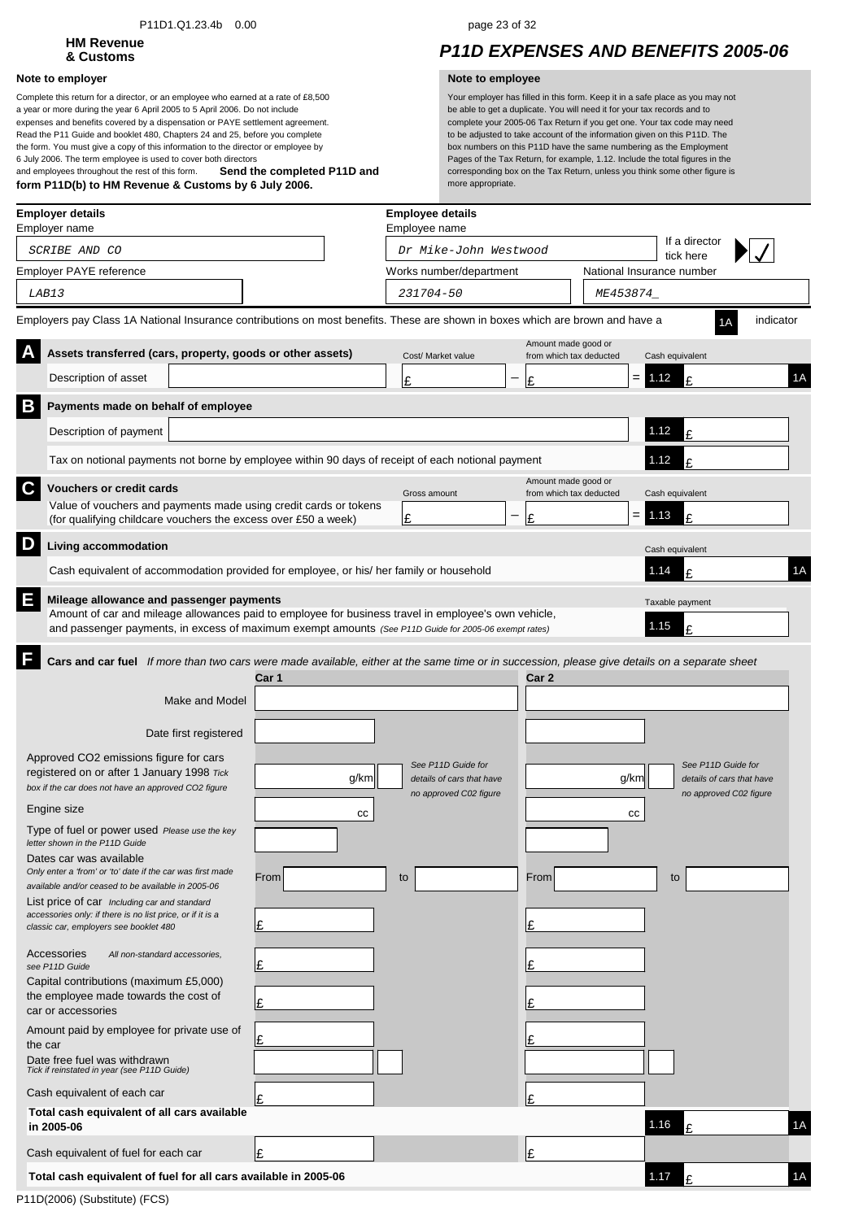### P11D1.Q1.23.4b 0.00 page 23 of 32

# **HM Revenue**

### **Note to employer Note to employee**

**Send the completed P11D and form P11D(b) to HM Revenue & Customs by 6 July 2006.** Complete this return for a director, or an employee who earned at a rate of £8,500 a year or more during the year 6 April 2005 to 5 April 2006. Do not include expenses and benefits covered by a dispensation or PAYE settlement agreement. Read the P11 Guide and booklet 480, Chapters 24 and 25, before you complete the form. You must give a copy of this information to the director or employee by 6 July 2006. The term employee is used to cover both directors and employees throughout the rest of this form.

## **& Customs** *P11D EXPENSES AND BENEFITS 2005-06*

|   | <b>Employer details</b><br>Employer name                                                                                                                                                                                                                                                            |                         |      | <b>Employee details</b><br>Employee name                                  |    |                                                |                           |                                                                           |           |
|---|-----------------------------------------------------------------------------------------------------------------------------------------------------------------------------------------------------------------------------------------------------------------------------------------------------|-------------------------|------|---------------------------------------------------------------------------|----|------------------------------------------------|---------------------------|---------------------------------------------------------------------------|-----------|
|   | SCRIBE AND CO                                                                                                                                                                                                                                                                                       |                         |      | Dr Mike-John Westwood                                                     |    |                                                |                           | If a director<br>tick here                                                |           |
|   | Employer PAYE reference                                                                                                                                                                                                                                                                             |                         |      | Works number/department                                                   |    |                                                | National Insurance number |                                                                           |           |
|   | LAB13                                                                                                                                                                                                                                                                                               |                         |      | 231704-50                                                                 |    |                                                | ME453874_                 |                                                                           |           |
|   | Employers pay Class 1A National Insurance contributions on most benefits. These are shown in boxes which are brown and have a                                                                                                                                                                       |                         |      |                                                                           |    |                                                |                           |                                                                           | indicator |
|   | Assets transferred (cars, property, goods or other assets)                                                                                                                                                                                                                                          |                         |      | Cost/ Market value                                                        |    | Amount made good or<br>from which tax deducted | Cash equivalent           |                                                                           |           |
|   | Description of asset                                                                                                                                                                                                                                                                                |                         |      | £                                                                         | Ι£ |                                                | $= 1.12$                  | £                                                                         | 1A        |
| B | Payments made on behalf of employee                                                                                                                                                                                                                                                                 |                         |      |                                                                           |    |                                                |                           |                                                                           |           |
|   | Description of payment                                                                                                                                                                                                                                                                              |                         |      |                                                                           |    |                                                | 1.12                      | £                                                                         |           |
|   | Tax on notional payments not borne by employee within 90 days of receipt of each notional payment                                                                                                                                                                                                   |                         |      |                                                                           |    |                                                | 1.12                      | t                                                                         |           |
| C | <b>Vouchers or credit cards</b>                                                                                                                                                                                                                                                                     |                         |      | Gross amount                                                              |    | Amount made good or<br>from which tax deducted | Cash equivalent           |                                                                           |           |
|   | Value of vouchers and payments made using credit cards or tokens<br>(for qualifying childcare vouchers the excess over £50 a week)                                                                                                                                                                  |                         |      | Ι£                                                                        | £  |                                                | $= 1.13$                  | £                                                                         |           |
| D |                                                                                                                                                                                                                                                                                                     |                         |      |                                                                           |    |                                                |                           |                                                                           |           |
|   | Living accommodation<br>Cash equivalent of accommodation provided for employee, or his/ her family or household                                                                                                                                                                                     |                         |      |                                                                           |    |                                                | Cash equivalent<br>1.14   | £                                                                         | 1A        |
| Ε | Mileage allowance and passenger payments<br>Amount of car and mileage allowances paid to employee for business travel in employee's own vehicle,<br>and passenger payments, in excess of maximum exempt amounts (See P11D Guide for 2005-06 exempt rates)                                           |                         |      |                                                                           |    |                                                | Taxable payment<br>1.15   | ١£                                                                        |           |
|   | Cars and car fuel If more than two cars were made available, either at the same time or in succession, please give details on a separate sheet                                                                                                                                                      | Car 1<br>Make and Model |      |                                                                           |    | Car 2                                          |                           |                                                                           |           |
|   | Date first registered                                                                                                                                                                                                                                                                               |                         |      |                                                                           |    |                                                |                           |                                                                           |           |
|   | Approved CO2 emissions figure for cars<br>registered on or after 1 January 1998 Tick<br>box if the car does not have an approved CO2 figure                                                                                                                                                         |                         | g/km | See P11D Guide for<br>details of cars that have<br>no approved C02 figure |    |                                                | g/km                      | See P11D Guide for<br>details of cars that have<br>no approved C02 figure |           |
|   | Engine size                                                                                                                                                                                                                                                                                         |                         | cc   |                                                                           |    |                                                | cс                        |                                                                           |           |
|   | Type of fuel or power used Please use the key<br>letter shown in the P11D Guide                                                                                                                                                                                                                     |                         |      |                                                                           |    |                                                |                           |                                                                           |           |
|   | Dates car was available<br>Only enter a 'from' or 'to' date if the car was first made<br>available and/or ceased to be available in 2005-06<br>List price of car Including car and standard<br>accessories only: if there is no list price, or if it is a<br>classic car, employers see booklet 480 | From<br>£               |      | to                                                                        | £  | From                                           | to                        |                                                                           |           |
|   | Accessories<br>All non-standard accessories,<br>see P11D Guide<br>Capital contributions (maximum £5,000)<br>the employee made towards the cost of<br>car or accessories                                                                                                                             | £<br>£                  |      |                                                                           | £  |                                                |                           |                                                                           |           |
|   | Amount paid by employee for private use of<br>the car<br>Date free fuel was withdrawn                                                                                                                                                                                                               | £                       |      |                                                                           |    |                                                |                           |                                                                           |           |
|   | Tick if reinstated in year (see P11D Guide)                                                                                                                                                                                                                                                         |                         |      |                                                                           |    |                                                |                           |                                                                           |           |
|   | Cash equivalent of each car<br>Total cash equivalent of all cars available<br>in 2005-06                                                                                                                                                                                                            |                         |      |                                                                           | £  |                                                | 1.16                      | £                                                                         | 1A        |
|   | Cash equivalent of fuel for each car                                                                                                                                                                                                                                                                |                         |      |                                                                           |    |                                                |                           |                                                                           |           |
|   | Total cash equivalent of fuel for all cars available in 2005-06                                                                                                                                                                                                                                     | £                       |      |                                                                           | Ι£ |                                                | 1.17                      | £                                                                         | 1A        |
|   | P11D(2006) (Substitute) (FCS)                                                                                                                                                                                                                                                                       |                         |      |                                                                           |    |                                                |                           |                                                                           |           |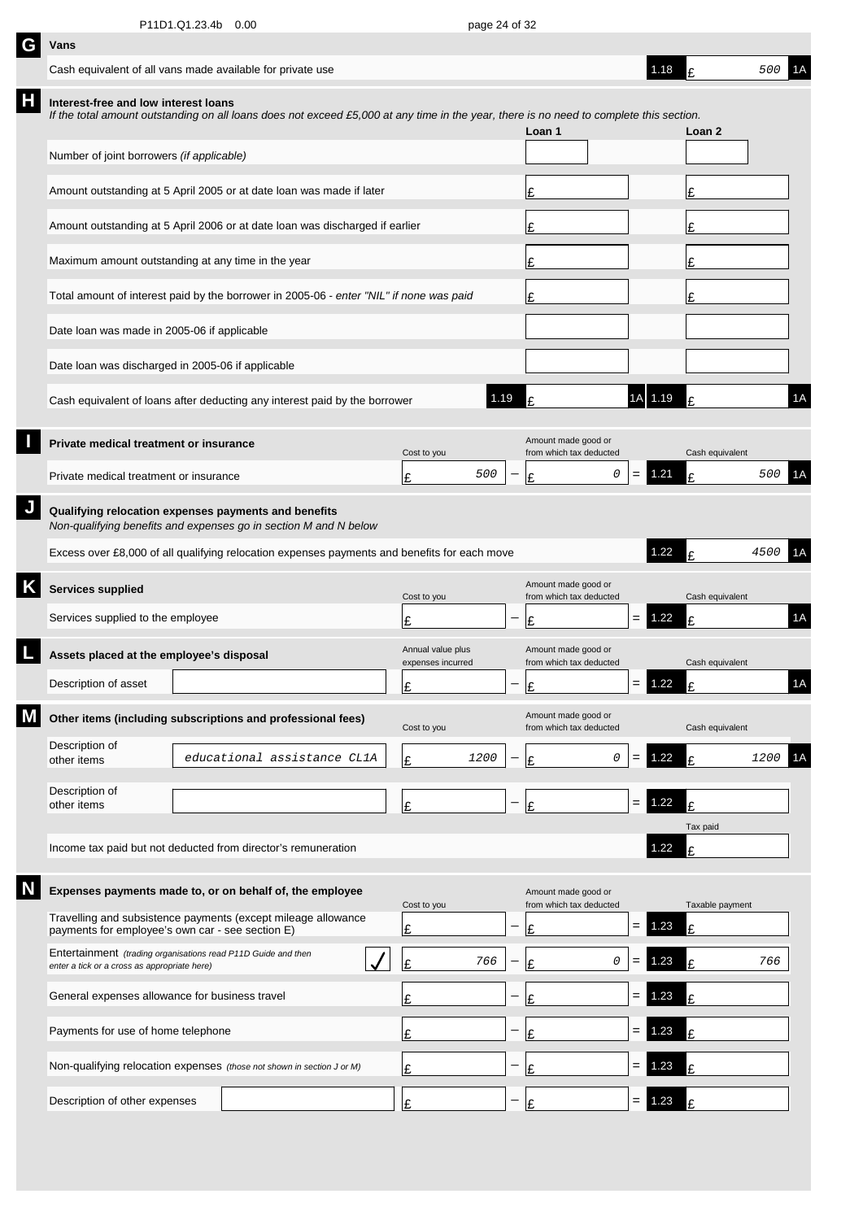| G | Vans                                                                                                          |                                                                                                                                         |                                        |                   |                                                |     |         |                 |      |    |
|---|---------------------------------------------------------------------------------------------------------------|-----------------------------------------------------------------------------------------------------------------------------------------|----------------------------------------|-------------------|------------------------------------------------|-----|---------|-----------------|------|----|
|   | Cash equivalent of all vans made available for private use                                                    |                                                                                                                                         |                                        |                   |                                                |     | 1.18    | ¢               | 500  | 1A |
| Н | Interest-free and low interest loans                                                                          | If the total amount outstanding on all loans does not exceed £5,000 at any time in the year, there is no need to complete this section. |                                        |                   | Loan 1                                         |     |         | Loan 2          |      |    |
|   | Number of joint borrowers (if applicable)                                                                     |                                                                                                                                         |                                        |                   |                                                |     |         |                 |      |    |
|   |                                                                                                               | Amount outstanding at 5 April 2005 or at date loan was made if later                                                                    |                                        |                   | £                                              |     |         | £               |      |    |
|   |                                                                                                               | Amount outstanding at 5 April 2006 or at date loan was discharged if earlier                                                            |                                        | £                 |                                                |     | £       |                 |      |    |
|   | Maximum amount outstanding at any time in the year                                                            |                                                                                                                                         |                                        |                   | £                                              |     |         | £               |      |    |
|   |                                                                                                               | Total amount of interest paid by the borrower in 2005-06 - enter "NIL" if none was paid                                                 |                                        |                   | £                                              |     |         | £               |      |    |
|   | Date loan was made in 2005-06 if applicable                                                                   |                                                                                                                                         |                                        |                   |                                                |     |         |                 |      |    |
|   | Date loan was discharged in 2005-06 if applicable                                                             |                                                                                                                                         |                                        |                   |                                                |     |         |                 |      |    |
|   |                                                                                                               | Cash equivalent of loans after deducting any interest paid by the borrower                                                              | 1.19                                   |                   | £                                              |     | 1A 1.19 | £               |      | 1A |
|   | Private medical treatment or insurance                                                                        |                                                                                                                                         | Cost to you                            |                   | Amount made good or<br>from which tax deducted |     |         | Cash equivalent |      |    |
|   | Private medical treatment or insurance                                                                        |                                                                                                                                         | 500<br>£                               |                   | 0<br>£                                         | $=$ | 1.21    | £               | 500  | 1Α |
| J | Qualifying relocation expenses payments and benefits                                                          | Non-qualifying benefits and expenses go in section M and N below                                                                        |                                        |                   |                                                |     |         |                 |      |    |
|   |                                                                                                               | Excess over £8,000 of all qualifying relocation expenses payments and benefits for each move                                            |                                        |                   |                                                |     | 1.22    |                 | 4500 |    |
| Κ | <b>Services supplied</b>                                                                                      |                                                                                                                                         | Cost to you                            |                   | Amount made good or<br>from which tax deducted |     |         | Cash equivalent |      |    |
|   | Services supplied to the employee                                                                             |                                                                                                                                         | £                                      |                   | £                                              | $=$ | 1.22    | £               |      | 1A |
|   | Assets placed at the employee's disposal                                                                      |                                                                                                                                         | Annual value plus<br>expenses incurred |                   | Amount made good or<br>from which tax deducted |     |         | Cash equivalent |      |    |
|   | Description of asset                                                                                          |                                                                                                                                         | £                                      | $\qquad \qquad -$ | $\mathbf{C}$                                   |     | 122     | $\sim$          |      | 1A |
|   |                                                                                                               | Other items (including subscriptions and professional fees)                                                                             | Cost to you                            |                   | Amount made good or<br>from which tax deducted |     |         | Cash equivalent |      |    |
|   | Description of<br>other items                                                                                 | educational assistance CL1A                                                                                                             | 1200<br>£                              |                   | 0<br>£                                         | =   | 1.22    | £               | 1200 | 1A |
|   | Description of<br>other items                                                                                 |                                                                                                                                         | £                                      |                   | £                                              | $=$ | 1.22    | £               |      |    |
|   |                                                                                                               | Income tax paid but not deducted from director's remuneration                                                                           |                                        |                   |                                                |     | 1.22    | Tax paid<br>£   |      |    |
|   |                                                                                                               |                                                                                                                                         |                                        |                   |                                                |     |         |                 |      |    |
|   |                                                                                                               | Expenses payments made to, or on behalf of, the employee<br>Travelling and subsistence payments (except mileage allowance               | Cost to you                            |                   | Amount made good or<br>from which tax deducted |     |         | Taxable payment |      |    |
|   | payments for employee's own car - see section E)                                                              |                                                                                                                                         | £                                      |                   | £                                              | $=$ | 1.23    | £               |      |    |
|   | Entertainment (trading organisations read P11D Guide and then<br>enter a tick or a cross as appropriate here) |                                                                                                                                         | 766<br>£                               |                   | 0<br>£                                         |     | 1.23    | t               | 766  |    |
|   | General expenses allowance for business travel                                                                |                                                                                                                                         | £                                      |                   | £                                              | =   | 1.23    | £               |      |    |
|   | Payments for use of home telephone                                                                            |                                                                                                                                         | £                                      |                   | £                                              | =   | 1.23    | £               |      |    |
|   |                                                                                                               | Non-qualifying relocation expenses (those not shown in section J or M)                                                                  | £                                      |                   | £                                              | =   | .23     |                 |      |    |
|   | Description of other expenses                                                                                 |                                                                                                                                         | £                                      |                   | £                                              |     | 1.23    |                 |      |    |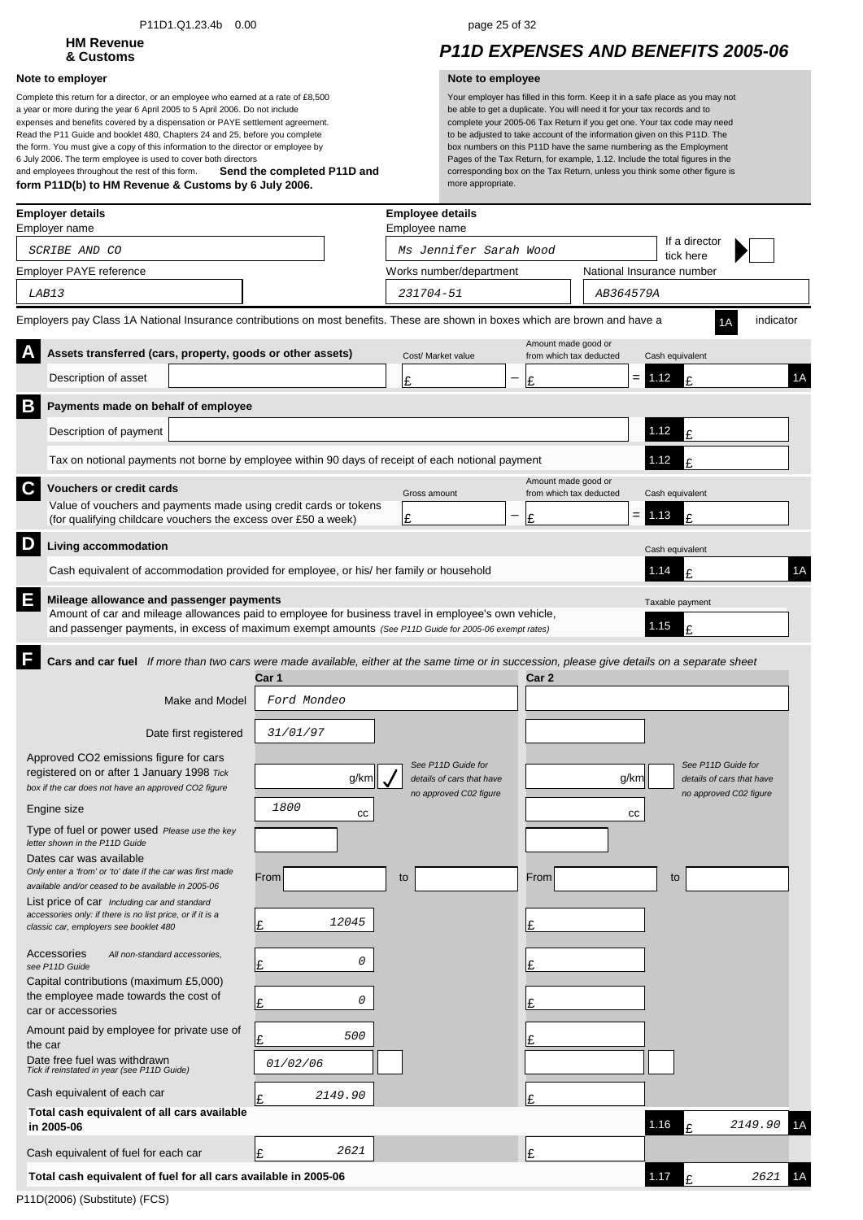### P11D1.Q1.23.4b 0.00 page 25 of 32

# **HM Revenue**

### **Note to employer Note to employee**

**Send the completed P11D and form P11D(b) to HM Revenue & Customs by 6 July 2006.** Complete this return for a director, or an employee who earned at a rate of £8,500 a year or more during the year 6 April 2005 to 5 April 2006. Do not include expenses and benefits covered by a dispensation or PAYE settlement agreement. Read the P11 Guide and booklet 480, Chapters 24 and 25, before you complete the form. You must give a copy of this information to the director or employee by 6 July 2006. The term employee is used to cover both directors and employees throughout the rest of this form.

## **& Customs** *P11D EXPENSES AND BENEFITS 2005-06*

|   | Employer details<br>Employer name                                                                                                                                                                                                                         |                   | <b>Employee details</b><br>Employee name |                     |                           |                              |           |    |
|---|-----------------------------------------------------------------------------------------------------------------------------------------------------------------------------------------------------------------------------------------------------------|-------------------|------------------------------------------|---------------------|---------------------------|------------------------------|-----------|----|
|   | SCRIBE AND CO                                                                                                                                                                                                                                             |                   | Ms Jennifer Sarah Wood                   |                     |                           | If a director<br>tick here   |           |    |
|   | Employer PAYE reference                                                                                                                                                                                                                                   |                   | Works number/department                  |                     | National Insurance number |                              |           |    |
|   | LAB13                                                                                                                                                                                                                                                     |                   | 231704-51                                |                     | AB364579A                 |                              |           |    |
|   | Employers pay Class 1A National Insurance contributions on most benefits. These are shown in boxes which are brown and have a                                                                                                                             |                   |                                          |                     |                           |                              | indicator |    |
|   | Assets transferred (cars, property, goods or other assets)                                                                                                                                                                                                |                   | Cost/ Market value                       | Amount made good or | from which tax deducted   | Cash equivalent              |           |    |
|   | Description of asset                                                                                                                                                                                                                                      |                   | £                                        | £                   | $=$                       | 1.12<br>£                    |           | 1A |
| B | Payments made on behalf of employee                                                                                                                                                                                                                       |                   |                                          |                     |                           |                              |           |    |
|   | Description of payment                                                                                                                                                                                                                                    |                   |                                          |                     |                           | 1.12<br>£                    |           |    |
|   | Tax on notional payments not borne by employee within 90 days of receipt of each notional payment                                                                                                                                                         |                   |                                          |                     |                           | 1.12<br>F                    |           |    |
| C | <b>Vouchers or credit cards</b>                                                                                                                                                                                                                           |                   | Gross amount                             | Amount made good or | from which tax deducted   | Cash equivalent              |           |    |
|   | Value of vouchers and payments made using credit cards or tokens                                                                                                                                                                                          |                   | £                                        | £                   | $= 1.13$                  | £                            |           |    |
| D | (for qualifying childcare vouchers the excess over £50 a week)                                                                                                                                                                                            |                   |                                          |                     |                           |                              |           |    |
|   | Living accommodation                                                                                                                                                                                                                                      |                   |                                          |                     |                           | Cash equivalent              |           |    |
|   | Cash equivalent of accommodation provided for employee, or his/ her family or household                                                                                                                                                                   |                   |                                          |                     |                           | 1.14<br>¢                    |           | 1A |
| Ε | Mileage allowance and passenger payments<br>Amount of car and mileage allowances paid to employee for business travel in employee's own vehicle,<br>and passenger payments, in excess of maximum exempt amounts (See P11D Guide for 2005-06 exempt rates) |                   |                                          |                     |                           | Taxable payment<br>1.15<br>£ |           |    |
|   | Cars and car fuel If more than two cars were made available, either at the same time or in succession, please give details on a separate sheet                                                                                                            |                   |                                          |                     |                           |                              |           |    |
|   |                                                                                                                                                                                                                                                           | Car 1             |                                          | Car 2               |                           |                              |           |    |
|   | Make and Model                                                                                                                                                                                                                                            | Ford Mondeo       |                                          |                     |                           |                              |           |    |
|   | Date first registered                                                                                                                                                                                                                                     | 31/01/97          |                                          |                     |                           |                              |           |    |
|   | Approved CO2 emissions figure for cars                                                                                                                                                                                                                    |                   | See P11D Guide for                       |                     |                           | See P11D Guide for           |           |    |
|   | registered on or after 1 January 1998 Tick<br>box if the car does not have an approved CO2 figure                                                                                                                                                         | g/km              | details of cars that have                |                     | g/km                      | details of cars that have    |           |    |
|   | Engine size                                                                                                                                                                                                                                               | <i>1800</i><br>СC | no approved C02 figure                   |                     | cс                        | no approved C02 figure       |           |    |
|   | Type of fuel or power used Please use the key                                                                                                                                                                                                             |                   |                                          |                     |                           |                              |           |    |
|   | letter shown in the P11D Guide<br>Dates car was available                                                                                                                                                                                                 |                   |                                          |                     |                           |                              |           |    |
|   | Only enter a 'from' or 'to' date if the car was first made<br>available and/or ceased to be available in 2005-06                                                                                                                                          | From              | to                                       | From                |                           | to                           |           |    |
|   | List price of car Including car and standard<br>accessories only: if there is no list price, or if it is a                                                                                                                                                |                   |                                          |                     |                           |                              |           |    |
|   | classic car, employers see booklet 480                                                                                                                                                                                                                    | 12045<br>Ŀ        |                                          | Ŀ                   |                           |                              |           |    |
|   | Accessories<br>All non-standard accessories,<br>see P11D Guide                                                                                                                                                                                            | 0<br>Ι£           |                                          | Ι£                  |                           |                              |           |    |
|   | Capital contributions (maximum £5,000)<br>the employee made towards the cost of                                                                                                                                                                           |                   |                                          |                     |                           |                              |           |    |
|   | car or accessories                                                                                                                                                                                                                                        | 0<br>Ŀ            |                                          |                     |                           |                              |           |    |
|   | Amount paid by employee for private use of<br>the car                                                                                                                                                                                                     | 500<br>Ι£         |                                          |                     |                           |                              |           |    |
|   | Date free fuel was withdrawn<br>Tick if reinstated in year (see P11D Guide)                                                                                                                                                                               | 01/02/06          |                                          |                     |                           |                              |           |    |
|   | Cash equivalent of each car                                                                                                                                                                                                                               | 2149.90<br>Ι£     |                                          | £                   |                           |                              |           |    |
|   | Total cash equivalent of all cars available<br>in 2005-06                                                                                                                                                                                                 |                   |                                          |                     |                           | 1.16<br>£                    | 2149.90   |    |
|   | Cash equivalent of fuel for each car                                                                                                                                                                                                                      | 2621<br>Ŀ         |                                          | Ι£                  |                           |                              |           |    |
|   | Total cash equivalent of fuel for all cars available in 2005-06                                                                                                                                                                                           |                   |                                          |                     |                           | 1.17<br>£                    | 2621      | 1Α |
|   |                                                                                                                                                                                                                                                           |                   |                                          |                     |                           |                              |           |    |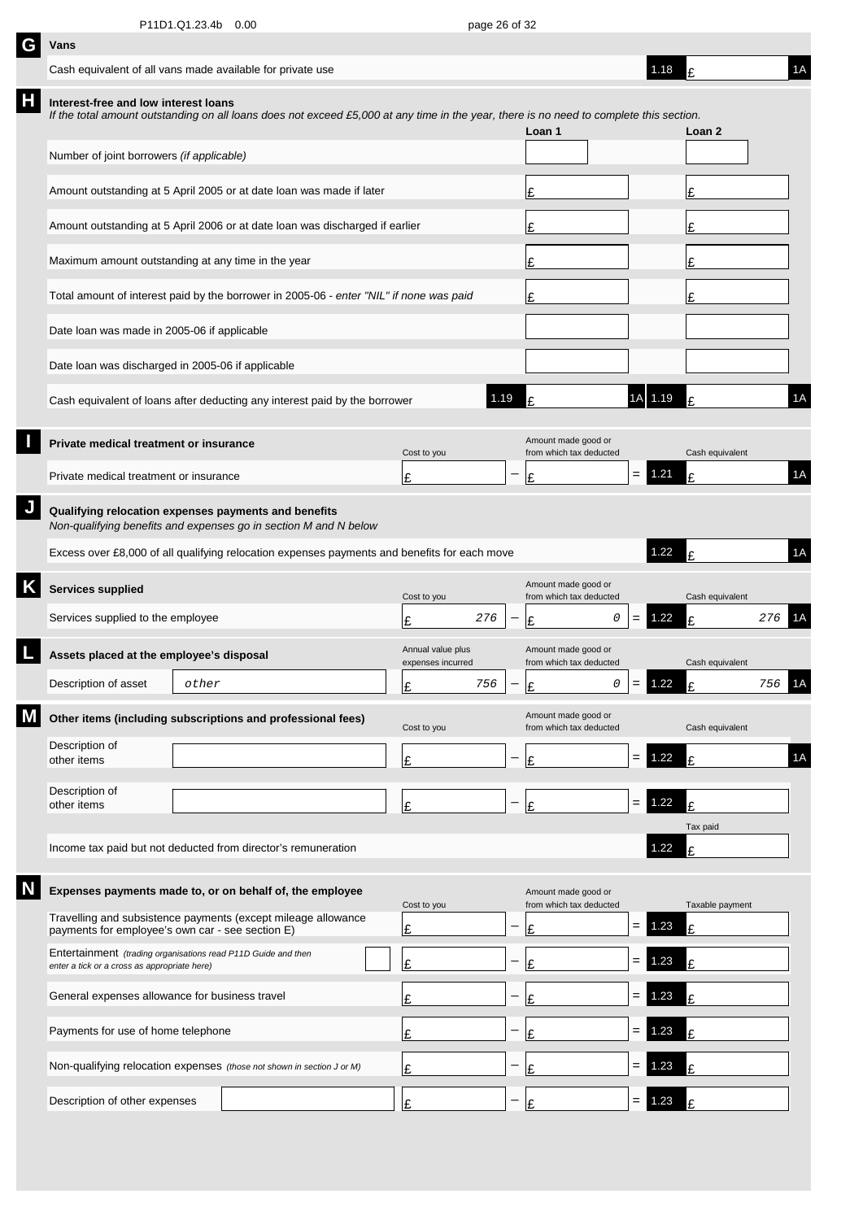| G | Vans                                                                                                          |       |                                                                                                                                         |  |                                        |                          |                                                |           |     |          |                 |     |    |
|---|---------------------------------------------------------------------------------------------------------------|-------|-----------------------------------------------------------------------------------------------------------------------------------------|--|----------------------------------------|--------------------------|------------------------------------------------|-----------|-----|----------|-----------------|-----|----|
|   | Cash equivalent of all vans made available for private use                                                    |       |                                                                                                                                         |  |                                        |                          |                                                |           |     | 1.18     | F               |     | 1A |
| Н | Interest-free and low interest loans                                                                          |       | If the total amount outstanding on all loans does not exceed £5,000 at any time in the year, there is no need to complete this section. |  |                                        |                          | Loan 1                                         |           |     |          | Loan 2          |     |    |
|   | Number of joint borrowers (if applicable)                                                                     |       |                                                                                                                                         |  |                                        |                          |                                                |           |     |          |                 |     |    |
|   |                                                                                                               |       | Amount outstanding at 5 April 2005 or at date loan was made if later                                                                    |  |                                        |                          | £                                              |           |     |          | £               |     |    |
|   |                                                                                                               |       | Amount outstanding at 5 April 2006 or at date loan was discharged if earlier                                                            |  |                                        | £                        |                                                |           |     | £        |                 |     |    |
|   | Maximum amount outstanding at any time in the year                                                            |       |                                                                                                                                         |  |                                        |                          | £                                              |           |     |          | £               |     |    |
|   |                                                                                                               |       | Total amount of interest paid by the borrower in 2005-06 - enter "NIL" if none was paid                                                 |  |                                        |                          | £                                              |           |     |          | £               |     |    |
|   | Date loan was made in 2005-06 if applicable                                                                   |       |                                                                                                                                         |  |                                        |                          |                                                |           |     |          |                 |     |    |
|   | Date loan was discharged in 2005-06 if applicable                                                             |       |                                                                                                                                         |  |                                        |                          |                                                |           |     |          |                 |     |    |
|   |                                                                                                               |       | Cash equivalent of loans after deducting any interest paid by the borrower                                                              |  |                                        | 1.19                     |                                                |           |     | 1A 1.19  | F               |     | 1A |
|   | Private medical treatment or insurance                                                                        |       |                                                                                                                                         |  | Cost to you                            |                          | Amount made good or<br>from which tax deducted |           |     |          | Cash equivalent |     |    |
|   | Private medical treatment or insurance                                                                        |       |                                                                                                                                         |  | £                                      |                          | Ι£                                             |           | $=$ | 1.21     | £               |     | 1A |
|   | Qualifying relocation expenses payments and benefits                                                          |       | Non-qualifying benefits and expenses go in section M and N below                                                                        |  |                                        |                          |                                                |           |     |          |                 |     |    |
|   |                                                                                                               |       | Excess over £8,000 of all qualifying relocation expenses payments and benefits for each move                                            |  |                                        |                          |                                                |           |     | 1.22     | Ŀ               |     | 1A |
| Κ | <b>Services supplied</b>                                                                                      |       |                                                                                                                                         |  | Cost to you                            |                          | Amount made good or<br>from which tax deducted |           |     |          | Cash equivalent |     |    |
|   | Services supplied to the employee                                                                             |       |                                                                                                                                         |  | 276<br>£                               |                          | £                                              | 0         | $=$ | 1.22     | ١£              | 276 | 1A |
|   | Assets placed at the employee's disposal                                                                      |       |                                                                                                                                         |  | Annual value plus<br>expenses incurred |                          | Amount made good or<br>from which tax deducted |           |     |          | Cash equivalent |     |    |
|   | Description of asset                                                                                          | other |                                                                                                                                         |  | 756<br>c                               | $\overline{\phantom{0}}$ | ءا                                             | $\circ$ 1 |     | $= 1.22$ | t.              | 756 | 1A |
|   |                                                                                                               |       | Other items (including subscriptions and professional fees)                                                                             |  | Cost to you                            |                          | Amount made good or<br>from which tax deducted |           |     |          | Cash equivalent |     |    |
|   | Description of<br>other items                                                                                 |       |                                                                                                                                         |  | £                                      |                          | £                                              |           | $=$ | 1.22     | £               |     | 1A |
|   | Description of<br>other items                                                                                 |       |                                                                                                                                         |  | Ι£                                     | —                        | £                                              |           | $=$ | 1.22     | £               |     |    |
|   |                                                                                                               |       | Income tax paid but not deducted from director's remuneration                                                                           |  |                                        |                          |                                                |           |     | 1.22     | Tax paid<br>£   |     |    |
|   |                                                                                                               |       |                                                                                                                                         |  |                                        |                          |                                                |           |     |          |                 |     |    |
|   |                                                                                                               |       | Expenses payments made to, or on behalf of, the employee<br>Travelling and subsistence payments (except mileage allowance               |  | Cost to you                            |                          | Amount made good or<br>from which tax deducted |           |     |          | Taxable payment |     |    |
|   | payments for employee's own car - see section E)                                                              |       |                                                                                                                                         |  | £                                      |                          | £                                              |           | $=$ | 1.23     | £               |     |    |
|   | Entertainment (trading organisations read P11D Guide and then<br>enter a tick or a cross as appropriate here) |       |                                                                                                                                         |  | £                                      |                          | £                                              |           | $=$ | 1.23     | £               |     |    |
|   | General expenses allowance for business travel                                                                |       |                                                                                                                                         |  | £                                      |                          | £                                              |           | $=$ | 1.23     | F               |     |    |
|   | Payments for use of home telephone                                                                            |       |                                                                                                                                         |  | £                                      |                          | £                                              |           | $=$ | 1.23     | £               |     |    |
|   |                                                                                                               |       |                                                                                                                                         |  |                                        |                          |                                                |           |     |          |                 |     |    |
|   |                                                                                                               |       | Non-qualifying relocation expenses (those not shown in section J or M)                                                                  |  | Ι£                                     |                          | £                                              |           | =   | 1.23     | F               |     |    |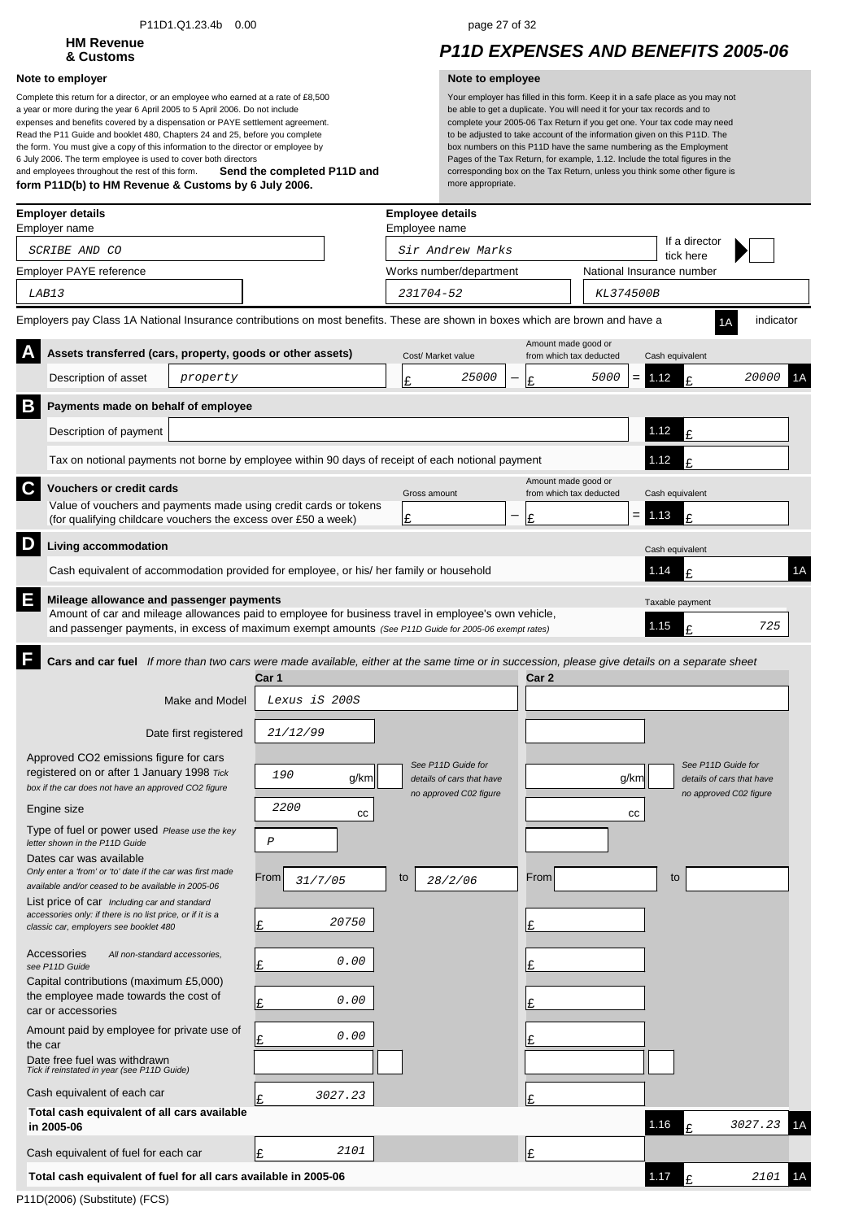### P11D1.Q1.23.4b 0.00 page 27 of 32

# **HM Revenue**

### **Note to employer Note to employee**

**Send the completed P11D and form P11D(b) to HM Revenue & Customs by 6 July 2006.** Complete this return for a director, or an employee who earned at a rate of £8,500 a year or more during the year 6 April 2005 to 5 April 2006. Do not include expenses and benefits covered by a dispensation or PAYE settlement agreement. Read the P11 Guide and booklet 480, Chapters 24 and 25, before you complete the form. You must give a copy of this information to the director or employee by 6 July 2006. The term employee is used to cover both directors and employees throughout the rest of this form.

## **& Customs** *P11D EXPENSES AND BENEFITS 2005-06*

|         | <b>Employer details</b><br>Employer name                                                                                                                                                                                                                  |                       |                 |         |    | <b>Employee details</b><br>Employee name |                                                |                           |             |                           |           |    |
|---------|-----------------------------------------------------------------------------------------------------------------------------------------------------------------------------------------------------------------------------------------------------------|-----------------------|-----------------|---------|----|------------------------------------------|------------------------------------------------|---------------------------|-------------|---------------------------|-----------|----|
|         | SCRIBE AND CO                                                                                                                                                                                                                                             |                       |                 |         |    | Sir Andrew Marks                         |                                                |                           |             | If a director             |           |    |
|         | Employer PAYE reference                                                                                                                                                                                                                                   |                       |                 |         |    | Works number/department                  |                                                | National Insurance number |             | tick here                 |           |    |
|         | LAB13                                                                                                                                                                                                                                                     |                       |                 |         |    | 231704-52                                |                                                | KL374500B                 |             |                           |           |    |
|         | Employers pay Class 1A National Insurance contributions on most benefits. These are shown in boxes which are brown and have a                                                                                                                             |                       |                 |         |    |                                          |                                                |                           |             |                           | indicator |    |
|         | Assets transferred (cars, property, goods or other assets)                                                                                                                                                                                                |                       |                 |         |    | Cost/ Market value                       | Amount made good or<br>from which tax deducted |                           |             | Cash equivalent           |           |    |
|         | Description of asset                                                                                                                                                                                                                                      | property              |                 |         | Ι£ | 25000                                    | Ι£                                             | 5000                      | 1.12<br>$=$ | t                         | 20000     | ١A |
| Β       | Payments made on behalf of employee                                                                                                                                                                                                                       |                       |                 |         |    |                                          |                                                |                           |             |                           |           |    |
|         | Description of payment                                                                                                                                                                                                                                    |                       |                 |         |    |                                          |                                                |                           | 1.12        | £                         |           |    |
|         | Tax on notional payments not borne by employee within 90 days of receipt of each notional payment                                                                                                                                                         |                       |                 |         |    |                                          |                                                |                           | 1.12        | t                         |           |    |
| C       | <b>Vouchers or credit cards</b>                                                                                                                                                                                                                           |                       |                 |         |    |                                          | Amount made good or                            |                           |             |                           |           |    |
|         | Value of vouchers and payments made using credit cards or tokens<br>(for qualifying childcare vouchers the excess over £50 a week)                                                                                                                        |                       |                 |         | £  | Gross amount                             | from which tax deducted<br>£                   |                           | 1.13<br>$=$ | Cash equivalent<br>F      |           |    |
| D       | Living accommodation                                                                                                                                                                                                                                      |                       |                 |         |    |                                          |                                                |                           |             |                           |           |    |
|         | Cash equivalent of accommodation provided for employee, or his/ her family or household                                                                                                                                                                   |                       |                 |         |    |                                          |                                                |                           | 1.14        | Cash equivalent<br>t      |           | 1A |
| E       |                                                                                                                                                                                                                                                           |                       |                 |         |    |                                          |                                                |                           |             |                           |           |    |
|         | Mileage allowance and passenger payments<br>Amount of car and mileage allowances paid to employee for business travel in employee's own vehicle,<br>and passenger payments, in excess of maximum exempt amounts (See P11D Guide for 2005-06 exempt rates) |                       |                 |         |    |                                          |                                                |                           | 1.15        | Taxable payment<br>t      | 725       |    |
|         | Cars and car fuel If more than two cars were made available, either at the same time or in succession, please give details on a separate sheet                                                                                                            |                       |                 |         |    |                                          |                                                |                           |             |                           |           |    |
|         |                                                                                                                                                                                                                                                           |                       | Car 1           |         |    |                                          | Car 2                                          |                           |             |                           |           |    |
|         |                                                                                                                                                                                                                                                           | <b>Make and Model</b> | Lexus iS 200S   |         |    |                                          |                                                |                           |             |                           |           |    |
|         |                                                                                                                                                                                                                                                           | Date first registered | 21/12/99        |         |    |                                          |                                                |                           |             |                           |           |    |
|         | Approved CO2 emissions figure for cars                                                                                                                                                                                                                    |                       |                 |         |    | See P11D Guide for                       |                                                |                           |             | See P11D Guide for        |           |    |
|         | registered on or after 1 January 1998 Tick<br>box if the car does not have an approved CO2 figure                                                                                                                                                         |                       | 190             | g/km    |    | details of cars that have                |                                                |                           | g/km        | details of cars that have |           |    |
|         | Engine size                                                                                                                                                                                                                                               |                       | 2200            | cc      |    | no approved C02 figure                   |                                                |                           | $_{\rm cc}$ | no approved C02 figure    |           |    |
|         | Type of fuel or power used Please use the key<br>letter shown in the P11D Guide                                                                                                                                                                           |                       | $\cal P$        |         |    |                                          |                                                |                           |             |                           |           |    |
|         | Dates car was available                                                                                                                                                                                                                                   |                       |                 |         |    |                                          |                                                |                           |             |                           |           |    |
|         | Only enter a 'from' or 'to' date if the car was first made<br>available and/or ceased to be available in 2005-06                                                                                                                                          |                       | From<br>31/7/05 |         | to | 28/2/06                                  | From                                           |                           |             | to                        |           |    |
|         | List price of car Including car and standard<br>accessories only: if there is no list price, or if it is a                                                                                                                                                |                       |                 |         |    |                                          |                                                |                           |             |                           |           |    |
|         | classic car, employers see booklet 480                                                                                                                                                                                                                    |                       | Ι£              | 20750   |    |                                          | £                                              |                           |             |                           |           |    |
|         | Accessories<br>All non-standard accessories.<br>see P11D Guide                                                                                                                                                                                            |                       | £               | 0.00    |    |                                          | £                                              |                           |             |                           |           |    |
|         | Capital contributions (maximum £5,000)                                                                                                                                                                                                                    |                       |                 |         |    |                                          |                                                |                           |             |                           |           |    |
|         | the employee made towards the cost of<br>car or accessories                                                                                                                                                                                               |                       | £               | 0.00    |    |                                          | £                                              |                           |             |                           |           |    |
| the car | Amount paid by employee for private use of                                                                                                                                                                                                                |                       | £               | 0.00    |    |                                          | £                                              |                           |             |                           |           |    |
|         | Date free fuel was withdrawn<br>Tick if reinstated in year (see P11D Guide)                                                                                                                                                                               |                       |                 |         |    |                                          |                                                |                           |             |                           |           |    |
|         | Cash equivalent of each car                                                                                                                                                                                                                               |                       | £               | 3027.23 |    |                                          | £                                              |                           |             |                           |           |    |
|         | Total cash equivalent of all cars available<br>in 2005-06                                                                                                                                                                                                 |                       |                 |         |    |                                          |                                                |                           | 1.16        | t                         | 3027.23   |    |
|         | Cash equivalent of fuel for each car                                                                                                                                                                                                                      |                       | £               | 2101    |    |                                          | £                                              |                           |             |                           |           |    |
|         | Total cash equivalent of fuel for all cars available in 2005-06                                                                                                                                                                                           |                       |                 |         |    |                                          |                                                |                           | 1.17        | £                         | 2101      |    |
|         |                                                                                                                                                                                                                                                           |                       |                 |         |    |                                          |                                                |                           |             |                           |           |    |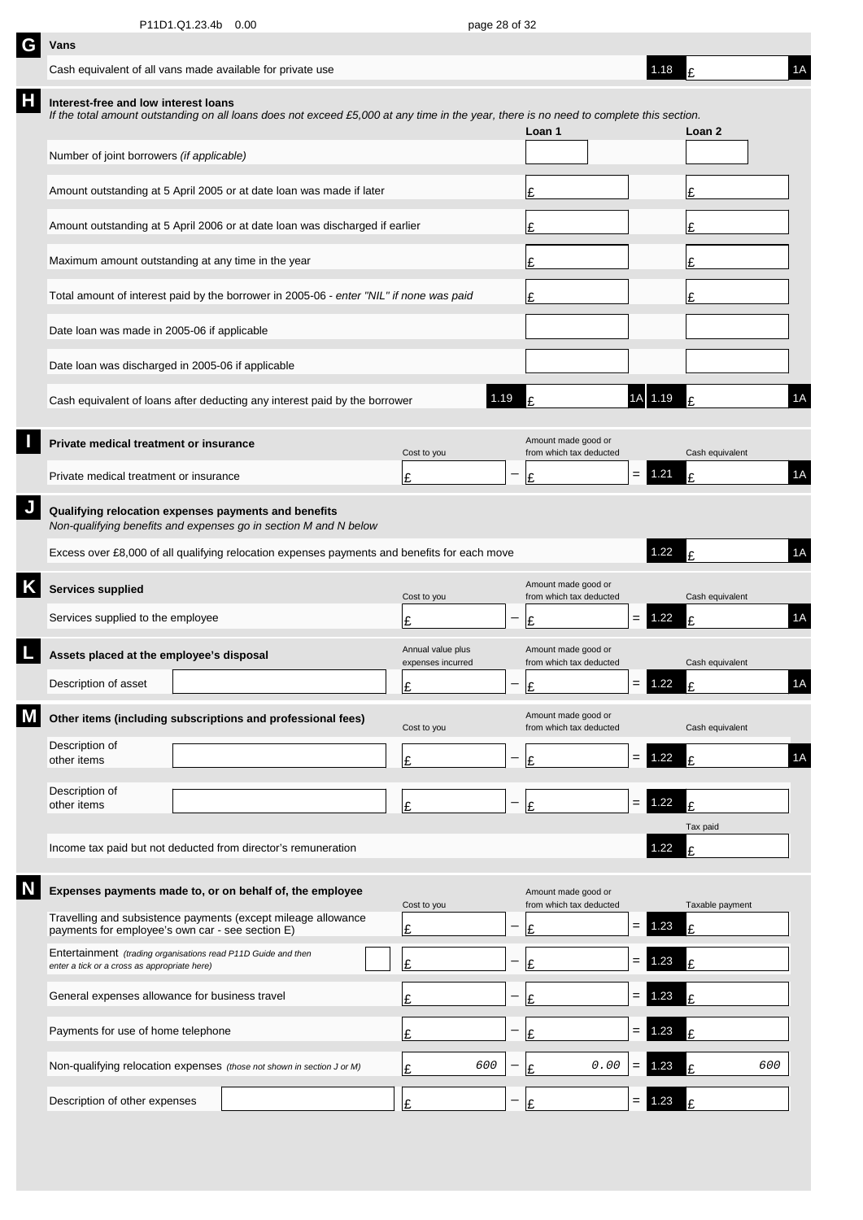|   | Vans                                                                                                                                                                            |  |  |                                        |                          |                                                |                   |          |                 |     |  |
|---|---------------------------------------------------------------------------------------------------------------------------------------------------------------------------------|--|--|----------------------------------------|--------------------------|------------------------------------------------|-------------------|----------|-----------------|-----|--|
|   | Cash equivalent of all vans made available for private use                                                                                                                      |  |  |                                        |                          |                                                |                   | 1.18     | ١F              | 1A  |  |
| Н | Interest-free and low interest loans<br>If the total amount outstanding on all loans does not exceed £5,000 at any time in the year, there is no need to complete this section. |  |  |                                        |                          | Loan 1                                         |                   |          | Loan 2          |     |  |
|   | Number of joint borrowers (if applicable)                                                                                                                                       |  |  |                                        |                          |                                                |                   |          |                 |     |  |
|   | Amount outstanding at 5 April 2005 or at date loan was made if later                                                                                                            |  |  |                                        |                          | £                                              |                   |          | £               |     |  |
|   | Amount outstanding at 5 April 2006 or at date loan was discharged if earlier                                                                                                    |  |  |                                        |                          | £                                              |                   |          | £               |     |  |
|   | Maximum amount outstanding at any time in the year                                                                                                                              |  |  |                                        |                          | £                                              |                   |          | £               |     |  |
|   | Total amount of interest paid by the borrower in 2005-06 - enter "NIL" if none was paid                                                                                         |  |  |                                        |                          | £                                              |                   |          | £               |     |  |
|   | Date loan was made in 2005-06 if applicable                                                                                                                                     |  |  |                                        |                          |                                                |                   |          |                 |     |  |
|   | Date loan was discharged in 2005-06 if applicable                                                                                                                               |  |  |                                        |                          |                                                |                   |          |                 |     |  |
|   | Cash equivalent of loans after deducting any interest paid by the borrower                                                                                                      |  |  | 1.19                                   |                          | £                                              |                   | 1A 1.19  |                 | 1A  |  |
|   | Private medical treatment or insurance                                                                                                                                          |  |  | Cost to you                            |                          | Amount made good or<br>from which tax deducted |                   |          | Cash equivalent |     |  |
|   | Private medical treatment or insurance                                                                                                                                          |  |  | Ι£                                     |                          | £                                              | $=$               | 1.21     | £               | 1A  |  |
|   | Qualifying relocation expenses payments and benefits<br>Non-qualifying benefits and expenses go in section M and N below                                                        |  |  |                                        |                          |                                                |                   |          |                 |     |  |
|   | Excess over £8,000 of all qualifying relocation expenses payments and benefits for each move                                                                                    |  |  |                                        |                          |                                                |                   | 1.22     | £               | 1A  |  |
|   |                                                                                                                                                                                 |  |  |                                        |                          |                                                |                   |          |                 |     |  |
| Κ | Services supplied                                                                                                                                                               |  |  | Cost to you                            |                          | Amount made good or<br>from which tax deducted |                   |          | Cash equivalent |     |  |
|   | Services supplied to the employee                                                                                                                                               |  |  | £                                      |                          | £                                              | $=$               | 1.22     | t               | 1A  |  |
|   | Assets placed at the employee's disposal                                                                                                                                        |  |  | Annual value plus<br>expenses incurred |                          | Amount made good or<br>from which tax deducted |                   |          | Cash equivalent |     |  |
|   | Description of asset                                                                                                                                                            |  |  | Ŀ                                      | $\overline{\phantom{0}}$ | ١c                                             |                   | $= 1.22$ | t.              | 1A  |  |
|   | Other items (including subscriptions and professional fees)                                                                                                                     |  |  | Cost to you                            |                          | Amount made good or<br>from which tax deducted |                   |          | Cash equivalent |     |  |
|   | Description of<br>other items                                                                                                                                                   |  |  | £                                      |                          | £                                              | $=$               | 1.22     | £               | 1A  |  |
|   | Description of<br>other items                                                                                                                                                   |  |  |                                        |                          | £                                              | $\qquad \qquad =$ | 1.22     | £               |     |  |
|   |                                                                                                                                                                                 |  |  | £                                      |                          |                                                |                   |          | Tax paid        |     |  |
|   | Income tax paid but not deducted from director's remuneration                                                                                                                   |  |  |                                        |                          |                                                |                   | 1.22     | £               |     |  |
|   | Expenses payments made to, or on behalf of, the employee                                                                                                                        |  |  | Cost to you                            |                          | Amount made good or<br>from which tax deducted |                   |          | Taxable payment |     |  |
|   | Travelling and subsistence payments (except mileage allowance<br>payments for employee's own car - see section E)                                                               |  |  | Ŀ                                      |                          | £                                              | $=$               | 1.23     | £               |     |  |
|   | Entertainment (trading organisations read P11D Guide and then<br>enter a tick or a cross as appropriate here)                                                                   |  |  | Ι£                                     |                          | £                                              | $=$               | 1.23     | £               |     |  |
|   | General expenses allowance for business travel                                                                                                                                  |  |  | £                                      |                          | £                                              | $=$               | 1.23     | t               |     |  |
|   | Payments for use of home telephone                                                                                                                                              |  |  | £                                      |                          | £                                              | $=$               | 1.23     | £               |     |  |
|   | Non-qualifying relocation expenses (those not shown in section J or M)                                                                                                          |  |  | 600<br>Ι£                              |                          | 0.00<br>£                                      | $=$               | 1.23     | £               | 600 |  |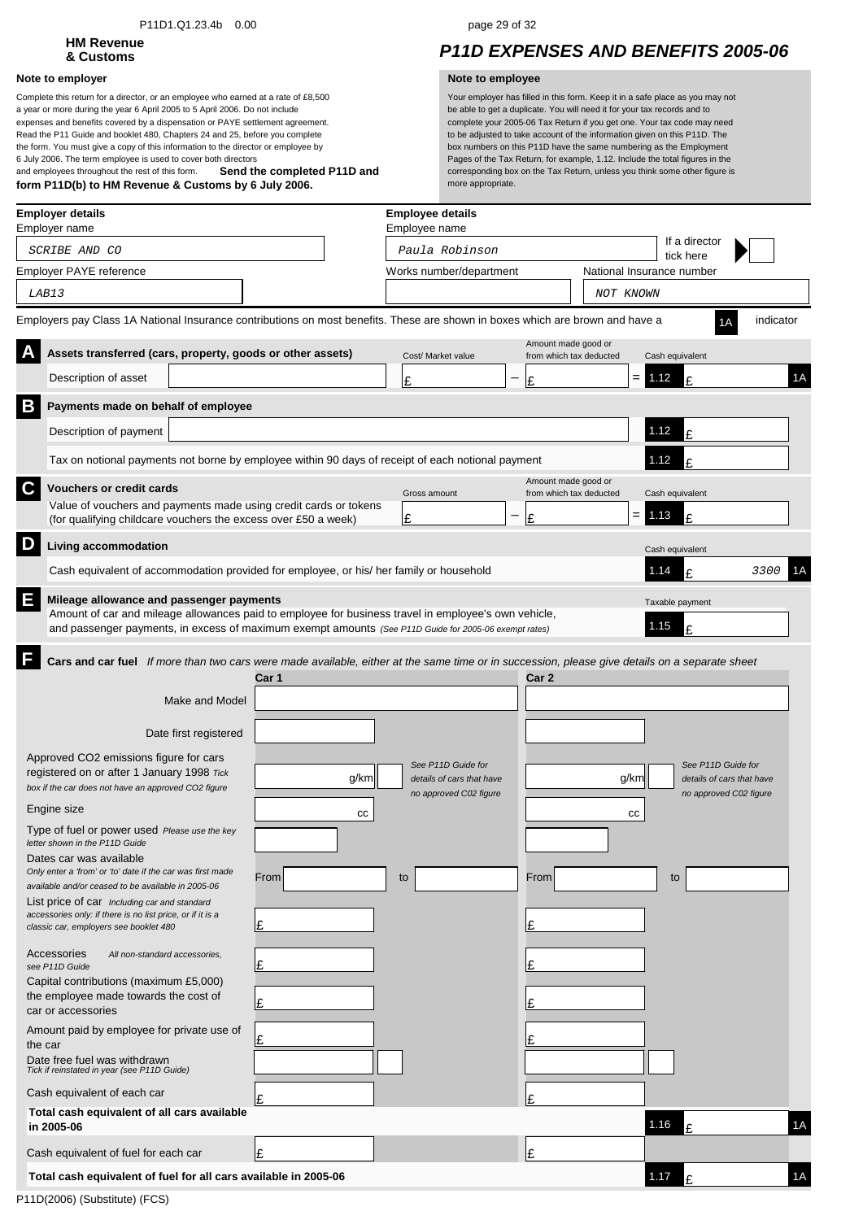### P11D1.Q1.23.4b 0.00 page 29 of 32

# **HM Revenue**

### **Note to employer Note to employee**

**Send the completed P11D and form P11D(b) to HM Revenue & Customs by 6 July 2006.** Complete this return for a director, or an employee who earned at a rate of £8,500 a year or more during the year 6 April 2005 to 5 April 2006. Do not include expenses and benefits covered by a dispensation or PAYE settlement agreement. Read the P11 Guide and booklet 480, Chapters 24 and 25, before you complete the form. You must give a copy of this information to the director or employee by 6 July 2006. The term employee is used to cover both directors and employees throughout the rest of this form.

## **& Customs** *P11D EXPENSES AND BENEFITS 2005-06*

| <b>Employer details</b><br>Employer name                                                                                                                                                                                                                       |      | <b>Employee details</b><br>Employee name |       |                                                |                                        |                           |
|----------------------------------------------------------------------------------------------------------------------------------------------------------------------------------------------------------------------------------------------------------------|------|------------------------------------------|-------|------------------------------------------------|----------------------------------------|---------------------------|
| SCRIBE AND CO                                                                                                                                                                                                                                                  |      | Paula Robinson                           |       |                                                | If a director                          |                           |
| Employer PAYE reference                                                                                                                                                                                                                                        |      | Works number/department                  |       |                                                | tick here<br>National Insurance number |                           |
| LAB13                                                                                                                                                                                                                                                          |      |                                          |       | NOT KNOWN                                      |                                        |                           |
| Employers pay Class 1A National Insurance contributions on most benefits. These are shown in boxes which are brown and have a                                                                                                                                  |      |                                          |       |                                                |                                        | indicator<br>1Α           |
| Assets transferred (cars, property, goods or other assets)                                                                                                                                                                                                     |      | Cost/ Market value                       |       | Amount made good or<br>from which tax deducted | Cash equivalent                        |                           |
| Description of asset                                                                                                                                                                                                                                           |      | £                                        | £     |                                                | $=$<br>1.12                            | 1A                        |
| B<br>Payments made on behalf of employee                                                                                                                                                                                                                       |      |                                          |       |                                                |                                        |                           |
| Description of payment                                                                                                                                                                                                                                         |      |                                          |       |                                                | 1.12<br>f                              |                           |
| Tax on notional payments not borne by employee within 90 days of receipt of each notional payment                                                                                                                                                              |      |                                          |       |                                                | 1.12                                   |                           |
| C<br><b>Vouchers or credit cards</b>                                                                                                                                                                                                                           |      |                                          |       | Amount made good or                            |                                        |                           |
| Value of vouchers and payments made using credit cards or tokens                                                                                                                                                                                               |      | Gross amount<br>Ι£                       |       | from which tax deducted                        | Cash equivalent<br>1.13<br>£           |                           |
| (for qualifying childcare vouchers the excess over £50 a week)                                                                                                                                                                                                 |      |                                          | £     |                                                |                                        |                           |
| D<br>Living accommodation                                                                                                                                                                                                                                      |      |                                          |       |                                                | Cash equivalent                        |                           |
| Cash equivalent of accommodation provided for employee, or his/ her family or household                                                                                                                                                                        |      |                                          |       |                                                | 1.14<br>¢                              | 3300                      |
| Ε<br>Mileage allowance and passenger payments<br>Amount of car and mileage allowances paid to employee for business travel in employee's own vehicle,<br>and passenger payments, in excess of maximum exempt amounts (See P11D Guide for 2005-06 exempt rates) |      |                                          |       |                                                | Taxable payment<br>1.15<br>£           |                           |
| Cars and car fuel If more than two cars were made available, either at the same time or in succession, please give details on a separate sheet                                                                                                                 |      |                                          |       |                                                |                                        |                           |
| Car 1                                                                                                                                                                                                                                                          |      |                                          | Car 2 |                                                |                                        |                           |
| Make and Model                                                                                                                                                                                                                                                 |      |                                          |       |                                                |                                        |                           |
| Date first registered                                                                                                                                                                                                                                          |      |                                          |       |                                                |                                        |                           |
| Approved CO2 emissions figure for cars                                                                                                                                                                                                                         |      | See P11D Guide for                       |       |                                                |                                        | See P11D Guide for        |
| registered on or after 1 January 1998 Tick<br>box if the car does not have an approved CO2 figure                                                                                                                                                              | g/km | details of cars that have                |       |                                                | g/km                                   | details of cars that have |
| Engine size                                                                                                                                                                                                                                                    | cc   | no approved C02 figure                   |       |                                                | СC                                     | no approved C02 figure    |
| Type of fuel or power used Please use the key                                                                                                                                                                                                                  |      |                                          |       |                                                |                                        |                           |
| letter shown in the P11D Guide<br>Dates car was available                                                                                                                                                                                                      |      |                                          |       |                                                |                                        |                           |
| Only enter a 'from' or 'to' date if the car was first made<br>From<br>available and/or ceased to be available in 2005-06                                                                                                                                       |      | to                                       | From  |                                                | to                                     |                           |
| List price of car Including car and standard                                                                                                                                                                                                                   |      |                                          |       |                                                |                                        |                           |
| accessories only: if there is no list price, or if it is a<br>£<br>classic car, employers see booklet 480                                                                                                                                                      |      |                                          | £     |                                                |                                        |                           |
| Accessories<br>All non-standard accessories,<br>Ι£<br>see P11D Guide                                                                                                                                                                                           |      |                                          | £     |                                                |                                        |                           |
| Capital contributions (maximum £5,000)<br>the employee made towards the cost of                                                                                                                                                                                |      |                                          |       |                                                |                                        |                           |
| £<br>car or accessories                                                                                                                                                                                                                                        |      |                                          | £     |                                                |                                        |                           |
| Amount paid by employee for private use of<br>£<br>the car                                                                                                                                                                                                     |      |                                          | Ι£    |                                                |                                        |                           |
| Date free fuel was withdrawn<br>Tick if reinstated in year (see P11D Guide)                                                                                                                                                                                    |      |                                          |       |                                                |                                        |                           |
| Cash equivalent of each car<br>£                                                                                                                                                                                                                               |      |                                          | £     |                                                |                                        |                           |
| Total cash equivalent of all cars available<br>in 2005-06                                                                                                                                                                                                      |      |                                          |       |                                                | 1.16                                   | 1A                        |
| Ι£<br>Cash equivalent of fuel for each car                                                                                                                                                                                                                     |      |                                          | £     |                                                |                                        |                           |
| Total cash equivalent of fuel for all cars available in 2005-06                                                                                                                                                                                                |      |                                          |       |                                                | 1.17                                   | 1A                        |
|                                                                                                                                                                                                                                                                |      |                                          |       |                                                |                                        |                           |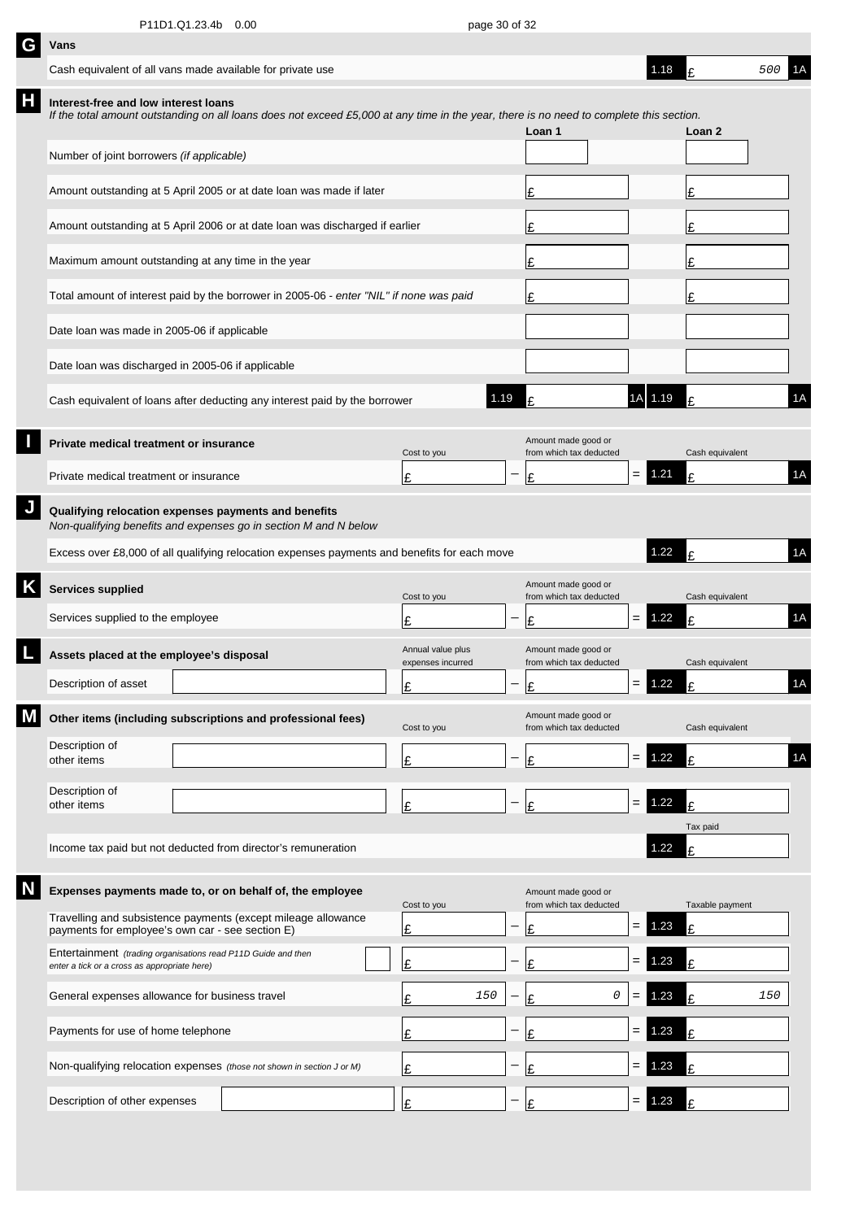| G | Vans                                                                                                          |                                                                                                                                         |                                        |                   |                                                |     |          |                 |     |    |
|---|---------------------------------------------------------------------------------------------------------------|-----------------------------------------------------------------------------------------------------------------------------------------|----------------------------------------|-------------------|------------------------------------------------|-----|----------|-----------------|-----|----|
|   | Cash equivalent of all vans made available for private use                                                    |                                                                                                                                         |                                        |                   |                                                |     | 1.18     |                 | 500 | 1A |
| Н | Interest-free and low interest loans                                                                          | If the total amount outstanding on all loans does not exceed £5,000 at any time in the year, there is no need to complete this section. |                                        |                   | Loan 1                                         |     |          | Loan 2          |     |    |
|   | Number of joint borrowers (if applicable)                                                                     |                                                                                                                                         |                                        |                   |                                                |     |          |                 |     |    |
|   |                                                                                                               | Amount outstanding at 5 April 2005 or at date loan was made if later                                                                    |                                        |                   | Ι£                                             |     |          | £               |     |    |
|   |                                                                                                               | Amount outstanding at 5 April 2006 or at date loan was discharged if earlier                                                            |                                        |                   | Ι£                                             |     |          |                 |     |    |
|   | Maximum amount outstanding at any time in the year                                                            |                                                                                                                                         |                                        |                   | Ι£                                             |     |          |                 |     |    |
|   |                                                                                                               | Total amount of interest paid by the borrower in 2005-06 - enter "NIL" if none was paid                                                 |                                        |                   | l£                                             |     |          | £               |     |    |
|   | Date loan was made in 2005-06 if applicable                                                                   |                                                                                                                                         |                                        |                   |                                                |     |          |                 |     |    |
|   | Date loan was discharged in 2005-06 if applicable                                                             |                                                                                                                                         |                                        |                   |                                                |     |          |                 |     |    |
|   |                                                                                                               | Cash equivalent of loans after deducting any interest paid by the borrower                                                              |                                        | 1.19              |                                                |     | 1.19     |                 |     | 1A |
|   | Private medical treatment or insurance                                                                        |                                                                                                                                         | Cost to you                            |                   | Amount made good or<br>from which tax deducted |     |          | Cash equivalent |     |    |
|   | Private medical treatment or insurance                                                                        |                                                                                                                                         | £                                      |                   | l£                                             | $=$ | 1.21     | £               |     | 1A |
|   | Qualifying relocation expenses payments and benefits                                                          | Non-qualifying benefits and expenses go in section M and N below                                                                        |                                        |                   |                                                |     |          |                 |     |    |
|   |                                                                                                               | Excess over £8,000 of all qualifying relocation expenses payments and benefits for each move                                            |                                        |                   |                                                |     | 1.22     | £               |     | 1A |
|   | <b>Services supplied</b>                                                                                      |                                                                                                                                         | Cost to you                            |                   | Amount made good or<br>from which tax deducted |     |          | Cash equivalent |     |    |
|   | Services supplied to the employee                                                                             |                                                                                                                                         | £                                      |                   | £                                              | $=$ | 1.22     | F               |     | 1A |
|   | Assets placed at the employee's disposal                                                                      |                                                                                                                                         | Annual value plus<br>expenses incurred |                   | Amount made good or<br>from which tax deducted |     |          | Cash equivalent |     |    |
|   | Description of asset                                                                                          |                                                                                                                                         | t                                      | $\qquad \qquad -$ | ١c                                             |     | $= 1.22$ | t.              |     | 1A |
|   |                                                                                                               | Other items (including subscriptions and professional fees)                                                                             | Cost to you                            |                   | Amount made good or<br>from which tax deducted |     |          | Cash equivalent |     |    |
|   | Description of<br>other items                                                                                 |                                                                                                                                         | £                                      |                   | Ι£                                             | $=$ | 1.22     | £               |     | 1A |
|   | Description of<br>other items                                                                                 |                                                                                                                                         | Ι£                                     |                   | Ι£                                             | $=$ | 1.22     | £               |     |    |
|   |                                                                                                               |                                                                                                                                         |                                        |                   |                                                |     |          | Tax paid        |     |    |
|   |                                                                                                               | Income tax paid but not deducted from director's remuneration                                                                           |                                        |                   |                                                |     | 1.22     | £               |     |    |
|   |                                                                                                               | Expenses payments made to, or on behalf of, the employee                                                                                | Cost to you                            |                   | Amount made good or<br>from which tax deducted |     |          | Taxable payment |     |    |
|   | payments for employee's own car - see section E)                                                              | Travelling and subsistence payments (except mileage allowance                                                                           | £                                      |                   | F                                              | $=$ | .23      | £               |     |    |
|   | Entertainment (trading organisations read P11D Guide and then<br>enter a tick or a cross as appropriate here) |                                                                                                                                         | £                                      |                   | ι£                                             | $=$ | 1.23     | £               |     |    |
|   | General expenses allowance for business travel                                                                |                                                                                                                                         | 150<br>£                               |                   | 0<br>£                                         | $=$ | .23      | £               | 150 |    |
|   | Payments for use of home telephone                                                                            |                                                                                                                                         | Ŀ                                      |                   | £                                              | $=$ | .23      | £               |     |    |
|   |                                                                                                               | Non-qualifying relocation expenses (those not shown in section J or M)                                                                  | Ι£                                     |                   | £                                              | $=$ | .23      | £               |     |    |
|   | Description of other expenses                                                                                 |                                                                                                                                         | £                                      |                   | ¢                                              | =   | .23      |                 |     |    |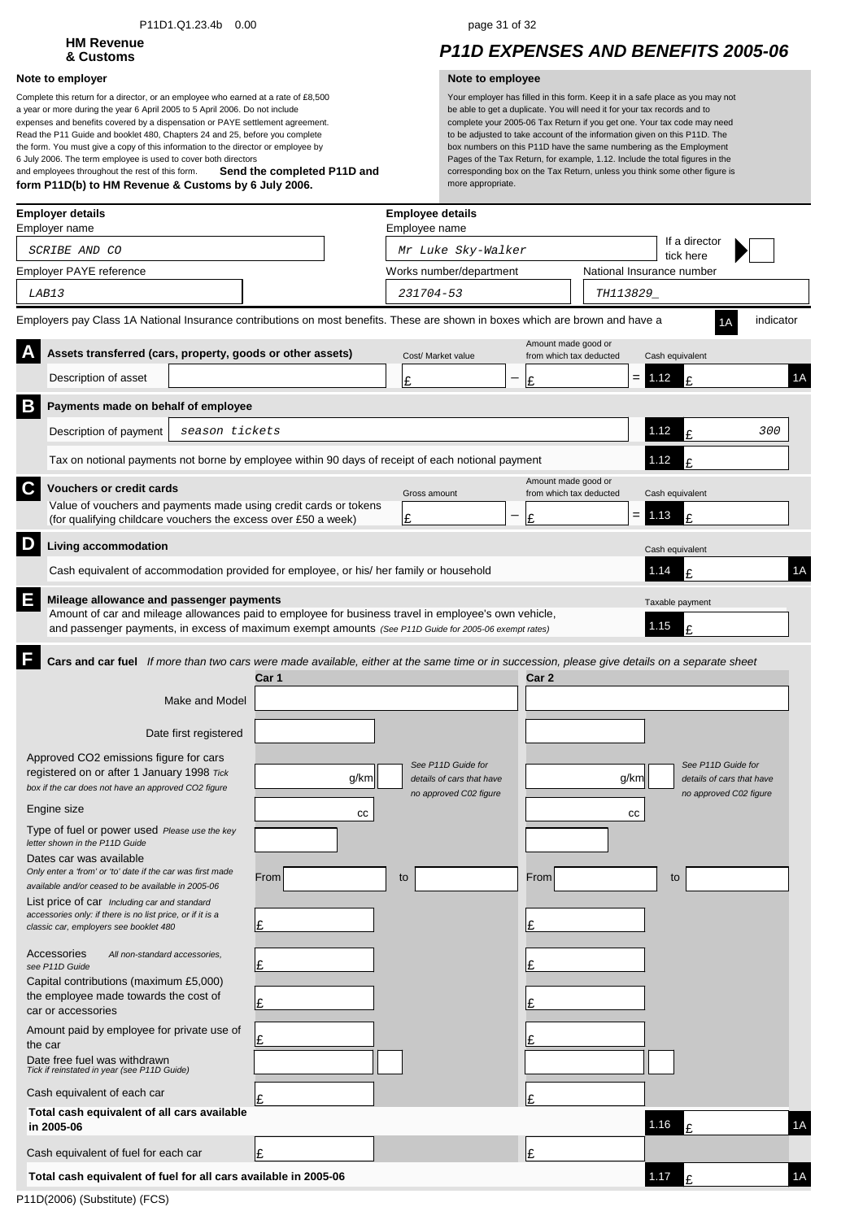### P11D1.Q1.23.4b 0.00 page 31 of 32

# **HM Revenue**

### **Note to employer Note to employee**

**Send the completed P11D and form P11D(b) to HM Revenue & Customs by 6 July 2006.** Complete this return for a director, or an employee who earned at a rate of £8,500 a year or more during the year 6 April 2005 to 5 April 2006. Do not include expenses and benefits covered by a dispensation or PAYE settlement agreement. Read the P11 Guide and booklet 480, Chapters 24 and 25, before you complete the form. You must give a copy of this information to the director or employee by 6 July 2006. The term employee is used to cover both directors and employees throughout the rest of this form.

## **& Customs** *P11D EXPENSES AND BENEFITS 2005-06*

| Employer details<br>Employer name                                                                                                                                                                                                                                                                                                                                                                                                                                                                                                                                                                                                                                                                                                                                                                                                                                                                                                                 |                                                 | <b>Employee details</b><br>Employee name                                        |                                                |                              |                                                                           |
|---------------------------------------------------------------------------------------------------------------------------------------------------------------------------------------------------------------------------------------------------------------------------------------------------------------------------------------------------------------------------------------------------------------------------------------------------------------------------------------------------------------------------------------------------------------------------------------------------------------------------------------------------------------------------------------------------------------------------------------------------------------------------------------------------------------------------------------------------------------------------------------------------------------------------------------------------|-------------------------------------------------|---------------------------------------------------------------------------------|------------------------------------------------|------------------------------|---------------------------------------------------------------------------|
| SCRIBE AND CO                                                                                                                                                                                                                                                                                                                                                                                                                                                                                                                                                                                                                                                                                                                                                                                                                                                                                                                                     |                                                 | Mr Luke Sky-Walker                                                              |                                                | If a director<br>tick here   |                                                                           |
| Employer PAYE reference                                                                                                                                                                                                                                                                                                                                                                                                                                                                                                                                                                                                                                                                                                                                                                                                                                                                                                                           |                                                 | Works number/department                                                         |                                                | National Insurance number    |                                                                           |
| LAB13                                                                                                                                                                                                                                                                                                                                                                                                                                                                                                                                                                                                                                                                                                                                                                                                                                                                                                                                             |                                                 | 231704-53                                                                       |                                                | TH113829_                    |                                                                           |
| Employers pay Class 1A National Insurance contributions on most benefits. These are shown in boxes which are brown and have a                                                                                                                                                                                                                                                                                                                                                                                                                                                                                                                                                                                                                                                                                                                                                                                                                     |                                                 |                                                                                 |                                                |                              | indicator                                                                 |
| A<br>Assets transferred (cars, property, goods or other assets)                                                                                                                                                                                                                                                                                                                                                                                                                                                                                                                                                                                                                                                                                                                                                                                                                                                                                   |                                                 | Cost/ Market value                                                              | Amount made good or<br>from which tax deducted | Cash equivalent              |                                                                           |
| Description of asset                                                                                                                                                                                                                                                                                                                                                                                                                                                                                                                                                                                                                                                                                                                                                                                                                                                                                                                              |                                                 | £                                                                               | Ι£                                             | $= 1.12$<br>£                | 1A                                                                        |
| B<br>Payments made on behalf of employee                                                                                                                                                                                                                                                                                                                                                                                                                                                                                                                                                                                                                                                                                                                                                                                                                                                                                                          |                                                 |                                                                                 |                                                |                              |                                                                           |
| Description of payment<br>season tickets                                                                                                                                                                                                                                                                                                                                                                                                                                                                                                                                                                                                                                                                                                                                                                                                                                                                                                          |                                                 |                                                                                 |                                                | 1.12<br>£                    | 300                                                                       |
| Tax on notional payments not borne by employee within 90 days of receipt of each notional payment                                                                                                                                                                                                                                                                                                                                                                                                                                                                                                                                                                                                                                                                                                                                                                                                                                                 |                                                 |                                                                                 |                                                | 1.12<br>£                    |                                                                           |
| $\mathbf c$<br><b>Vouchers or credit cards</b>                                                                                                                                                                                                                                                                                                                                                                                                                                                                                                                                                                                                                                                                                                                                                                                                                                                                                                    |                                                 | Gross amount                                                                    | Amount made good or<br>from which tax deducted | Cash equivalent              |                                                                           |
| Value of vouchers and payments made using credit cards or tokens<br>(for qualifying childcare vouchers the excess over £50 a week)                                                                                                                                                                                                                                                                                                                                                                                                                                                                                                                                                                                                                                                                                                                                                                                                                |                                                 | £                                                                               | Ι£                                             | $= 1.13$<br>£                |                                                                           |
| D<br><b>Living accommodation</b>                                                                                                                                                                                                                                                                                                                                                                                                                                                                                                                                                                                                                                                                                                                                                                                                                                                                                                                  |                                                 |                                                                                 |                                                | Cash equivalent              |                                                                           |
| Cash equivalent of accommodation provided for employee, or his/ her family or household                                                                                                                                                                                                                                                                                                                                                                                                                                                                                                                                                                                                                                                                                                                                                                                                                                                           |                                                 |                                                                                 |                                                | 1.14<br>£                    | 1A                                                                        |
| E<br>Mileage allowance and passenger payments<br>Amount of car and mileage allowances paid to employee for business travel in employee's own vehicle,<br>and passenger payments, in excess of maximum exempt amounts (See P11D Guide for 2005-06 exempt rates)                                                                                                                                                                                                                                                                                                                                                                                                                                                                                                                                                                                                                                                                                    |                                                 |                                                                                 |                                                | Taxable payment<br>1.15<br>£ |                                                                           |
| Make and Model<br>Date first registered<br>Approved CO2 emissions figure for cars<br>registered on or after 1 January 1998 Tick<br>box if the car does not have an approved CO2 figure<br>Engine size<br>Type of fuel or power used Please use the key<br>letter shown in the P11D Guide<br>Dates car was available<br>Only enter a 'from' or 'to' date if the car was first made<br>available and/or ceased to be available in 2005-06<br>List price of car Including car and standard<br>accessories only: if there is no list price, or if it is a<br>classic car, employers see booklet 480<br>Accessories<br>All non-standard accessories,<br>see P11D Guide<br>Capital contributions (maximum £5,000)<br>the employee made towards the cost of<br>car or accessories<br>Amount paid by employee for private use of<br>the car<br>Date free fuel was withdrawn<br>Tick if reinstated in year (see P11D Guide)<br>Cash equivalent of each car | Car 1<br>g/km<br>CС<br>From<br>£<br>£<br>£<br>£ | See P11D Guide for<br>details of cars that have<br>no approved C02 figure<br>to | Car 2<br>From<br>Ŀ<br>Ι£<br>l£                 | g/km<br>СC<br>to             | See P11D Guide for<br>details of cars that have<br>no approved C02 figure |
| Total cash equivalent of all cars available<br>in 2005-06                                                                                                                                                                                                                                                                                                                                                                                                                                                                                                                                                                                                                                                                                                                                                                                                                                                                                         |                                                 |                                                                                 |                                                | 1.16<br>£                    | 1A                                                                        |
|                                                                                                                                                                                                                                                                                                                                                                                                                                                                                                                                                                                                                                                                                                                                                                                                                                                                                                                                                   |                                                 |                                                                                 |                                                |                              |                                                                           |
| Cash equivalent of fuel for each car                                                                                                                                                                                                                                                                                                                                                                                                                                                                                                                                                                                                                                                                                                                                                                                                                                                                                                              | £                                               |                                                                                 | l£                                             |                              |                                                                           |